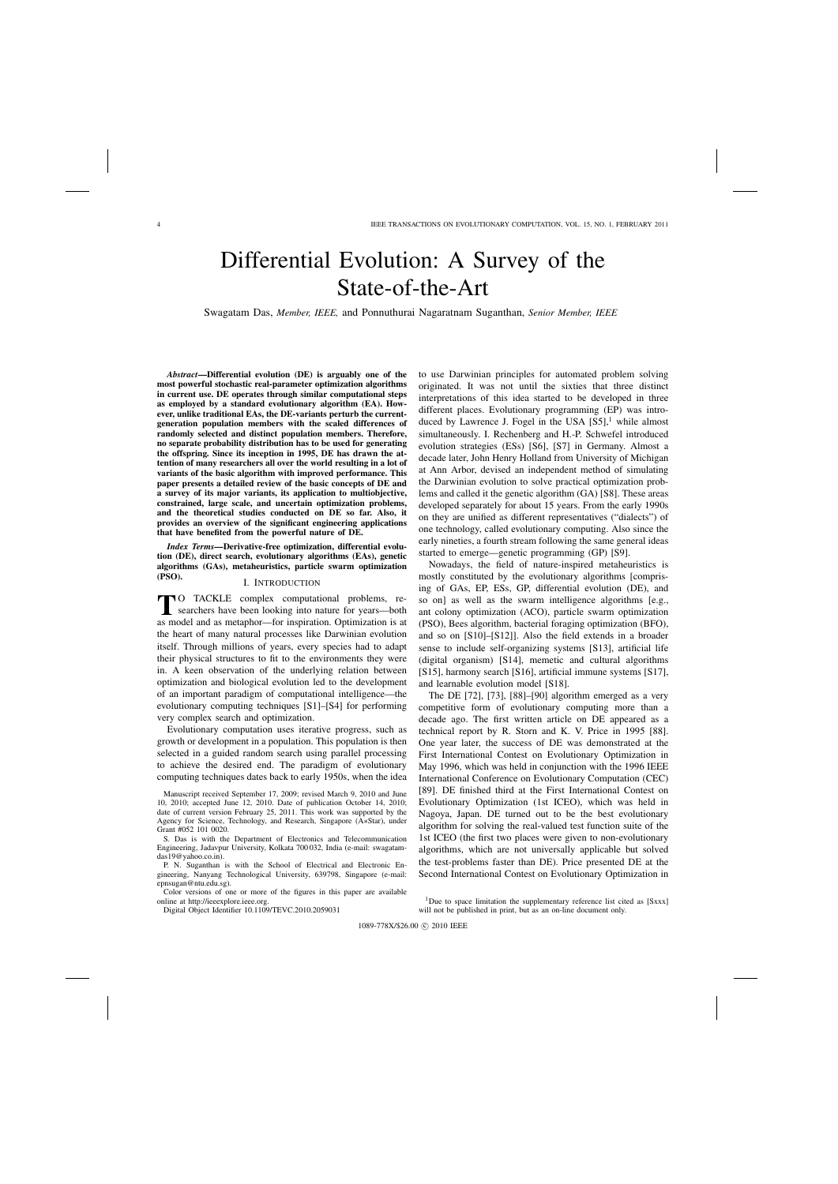# Differential Evolution: A Survey of the State-of-the-Art

Swagatam Das, *Member, IEEE,* and Ponnuthurai Nagaratnam Suganthan, *Senior Member, IEEE*

*Abstract***—Differential evolution (DE) is arguably one of the most powerful stochastic real-parameter optimization algorithms in current use. DE operates through similar computational steps as employed by a standard evolutionary algorithm (EA). However, unlike traditional EAs, the DE-variants perturb the currentgeneration population members with the scaled differences of randomly selected and distinct population members. Therefore, no separate probability distribution has to be used for generating the offspring. Since its inception in 1995, DE has drawn the attention of many researchers all over the world resulting in a lot of variants of the basic algorithm with improved performance. This paper presents a detailed review of the basic concepts of DE and a survey of its major variants, its application to multiobjective, constrained, large scale, and uncertain optimization problems, and the theoretical studies conducted on DE so far. Also, it provides an overview of the significant engineering applications that have benefited from the powerful nature of DE.**

*Index Terms***—Derivative-free optimization, differential evolution (DE), direct search, evolutionary algorithms (EAs), genetic algorithms (GAs), metaheuristics, particle swarm optimization** (PSO). I. INTRODUCTION

TO TACKLE complex computational problems, researchers have been looking into nature for years—both as model and as metaphor—for inspiration. Optimization is at the heart of many natural processes like Darwinian evolution itself. Through millions of years, every species had to adapt their physical structures to fit to the environments they were in. A keen observation of the underlying relation between optimization and biological evolution led to the development of an important paradigm of computational intelligence—the evolutionary computing techniques [S1]–[S4] for performing very complex search and optimization.

Evolutionary computation uses iterative progress, such as growth or development in a population. This population is then selected in a guided random search using parallel processing to achieve the desired end. The paradigm of evolutionary computing techniques dates back to early 1950s, when the idea

Digital Object Identifier 10.1109/TEVC.2010.2059031

to use Darwinian principles for automated problem solving originated. It was not until the sixties that three distinct interpretations of this idea started to be developed in three different places. Evolutionary programming (EP) was introduced by Lawrence J. Fogel in the USA  $[SS]$ ,<sup>1</sup> while almost simultaneously. I. Rechenberg and H.-P. Schwefel introduced evolution strategies (ESs) [S6], [S7] in Germany. Almost a decade later, John Henry Holland from University of Michigan at Ann Arbor, devised an independent method of simulating the Darwinian evolution to solve practical optimization problems and called it the genetic algorithm (GA) [S8]. These areas developed separately for about 15 years. From the early 1990s on they are unified as different representatives ("dialects") of one technology, called evolutionary computing. Also since the early nineties, a fourth stream following the same general ideas started to emerge—genetic programming (GP) [S9].

Nowadays, the field of nature-inspired metaheuristics is mostly constituted by the evolutionary algorithms [comprising of GAs, EP, ESs, GP, differential evolution (DE), and so on] as well as the swarm intelligence algorithms [e.g., ant colony optimization (ACO), particle swarm optimization (PSO), Bees algorithm, bacterial foraging optimization (BFO), and so on [S10]–[S12]]. Also the field extends in a broader sense to include self-organizing systems [S13], artificial life (digital organism) [S14], memetic and cultural algorithms [S15], harmony search [S16], artificial immune systems [S17], and learnable evolution model [S18].

The DE [72], [73], [88]–[90] algorithm emerged as a very competitive form of evolutionary computing more than a decade ago. The first written article on DE appeared as a technical report by R. Storn and K. V. Price in 1995 [88]. One year later, the success of DE was demonstrated at the First International Contest on Evolutionary Optimization in May 1996, which was held in conjunction with the 1996 IEEE International Conference on Evolutionary Computation (CEC) [89]. DE finished third at the First International Contest on Evolutionary Optimization (1st ICEO), which was held in Nagoya, Japan. DE turned out to be the best evolutionary algorithm for solving the real-valued test function suite of the 1st ICEO (the first two places were given to non-evolutionary algorithms, which are not universally applicable but solved the test-problems faster than DE). Price presented DE at the Second International Contest on Evolutionary Optimization in

Manuscript received September 17, 2009; revised March 9, 2010 and June 10, 2010; accepted June 12, 2010. Date of publication October 14, 2010; date of current version February 25, 2011. This work was supported by the Agency for Science, Technology, and Research, Singapore (A∗Star), under Grant #052 101 0020.

S. Das is with the Department of Electronics and Telecommunication Engineering, Jadavpur University, Kolkata 700 032, India (e-mail: swagatamdas19@yahoo.co.in).

P. N. Suganthan is with the School of Electrical and Electronic Engineering, Nanyang Technological University, 639798, Singapore (e-mail: epnsugan@ntu.edu.sg).

Color versions of one or more of the figures in this paper are available online at http://ieeexplore.ieee.org.

<sup>&</sup>lt;sup>1</sup>Due to space limitation the supplementary reference list cited as [Sxxx] will not be published in print, but as an on-line document only.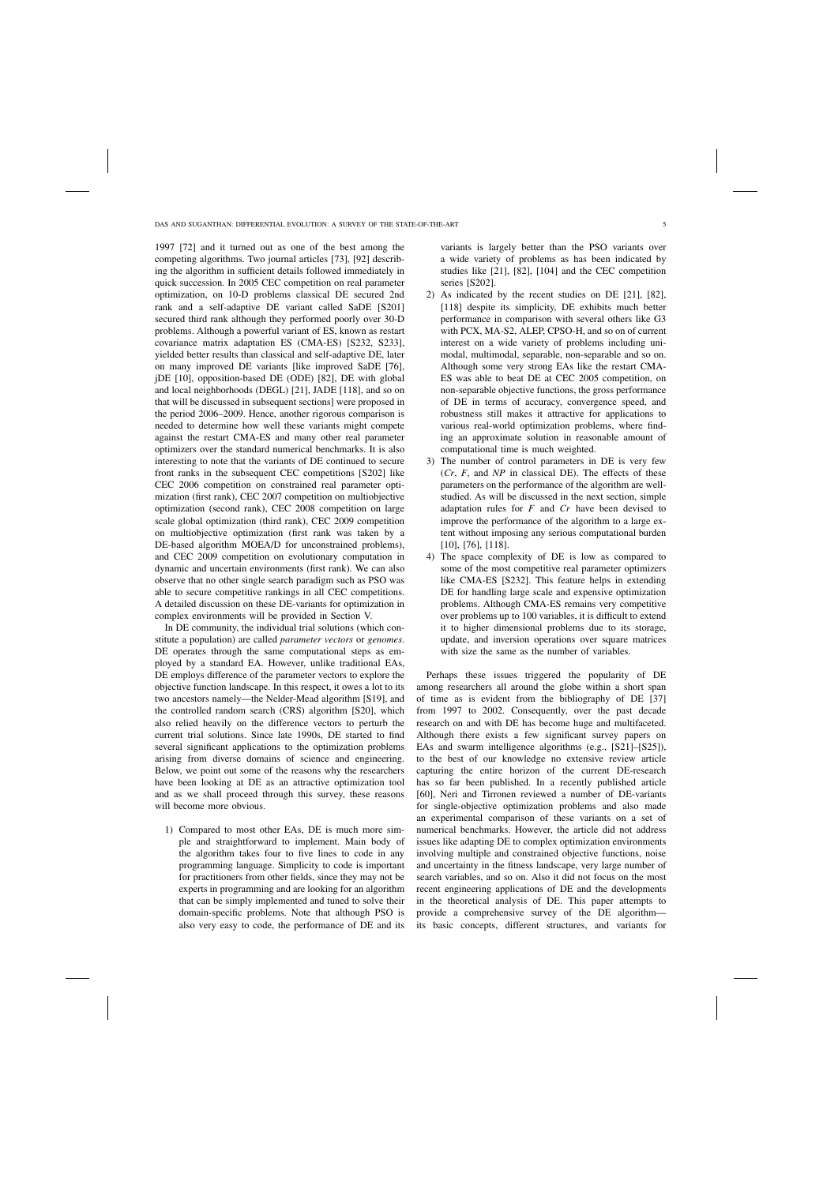1997 [72] and it turned out as one of the best among the competing algorithms. Two journal articles [73], [92] describing the algorithm in sufficient details followed immediately in quick succession. In 2005 CEC competition on real parameter optimization, on 10-D problems classical DE secured 2nd rank and a self-adaptive DE variant called SaDE [S201] secured third rank although they performed poorly over 30-D problems. Although a powerful variant of ES, known as restart covariance matrix adaptation ES (CMA-ES) [S232, S233], yielded better results than classical and self-adaptive DE, later on many improved DE variants [like improved SaDE [76], jDE [10], opposition-based DE (ODE) [82], DE with global and local neighborhoods (DEGL) [21], JADE [118], and so on that will be discussed in subsequent sections] were proposed in the period 2006–2009. Hence, another rigorous comparison is needed to determine how well these variants might compete against the restart CMA-ES and many other real parameter optimizers over the standard numerical benchmarks. It is also interesting to note that the variants of DE continued to secure front ranks in the subsequent CEC competitions [S202] like CEC 2006 competition on constrained real parameter optimization (first rank), CEC 2007 competition on multiobjective optimization (second rank), CEC 2008 competition on large scale global optimization (third rank), CEC 2009 competition on multiobjective optimization (first rank was taken by a DE-based algorithm MOEA/D for unconstrained problems), and CEC 2009 competition on evolutionary computation in dynamic and uncertain environments (first rank). We can also observe that no other single search paradigm such as PSO was able to secure competitive rankings in all CEC competitions. A detailed discussion on these DE-variants for optimization in complex environments will be provided in Section V.

In DE community, the individual trial solutions (which constitute a population) are called *parameter vectors* or *genomes*. DE operates through the same computational steps as employed by a standard EA. However, unlike traditional EAs, DE employs difference of the parameter vectors to explore the objective function landscape. In this respect, it owes a lot to its two ancestors namely—the Nelder-Mead algorithm [S19], and the controlled random search (CRS) algorithm [S20], which also relied heavily on the difference vectors to perturb the current trial solutions. Since late 1990s, DE started to find several significant applications to the optimization problems arising from diverse domains of science and engineering. Below, we point out some of the reasons why the researchers have been looking at DE as an attractive optimization tool and as we shall proceed through this survey, these reasons will become more obvious.

1) Compared to most other EAs, DE is much more simple and straightforward to implement. Main body of the algorithm takes four to five lines to code in any programming language. Simplicity to code is important for practitioners from other fields, since they may not be experts in programming and are looking for an algorithm that can be simply implemented and tuned to solve their domain-specific problems. Note that although PSO is also very easy to code, the performance of DE and its variants is largely better than the PSO variants over a wide variety of problems as has been indicated by studies like [21], [82], [104] and the CEC competition series [S202].

- 2) As indicated by the recent studies on DE [21], [82], [118] despite its simplicity, DE exhibits much better performance in comparison with several others like G3 with PCX, MA-S2, ALEP, CPSO-H, and so on of current interest on a wide variety of problems including unimodal, multimodal, separable, non-separable and so on. Although some very strong EAs like the restart CMA-ES was able to beat DE at CEC 2005 competition, on non-separable objective functions, the gross performance of DE in terms of accuracy, convergence speed, and robustness still makes it attractive for applications to various real-world optimization problems, where finding an approximate solution in reasonable amount of computational time is much weighted.
- 3) The number of control parameters in DE is very few (*Cr*, *F*, and *NP* in classical DE). The effects of these parameters on the performance of the algorithm are wellstudied. As will be discussed in the next section, simple adaptation rules for *F* and *Cr* have been devised to improve the performance of the algorithm to a large extent without imposing any serious computational burden [10], [76], [118].
- 4) The space complexity of DE is low as compared to some of the most competitive real parameter optimizers like CMA-ES [S232]. This feature helps in extending DE for handling large scale and expensive optimization problems. Although CMA-ES remains very competitive over problems up to 100 variables, it is difficult to extend it to higher dimensional problems due to its storage, update, and inversion operations over square matrices with size the same as the number of variables.

Perhaps these issues triggered the popularity of DE among researchers all around the globe within a short span of time as is evident from the bibliography of DE [37] from 1997 to 2002. Consequently, over the past decade research on and with DE has become huge and multifaceted. Although there exists a few significant survey papers on EAs and swarm intelligence algorithms (e.g., [S21]–[S25]), to the best of our knowledge no extensive review article capturing the entire horizon of the current DE-research has so far been published. In a recently published article [60], Neri and Tirronen reviewed a number of DE-variants for single-objective optimization problems and also made an experimental comparison of these variants on a set of numerical benchmarks. However, the article did not address issues like adapting DE to complex optimization environments involving multiple and constrained objective functions, noise and uncertainty in the fitness landscape, very large number of search variables, and so on. Also it did not focus on the most recent engineering applications of DE and the developments in the theoretical analysis of DE. This paper attempts to provide a comprehensive survey of the DE algorithm its basic concepts, different structures, and variants for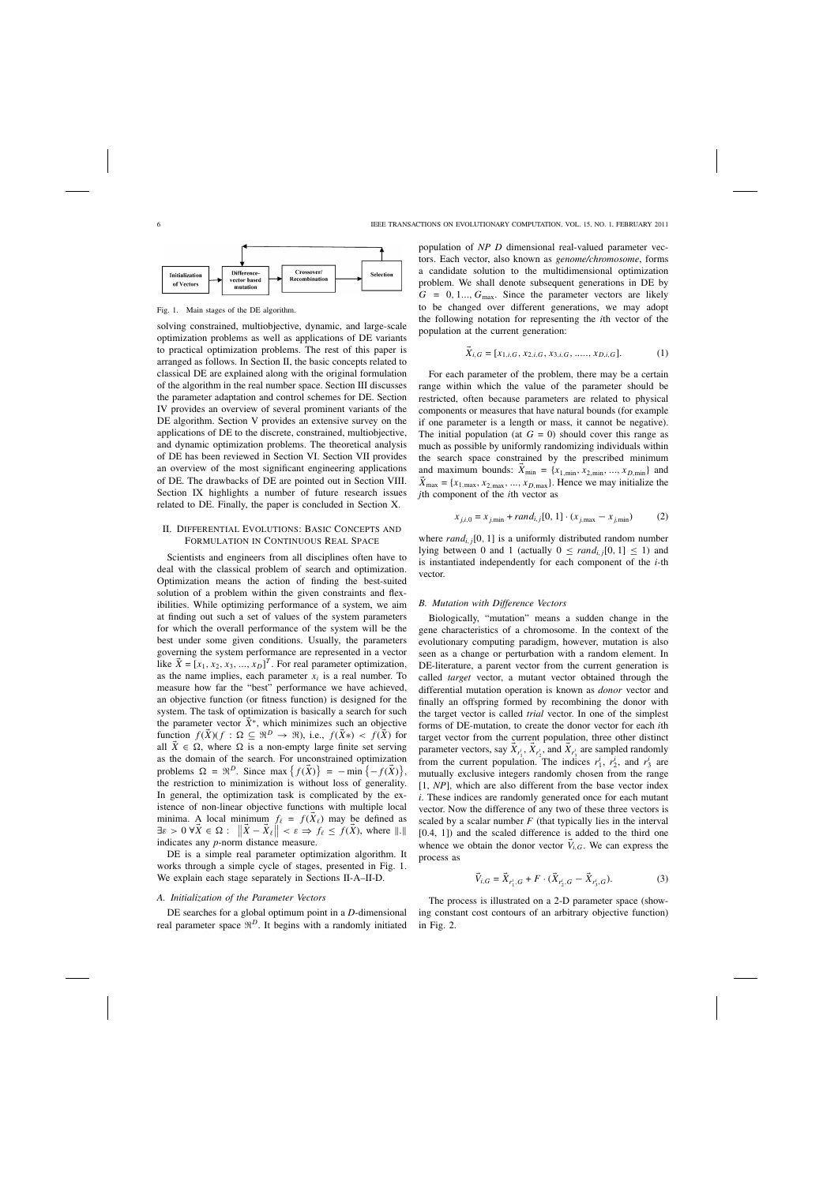

Fig. 1. Main stages of the DE algorithm.

solving constrained, multiobjective, dynamic, and large-scale optimization problems as well as applications of DE variants to practical optimization problems. The rest of this paper is arranged as follows. In Section II, the basic concepts related to classical DE are explained along with the original formulation of the algorithm in the real number space. Section III discusses the parameter adaptation and control schemes for DE. Section IV provides an overview of several prominent variants of the DE algorithm. Section V provides an extensive survey on the applications of DE to the discrete, constrained, multiobjective, and dynamic optimization problems. The theoretical analysis of DE has been reviewed in Section VI. Section VII provides an overview of the most significant engineering applications of DE. The drawbacks of DE are pointed out in Section VIII. Section IX highlights a number of future research issues related to DE. Finally, the paper is concluded in Section X.

# II. Differential Evolutions: Basic Concepts and FORMULATION IN CONTINUOUS REAL SPACE

Scientists and engineers from all disciplines often have to deal with the classical problem of search and optimization. Optimization means the action of finding the best-suited solution of a problem within the given constraints and flexibilities. While optimizing performance of a system, we aim at finding out such a set of values of the system parameters for which the overall performance of the system will be the best under some given conditions. Usually, the parameters governing the system performance are represented in a vector like  $\vec{X} = [x_1, x_2, x_3, ..., x_D]^T$ . For real parameter optimization, as the name implies, each parameter  $x_i$  is a real number. To measure how far the "best" performance we have achieved, an objective function (or fitness function) is designed for the system. The task of optimization is basically a search for such the parameter vector  $\vec{X}^*$ , which minimizes such an objective function  $f(\vec{X})(f) : \Omega \subseteq \mathbb{R}^D \to \mathbb{R}$ , i.e.,  $f(\vec{X}*) < f(\vec{X})$  for all  $\vec{X} \in \Omega$ , where  $\Omega$  is a non-empty large finite set serving as the domain of the search. For unconstrained optimization problems  $\Omega = \Re^{D}$ . Since max  $\{f(\vec{X})\} = -\min\{-f(\vec{X})\},\$ the restriction to minimization is without loss of generality. In general, the optimization task is complicated by the existence of non-linear objective functions with multiple local minima. A local minimum  $f_{\ell} = f(\vec{X}_{\ell})$  may be defined as  $\exists \varepsilon > 0 \ \forall \vec{X} \in \Omega : \|\vec{X} - \vec{X}_{\ell}\| < \varepsilon \Rightarrow f_{\ell} \le f(\vec{X})$ , where  $\|\cdot\|$ indicates any *p*-norm distance measure.

DE is a simple real parameter optimization algorithm. It works through a simple cycle of stages, presented in Fig. 1. We explain each stage separately in Sections II-A–II-D.

## *A. Initialization of the Parameter Vectors*

DE searches for a global optimum point in a *D*-dimensional real parameter space  $\mathbb{R}^D$ . It begins with a randomly initiated population of *NP D* dimensional real-valued parameter vectors. Each vector, also known as *genome/chromosome*, forms a candidate solution to the multidimensional optimization problem. We shall denote subsequent generations in DE by  $G = 0, 1, \ldots, G_{\text{max}}$ . Since the parameter vectors are likely to be changed over different generations, we may adopt the following notation for representing the *i*th vector of the population at the current generation:

$$
\vec{X}_{i,G} = [x_{1,i,G}, x_{2,i,G}, x_{3,i,G}, \dots, x_{D,i,G}].
$$
 (1)

For each parameter of the problem, there may be a certain range within which the value of the parameter should be restricted, often because parameters are related to physical components or measures that have natural bounds (for example if one parameter is a length or mass, it cannot be negative). The initial population (at  $G = 0$ ) should cover this range as much as possible by uniformly randomizing individuals within the search space constrained by the prescribed minimum and maximum bounds:  $\vec{X}_{min} = \{x_{1,min}, x_{2,min}, ..., x_{D,min}\}\$  and  $\vec{X}_{\text{max}} = \{x_{1,\text{max}}, x_{2,\text{max}}, ..., x_{D,\text{max}}\}$ . Hence we may initialize the *j*th component of the *i*th vector as

$$
x_{j,i,0} = x_{j,\min} + rand_{i,j}[0, 1] \cdot (x_{j,\max} - x_{j,\min})
$$
 (2)

where  $rand_{i,j}[0, 1]$  is a uniformly distributed random number lying between 0 and 1 (actually  $0 \leq rand_{i,j}[0,1] \leq 1$ ) and is instantiated independently for each component of the *i-*th vector.

#### *B. Mutation with Difference Vectors*

Biologically, "mutation" means a sudden change in the gene characteristics of a chromosome. In the context of the evolutionary computing paradigm, however, mutation is also seen as a change or perturbation with a random element. In DE-literature, a parent vector from the current generation is called *target* vector, a mutant vector obtained through the differential mutation operation is known as *donor* vector and finally an offspring formed by recombining the donor with the target vector is called *trial* vector. In one of the simplest forms of DE-mutation, to create the donor vector for each *i*th target vector from the current population, three other distinct parameter vectors, say  $\vec{X}_{r_1^i}$ ,  $\vec{X}_{r_2^i}$ , and  $\vec{X}_{r_3^i}$  are sampled randomly from the current population. The indices  $r_1^i$ ,  $r_2^i$ , and  $r_3^i$  are mutually exclusive integers randomly chosen from the range [1, *NP*], which are also different from the base vector index *i*. These indices are randomly generated once for each mutant vector. Now the difference of any two of these three vectors is scaled by a scalar number  $F$  (that typically lies in the interval [0.4, 1]) and the scaled difference is added to the third one whence we obtain the donor vector  $\vec{V}_{i,G}$ . We can express the process as

$$
\vec{V}_{i,G} = \vec{X}_{r_1^i,G} + F \cdot (\vec{X}_{r_2^i,G} - \vec{X}_{r_3^i,G}).
$$
\n(3)

The process is illustrated on a 2-D parameter space (showing constant cost contours of an arbitrary objective function) in Fig. 2.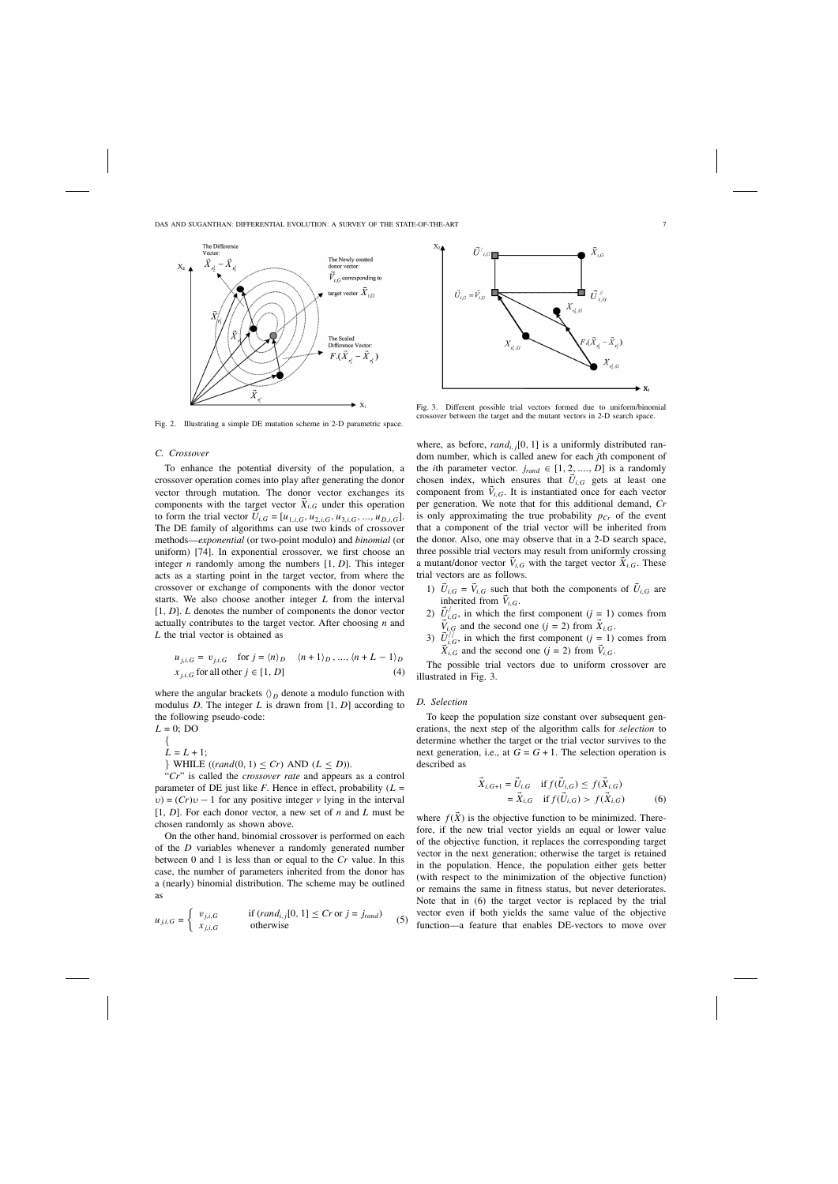

Fig. 2. Illustrating a simple DE mutation scheme in 2-D parametric space.

# *C. Crossover*

To enhance the potential diversity of the population, a crossover operation comes into play after generating the donor vector through mutation. The donor vector exchanges its components with the target vector  $\vec{X}_{i,G}$  under this operation to form the trial vector  $\vec{U}_{i,G} = [u_{1,i,G}, u_{2,i,G}, u_{3,i,G}, ..., u_{D,i,G}]$ . The DE family of algorithms can use two kinds of crossover methods—*exponential* (or two-point modulo) and *binomial* (or uniform) [74]. In exponential crossover, we first choose an integer *n* randomly among the numbers [1*, D*]. This integer acts as a starting point in the target vector, from where the crossover or exchange of components with the donor vector starts. We also choose another integer *L* from the interval [1*, D*]. *L* denotes the number of components the donor vector actually contributes to the target vector. After choosing *n* and *L* the trial vector is obtained as

$$
u_{j,i,G} = v_{j,i,G} \quad \text{for } j = \langle n \rangle_D \quad \langle n+1 \rangle_D, ..., \langle n+L-1 \rangle_D
$$
  

$$
x_{j,i,G} \text{ for all other } j \in [1, D] \tag{4}
$$

where the angular brackets  $\langle \rangle_D$  denote a modulo function with modulus *D*. The integer *L* is drawn from [1*, D*] according to the following pseudo-code:

 $L = 0$ ; DO {  $L = L + 1$ ;  $\{$  WHILE  $((rand(0, 1) \le Cr)$  AND  $(L \le D)).$ "*Cr*" is called the *crossover rate* and appears as a control

parameter of DE just like  $F$ . Hence in effect, probability  $(L =$  $v$ ) = (*Cr*)*v* − 1 for any positive integer *v* lying in the interval [1, *D*]. For each donor vector, a new set of *n* and *L* must be chosen randomly as shown above.

On the other hand, binomial crossover is performed on each of the *D* variables whenever a randomly generated number between 0 and 1 is less than or equal to the *Cr* value. In this case, the number of parameters inherited from the donor has a (nearly) binomial distribution. The scheme may be outlined as

$$
u_{j,i,G} = \begin{cases} v_{j,i,G} & \text{if } (rand_{i,j}[0,1] \le Cr \text{ or } j = j_{rand})\\ x_{j,i,G} & \text{otherwise} \end{cases}
$$
(5)



Fig. 3. Different possible trial vectors formed due to uniform/binomial crossover between the target and the mutant vectors in 2-D search space.

where, as before,  $rand_{i,j}[0, 1]$  is a uniformly distributed random number, which is called anew for each *j*th component of the *i*th parameter vector.  $j_{rand} \in [1, 2, ..., D]$  is a randomly chosen index, which ensures that  $\vec{U}_{i,G}$  gets at least one component from  $\vec{V}_{i,G}$ . It is instantiated once for each vector per generation. We note that for this additional demand, *Cr* is only approximating the true probability  $p_{Cr}$  of the event that a component of the trial vector will be inherited from the donor. Also, one may observe that in a 2-D search space, three possible trial vectors may result from uniformly crossing a mutant/donor vector  $\vec{V}_{i,G}$  with the target vector  $\vec{X}_{i,G}$ . These trial vectors are as follows.

- 1)  $\vec{U}_{i,G} = \vec{V}_{i,G}$  such that both the components of  $\vec{U}_{i,G}$  are inherited from  $\vec{V}_{i,G}$ .
- 2)  $\vec{U}_{i,G}^j$ , in which the first component  $(j = 1)$  comes from  $\vec{V}_{i,G}$  and the second one (*j* = 2) from  $\vec{X}_{i,G}$ .
- 3)  $\vec{U}_{i,G}^{//}$ , in which the first component  $(j = 1)$  comes from  $\vec{X}_{i,G}$  and the second one (*j* = 2) from  $\vec{V}_{i,G}$ .

The possible trial vectors due to uniform crossover are illustrated in Fig. 3.

#### *D. Selection*

To keep the population size constant over subsequent generations, the next step of the algorithm calls for *selection* to determine whether the target or the trial vector survives to the next generation, i.e., at  $G = G + 1$ . The selection operation is described as

$$
\begin{aligned} \vec{X}_{i,G+1} &= \vec{U}_{i,G} & \text{if } f(\vec{U}_{i,G}) \le f(\vec{X}_{i,G}) \\ &= \vec{X}_{i,G} & \text{if } f(\vec{U}_{i,G}) > f(\vec{X}_{i,G}) \end{aligned} \tag{6}
$$

where  $f(\vec{X})$  is the objective function to be minimized. Therefore, if the new trial vector yields an equal or lower value of the objective function, it replaces the corresponding target vector in the next generation; otherwise the target is retained in the population. Hence, the population either gets better (with respect to the minimization of the objective function) or remains the same in fitness status, but never deteriorates. Note that in (6) the target vector is replaced by the trial vector even if both yields the same value of the objective function—a feature that enables DE-vectors to move over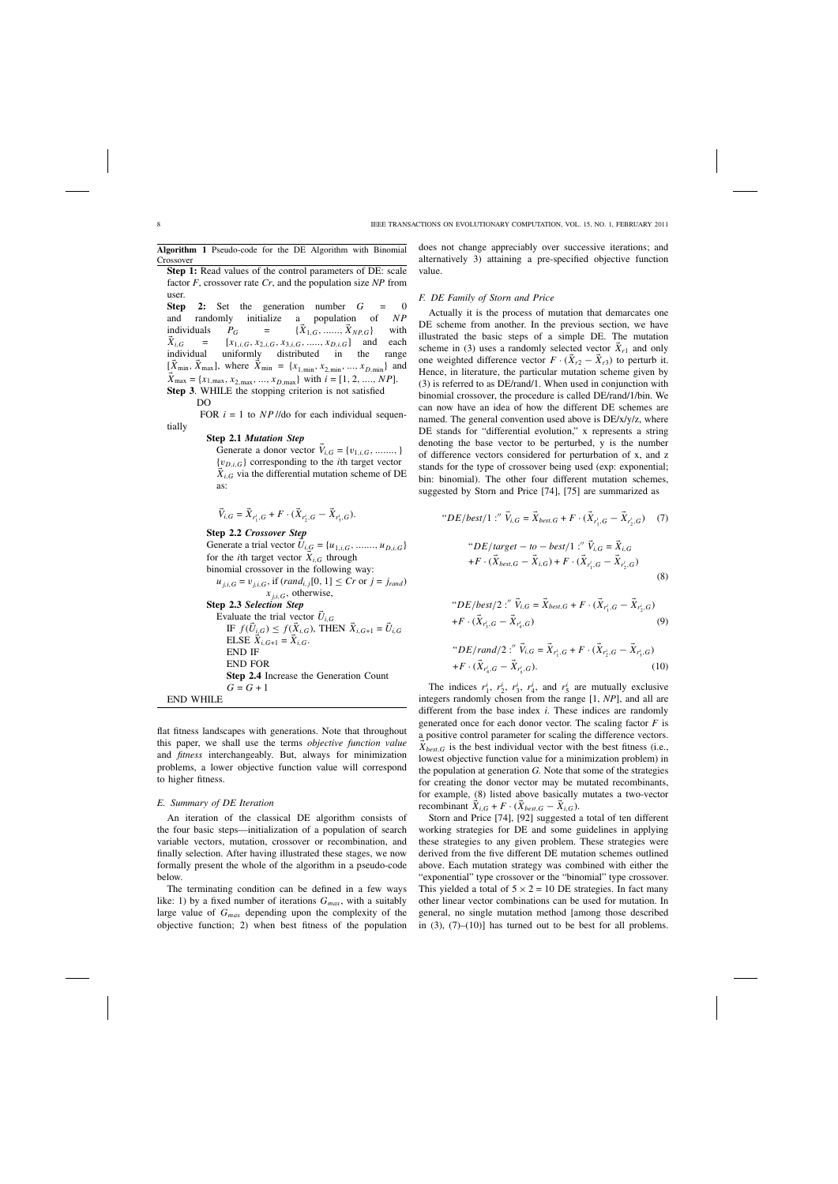**Algorithm 1** Pseudo-code for the DE Algorithm with Binomial Crossover

**Step 1:** Read values of the control parameters of DE: scale factor *F*, crossover rate *Cr*, and the population size *NP* from user.

**Step 2:** Set the generation number  $G = 0$ and randomly initialize a population of *NP* individuals  $P_G$  =  $\vec{X}_{1,G}, \, \dots, \, \vec{X}_{NP,G}$ } with  $\tilde{X}_{i,G}$  $=$   $[x_{1,i,G}, x_{2,i,G}, x_{3,i,G}, \ldots, x_{D,i,G}]$  and each individual uniformly distributed in the range  $[\vec{X}_{\text{min}}, \vec{X}_{\text{max}}]$ , where  $\vec{X}_{\text{min}} = \{x_{1,\text{min}}, x_{2,\text{min}}, ..., x_{D,\text{min}}\}$  and  $\vec{X}_{\text{max}} = \{x_{1,\text{max}}, x_{2,\text{max}}, ..., x_{D,\text{max}}\}$  with  $i = [1, 2, ..., NP].$ **Step 3**. WHILE the stopping criterion is not satisfied

DO

FOR  $i = 1$  to *NP //do* for each individual sequentially

# **Step 2.1** *Mutation Step*

Generate a donor vector  $\vec{V}_{i,G} = \{v_{1,i,G}, \dots, \}$  ${v_{D,i,G}}$  corresponding to the *i*th target vector  $\vec{X}_{i,G}$  via the differential mutation scheme of DE as:

$$
\vec{V}_{i,G} = \vec{X}_{r_1^i,G} + F \cdot (\vec{X}_{r_2^i,G} - \vec{X}_{r_3^i,G}).
$$

#### **Step 2.2** *Crossover Step*

Generate a trial vector  $\vec{U}_{i,G} = \{u_{1,i,G}, \dots, u_{D,i,G}\}$ for the *i*th target vector  $\vec{X}_{i,G}$  through binomial crossover in the following way:

$$
u_{j,i,G} = v_{j,i,G}, \text{ if } (rand_{i,j}[0, 1] \le Cr \text{ or } j = j_{rand})
$$
  

$$
x_{j,i,G}, \text{ otherwise,}
$$

**Step 2.3** *Selection Step*

```
Evaluate the trial vector \vec{U}_{i,G}IF f(\vec{U}_{i,G}) \leq f(\vec{X}_{i,G}), THEN \vec{X}_{i,G+1} = \vec{U}_{i,G}ELSE \vec{X}_{i,G+1} = \vec{X}_{i,G}.
 END IF
 END FOR
 Step 2.4 Increase the Generation Count
 G = G + 1
```

```
END WHILE
```
flat fitness landscapes with generations. Note that throughout this paper, we shall use the terms *objective function value* and *fitness* interchangeably. But, always for minimization problems, a lower objective function value will correspond to higher fitness.

# *E. Summary of DE Iteration*

An iteration of the classical DE algorithm consists of the four basic steps—initialization of a population of search variable vectors, mutation, crossover or recombination, and finally selection. After having illustrated these stages, we now formally present the whole of the algorithm in a pseudo-code below.

The terminating condition can be defined in a few ways like: 1) by a fixed number of iterations  $G_{max}$ , with a suitably large value of *Gmax* depending upon the complexity of the objective function; 2) when best fitness of the population does not change appreciably over successive iterations; and alternatively 3) attaining a pre-specified objective function value.

#### *F. DE Family of Storn and Price*

Actually it is the process of mutation that demarcates one DE scheme from another. In the previous section, we have illustrated the basic steps of a simple DE. The mutation scheme in (3) uses a randomly selected vector  $\vec{X}_{r1}$  and only one weighted difference vector  $F \cdot (\vec{X}_{r2} - \vec{X}_{r3})$  to perturb it. Hence, in literature, the particular mutation scheme given by (3) is referred to as DE/rand/1. When used in conjunction with binomial crossover, the procedure is called DE/rand/1/bin. We can now have an idea of how the different DE schemes are named. The general convention used above is DE/x/y/z, where DE stands for "differential evolution," x represents a string denoting the base vector to be perturbed, y is the number of difference vectors considered for perturbation of x, and z stands for the type of crossover being used (exp: exponential; bin: binomial). The other four different mutation schemes, suggested by Storn and Price [74], [75] are summarized as

"DE/best/1:" 
$$
\vec{V}_{i,G} = \vec{X}_{best,G} + F \cdot (\vec{X}_{r_1^i,G} - \vec{X}_{r_2^i,G})
$$
 (7)  
\n"DE/target – to – best/1:"  $\vec{V}_{i,G} = \vec{X}_{i,G}$   
\n+ $F \cdot (\vec{X}_{best,G} - \vec{X}_{i,G}) + F \cdot (\vec{X}_{r_1^i,G} - \vec{X}_{r_2^i,G})$  (8)

"
$$
DE/best/2
$$
;"  $\vec{V}_{i,G} = \vec{X}_{best,G} + F \cdot (\vec{X}_{r_1',G} - \vec{X}_{r_2',G})$   
+ $F \cdot (\vec{X}_{r_3',G} - \vec{X}_{r_4',G})$  (9)

"
$$
DE/rand/2:'' \vec{V}_{i,G} = \vec{X}_{r_1^i,G} + F \cdot (\vec{X}_{r_2^i,G} - \vec{X}_{r_3^i,G})
$$
  
+
$$
F \cdot (\vec{X}_{r_4^i,G} - \vec{X}_{r_5^i,G}).
$$
 (10)

The indices  $r_1^i$ ,  $r_2^i$ ,  $r_3^i$ ,  $r_4^i$ , and  $r_5^i$  are mutually exclusive integers randomly chosen from the range [1, *NP*], and all are different from the base index *i*. These indices are randomly generated once for each donor vector. The scaling factor *F* is a positive control parameter for scaling the difference vectors.  $\overline{X}_{best,G}$  is the best individual vector with the best fitness (i.e., lowest objective function value for a minimization problem) in the population at generation *G.* Note that some of the strategies for creating the donor vector may be mutated recombinants, for example, (8) listed above basically mutates a two-vector recombinant  $\vec{X}_{i,G} + F \cdot (\vec{X}_{best,G} - \vec{X}_{i,G}).$ 

Storn and Price [74], [92] suggested a total of ten different working strategies for DE and some guidelines in applying these strategies to any given problem. These strategies were derived from the five different DE mutation schemes outlined above. Each mutation strategy was combined with either the "exponential" type crossover or the "binomial" type crossover. This yielded a total of  $5 \times 2 = 10$  DE strategies. In fact many other linear vector combinations can be used for mutation. In general, no single mutation method [among those described in (3), (7)–(10)] has turned out to be best for all problems.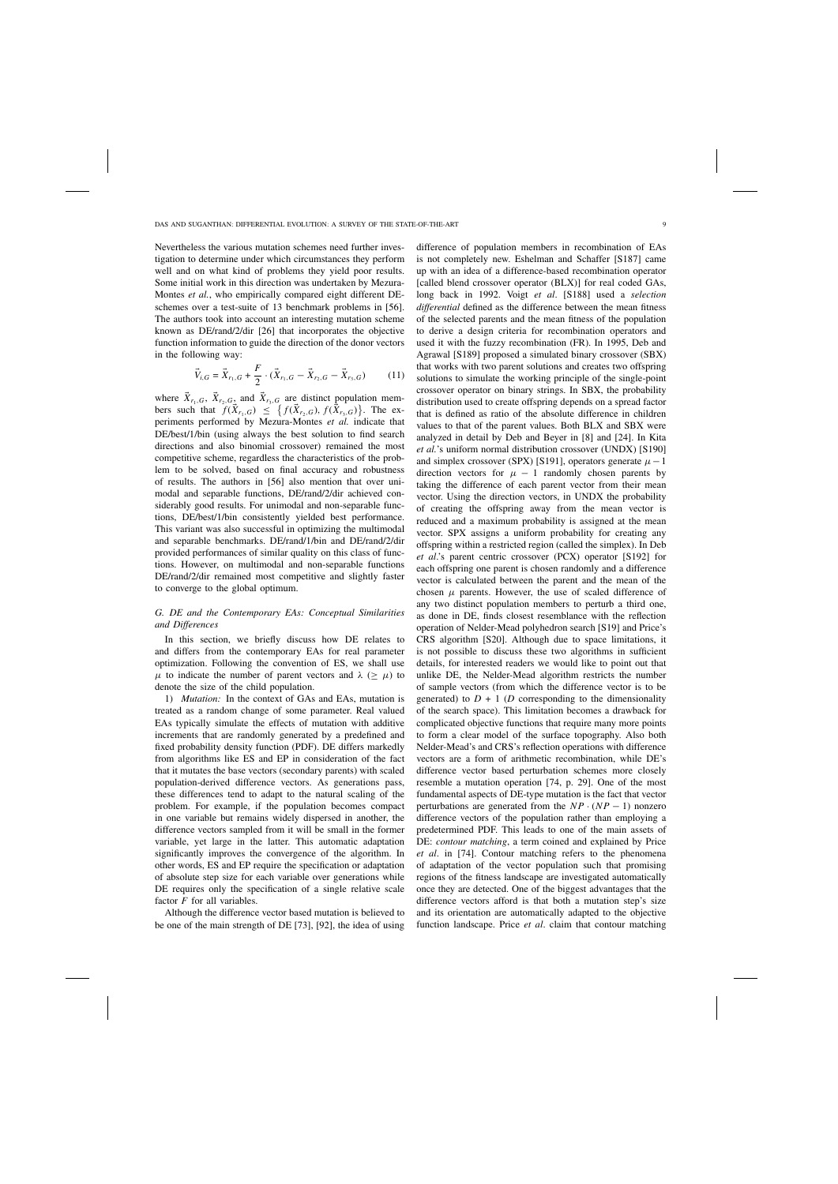Nevertheless the various mutation schemes need further investigation to determine under which circumstances they perform well and on what kind of problems they yield poor results. Some initial work in this direction was undertaken by Mezura-Montes *et al.*, who empirically compared eight different DEschemes over a test-suite of 13 benchmark problems in [56]. The authors took into account an interesting mutation scheme known as DE/rand/2/dir [26] that incorporates the objective function information to guide the direction of the donor vectors in the following way:

$$
\vec{V}_{i,G} = \vec{X}_{r_1,G} + \frac{F}{2} \cdot (\vec{X}_{r_1,G} - \vec{X}_{r_2,G} - \vec{X}_{r_3,G}) \tag{11}
$$

where  $\vec{X}_{r_1,G}$ ,  $\vec{X}_{r_2,G_2}$  and  $\vec{X}_{r_3,G}$  are distinct population members such that  $f(\vec{X}_{r_1,G}) \leq \{f(\vec{X}_{r_2,G}), f(\vec{X}_{r_3,G})\}$ . The experiments performed by Mezura-Montes *et al.* indicate that DE/best/1/bin (using always the best solution to find search directions and also binomial crossover) remained the most competitive scheme, regardless the characteristics of the problem to be solved, based on final accuracy and robustness of results. The authors in [56] also mention that over unimodal and separable functions, DE/rand/2/dir achieved considerably good results. For unimodal and non-separable functions, DE/best/1/bin consistently yielded best performance. This variant was also successful in optimizing the multimodal and separable benchmarks. DE/rand/1/bin and DE/rand/2/dir provided performances of similar quality on this class of functions. However, on multimodal and non-separable functions DE/rand/2/dir remained most competitive and slightly faster to converge to the global optimum.

# *G. DE and the Contemporary EAs: Conceptual Similarities and Differences*

In this section, we briefly discuss how DE relates to and differs from the contemporary EAs for real parameter optimization. Following the convention of ES, we shall use *μ* to indicate the number of parent vectors and  $\lambda$  ( $\geq \mu$ ) to denote the size of the child population.

1) *Mutation:* In the context of GAs and EAs, mutation is treated as a random change of some parameter. Real valued EAs typically simulate the effects of mutation with additive increments that are randomly generated by a predefined and fixed probability density function (PDF). DE differs markedly from algorithms like ES and EP in consideration of the fact that it mutates the base vectors (secondary parents) with scaled population-derived difference vectors. As generations pass, these differences tend to adapt to the natural scaling of the problem. For example, if the population becomes compact in one variable but remains widely dispersed in another, the difference vectors sampled from it will be small in the former variable, yet large in the latter. This automatic adaptation significantly improves the convergence of the algorithm. In other words, ES and EP require the specification or adaptation of absolute step size for each variable over generations while DE requires only the specification of a single relative scale factor *F* for all variables.

Although the difference vector based mutation is believed to be one of the main strength of DE [73], [92], the idea of using

difference of population members in recombination of EAs is not completely new. Eshelman and Schaffer [S187] came up with an idea of a difference-based recombination operator [called blend crossover operator (BLX)] for real coded GAs, long back in 1992. Voigt *et al*. [S188] used a *selection differential* defined as the difference between the mean fitness of the selected parents and the mean fitness of the population to derive a design criteria for recombination operators and used it with the fuzzy recombination (FR). In 1995, Deb and Agrawal [S189] proposed a simulated binary crossover (SBX) that works with two parent solutions and creates two offspring solutions to simulate the working principle of the single-point crossover operator on binary strings. In SBX, the probability distribution used to create offspring depends on a spread factor that is defined as ratio of the absolute difference in children values to that of the parent values. Both BLX and SBX were analyzed in detail by Deb and Beyer in [8] and [24]. In Kita *et al.*'s uniform normal distribution crossover (UNDX) [S190] and simplex crossover (SPX) [S191], operators generate  $\mu - 1$ direction vectors for  $\mu - 1$  randomly chosen parents by taking the difference of each parent vector from their mean vector. Using the direction vectors, in UNDX the probability of creating the offspring away from the mean vector is reduced and a maximum probability is assigned at the mean vector. SPX assigns a uniform probability for creating any offspring within a restricted region (called the simplex). In Deb *et al*.'s parent centric crossover (PCX) operator [S192] for each offspring one parent is chosen randomly and a difference vector is calculated between the parent and the mean of the chosen  $\mu$  parents. However, the use of scaled difference of any two distinct population members to perturb a third one, as done in DE, finds closest resemblance with the reflection operation of Nelder-Mead polyhedron search [S19] and Price's CRS algorithm [S20]. Although due to space limitations, it is not possible to discuss these two algorithms in sufficient details, for interested readers we would like to point out that unlike DE, the Nelder-Mead algorithm restricts the number of sample vectors (from which the difference vector is to be generated) to  $D + 1$  (*D* corresponding to the dimensionality of the search space). This limitation becomes a drawback for complicated objective functions that require many more points to form a clear model of the surface topography. Also both Nelder-Mead's and CRS's reflection operations with difference vectors are a form of arithmetic recombination, while DE's difference vector based perturbation schemes more closely resemble a mutation operation [74, p. 29]. One of the most fundamental aspects of DE-type mutation is the fact that vector perturbations are generated from the  $NP \cdot (NP - 1)$  nonzero difference vectors of the population rather than employing a predetermined PDF. This leads to one of the main assets of DE: *contour matching*, a term coined and explained by Price *et al*. in [74]. Contour matching refers to the phenomena of adaptation of the vector population such that promising regions of the fitness landscape are investigated automatically once they are detected. One of the biggest advantages that the difference vectors afford is that both a mutation step's size and its orientation are automatically adapted to the objective function landscape. Price *et al*. claim that contour matching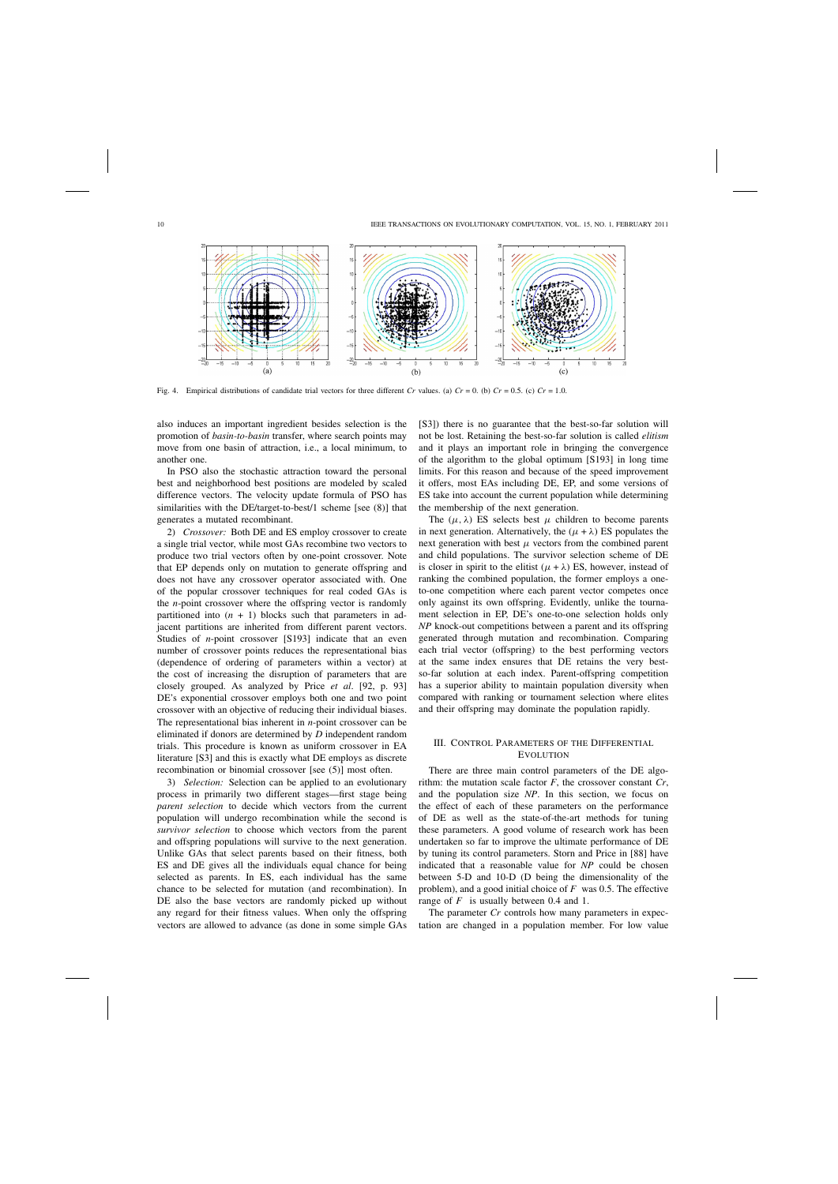

Fig. 4. Empirical distributions of candidate trial vectors for three different *Cr* values. (a)  $Cr = 0.6$  (b)  $Cr = 0.5$ . (c)  $Cr = 1.0$ .

also induces an important ingredient besides selection is the promotion of *basin-to-basin* transfer, where search points may move from one basin of attraction, i.e., a local minimum, to another one.

In PSO also the stochastic attraction toward the personal best and neighborhood best positions are modeled by scaled difference vectors. The velocity update formula of PSO has similarities with the DE/target-to-best/1 scheme [see (8)] that generates a mutated recombinant.

2) *Crossover:* Both DE and ES employ crossover to create a single trial vector, while most GAs recombine two vectors to produce two trial vectors often by one-point crossover. Note that EP depends only on mutation to generate offspring and does not have any crossover operator associated with. One of the popular crossover techniques for real coded GAs is the *n*-point crossover where the offspring vector is randomly partitioned into  $(n + 1)$  blocks such that parameters in adjacent partitions are inherited from different parent vectors. Studies of *n*-point crossover [S193] indicate that an even number of crossover points reduces the representational bias (dependence of ordering of parameters within a vector) at the cost of increasing the disruption of parameters that are closely grouped. As analyzed by Price *et al*. [92, p. 93] DE's exponential crossover employs both one and two point crossover with an objective of reducing their individual biases. The representational bias inherent in *n*-point crossover can be eliminated if donors are determined by *D* independent random trials. This procedure is known as uniform crossover in EA literature [S3] and this is exactly what DE employs as discrete recombination or binomial crossover [see (5)] most often.

3) *Selection:* Selection can be applied to an evolutionary process in primarily two different stages—first stage being *parent selection* to decide which vectors from the current population will undergo recombination while the second is *survivor selection* to choose which vectors from the parent and offspring populations will survive to the next generation. Unlike GAs that select parents based on their fitness, both ES and DE gives all the individuals equal chance for being selected as parents. In ES, each individual has the same chance to be selected for mutation (and recombination). In DE also the base vectors are randomly picked up without any regard for their fitness values. When only the offspring vectors are allowed to advance (as done in some simple GAs

[S3]) there is no guarantee that the best-so-far solution will not be lost. Retaining the best-so-far solution is called *elitism* and it plays an important role in bringing the convergence of the algorithm to the global optimum [S193] in long time limits. For this reason and because of the speed improvement it offers, most EAs including DE, EP, and some versions of ES take into account the current population while determining the membership of the next generation.

The  $(\mu, \lambda)$  ES selects best  $\mu$  children to become parents in next generation. Alternatively, the  $(\mu + \lambda)$  ES populates the next generation with best  $\mu$  vectors from the combined parent and child populations. The survivor selection scheme of DE is closer in spirit to the elitist  $(\mu + \lambda)$  ES, however, instead of ranking the combined population, the former employs a oneto-one competition where each parent vector competes once only against its own offspring. Evidently, unlike the tournament selection in EP, DE's one-to-one selection holds only *NP* knock-out competitions between a parent and its offspring generated through mutation and recombination. Comparing each trial vector (offspring) to the best performing vectors at the same index ensures that DE retains the very bestso-far solution at each index. Parent-offspring competition has a superior ability to maintain population diversity when compared with ranking or tournament selection where elites and their offspring may dominate the population rapidly.

# III. Control Parameters of the Differential **EVOLUTION**

There are three main control parameters of the DE algorithm: the mutation scale factor *F*, the crossover constant *Cr*, and the population size *NP*. In this section, we focus on the effect of each of these parameters on the performance of DE as well as the state-of-the-art methods for tuning these parameters. A good volume of research work has been undertaken so far to improve the ultimate performance of DE by tuning its control parameters. Storn and Price in [88] have indicated that a reasonable value for *NP* could be chosen between 5-D and 10-D (D being the dimensionality of the problem), and a good initial choice of *F* was 0.5. The effective range of *F* is usually between 0.4 and 1.

The parameter *Cr* controls how many parameters in expectation are changed in a population member. For low value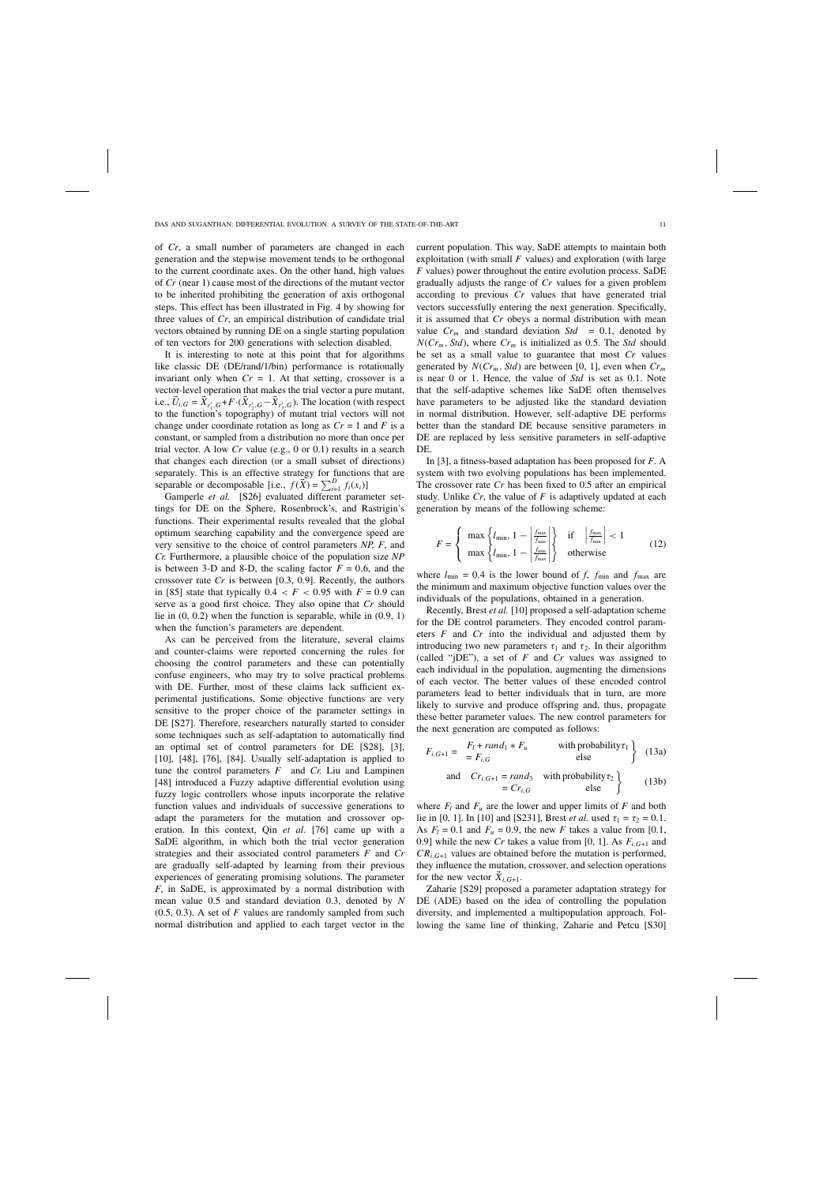of *Cr*, a small number of parameters are changed in each generation and the stepwise movement tends to be orthogonal to the current coordinate axes. On the other hand, high values of *Cr* (near 1) cause most of the directions of the mutant vector to be inherited prohibiting the generation of axis orthogonal steps. This effect has been illustrated in Fig. 4 by showing for three values of *Cr*, an empirical distribution of candidate trial vectors obtained by running DE on a single starting population of ten vectors for 200 generations with selection disabled.

It is interesting to note at this point that for algorithms like classic DE (DE/rand/1/bin) performance is rotationally invariant only when  $Cr = 1$ . At that setting, crossover is a vector-level operation that makes the trial vector a pure mutant, i.e.,  $\vec{U}_{i,G} = \vec{X}_{r_1^i,G} + F \cdot (\vec{X}_{r_2^i,G} - \vec{X}_{r_3^i,G})$ . The location (with respect to the function's topography) of mutant trial vectors will not change under coordinate rotation as long as  $Cr = 1$  and  $F$  is a constant, or sampled from a distribution no more than once per trial vector. A low *Cr* value (e.g., 0 or 0.1) results in a search that changes each direction (or a small subset of directions) separately. This is an effective strategy for functions that are separable or decomposable [i.e.,  $f(\vec{X}) = \sum_{i=1}^{D} f_i(x_i)$ ]

Gamperle *et al.* [S26] evaluated different parameter settings for DE on the Sphere, Rosenbrock's, and Rastrigin's functions. Their experimental results revealed that the global optimum searching capability and the convergence speed are very sensitive to the choice of control parameters *NP, F*, and *Cr.* Furthermore, a plausible choice of the population size *NP* is between 3-D and 8-D, the scaling factor  $F = 0.6$ , and the crossover rate *Cr* is between [0.3, 0.9]. Recently, the authors in [85] state that typically  $0.4 < F < 0.95$  with  $F = 0.9$  can serve as a good first choice. They also opine that *Cr* should lie in (0, 0.2) when the function is separable, while in (0.9, 1) when the function's parameters are dependent.

As can be perceived from the literature, several claims and counter-claims were reported concerning the rules for choosing the control parameters and these can potentially confuse engineers, who may try to solve practical problems with DE. Further, most of these claims lack sufficient experimental justifications. Some objective functions are very sensitive to the proper choice of the parameter settings in DE [S27]. Therefore, researchers naturally started to consider some techniques such as self-adaptation to automatically find an optimal set of control parameters for DE [S28], [3], [10], [48], [76], [84]. Usually self-adaptation is applied to tune the control parameters *F* and *Cr.* Liu and Lampinen [48] introduced a Fuzzy adaptive differential evolution using fuzzy logic controllers whose inputs incorporate the relative function values and individuals of successive generations to adapt the parameters for the mutation and crossover operation. In this context, Qin *et al*. [76] came up with a SaDE algorithm, in which both the trial vector generation strategies and their associated control parameters *F* and *Cr* are gradually self-adapted by learning from their previous experiences of generating promising solutions. The parameter *F*, in SaDE, is approximated by a normal distribution with mean value 0.5 and standard deviation 0.3, denoted by *N* (0.5, 0.3). A set of *F* values are randomly sampled from such normal distribution and applied to each target vector in the

current population. This way, SaDE attempts to maintain both exploitation (with small *F* values) and exploration (with large *F* values) power throughout the entire evolution process. SaDE gradually adjusts the range of *Cr* values for a given problem according to previous *Cr* values that have generated trial vectors successfully entering the next generation. Specifically, it is assumed that *Cr* obeys a normal distribution with mean value  $Cr_m$  and standard deviation *Std* = 0.1, denoted by  $N(Cr_m, Std)$ , where  $Cr_m$  is initialized as 0.5. The *Std* should be set as a small value to guarantee that most *Cr* values generated by  $N(Cr_m, Std)$  are between [0, 1], even when  $Cr_m$ is near 0 or 1. Hence, the value of *Std* is set as 0.1. Note that the self-adaptive schemes like SaDE often themselves have parameters to be adjusted like the standard deviation in normal distribution. However, self-adaptive DE performs better than the standard DE because sensitive parameters in DE are replaced by less sensitive parameters in self-adaptive DE.

In [3], a fitness-based adaptation has been proposed for *F*. A system with two evolving populations has been implemented. The crossover rate *Cr* has been fixed to 0.5 after an empirical study. Unlike *Cr*, the value of *F* is adaptively updated at each generation by means of the following scheme:

$$
F = \left\{ \begin{array}{c} \max \left\{ l_{\min}, 1 - \left| \frac{f_{\max}}{f_{\min}} \right| \right\} & \text{if} \quad \left| \frac{f_{\max}}{f_{\min}} \right| < 1\\ \max \left\{ l_{\min}, 1 - \left| \frac{f_{\min}}{f_{\max}} \right| \right\} & \text{otherwise} \end{array} \right. \tag{12}
$$

where  $l_{\text{min}} = 0.4$  is the lower bound of *f*,  $f_{\text{min}}$  and  $f_{\text{max}}$  are the minimum and maximum objective function values over the individuals of the populations, obtained in a generation.

Recently, Brest *et al.* [10] proposed a self-adaptation scheme for the DE control parameters. They encoded control parameters *F* and *Cr* into the individual and adjusted them by introducing two new parameters  $\tau_1$  and  $\tau_2$ . In their algorithm (called "jDE"), a set of *F* and *Cr* values was assigned to each individual in the population, augmenting the dimensions of each vector. The better values of these encoded control parameters lead to better individuals that in turn, are more likely to survive and produce offspring and, thus, propagate these better parameter values. The new control parameters for the next generation are computed as follows:

$$
F_{i,G+1} = \begin{array}{cc} F_l + rand_1 * F_u & \text{with probability } \tau_1 \\ = F_{i,G} & \text{else} \end{array} \tag{13a}
$$

and 
$$
Cr_{i,G+1} = rand_3
$$
 with probability $\tau_2$   
=  $Cr_{i,G}$  else (13b)

where  $F_l$  and  $F_u$  are the lower and upper limits of  $F$  and both lie in [0, 1]. In [10] and [S231], Brest *et al.* used  $\tau_1 = \tau_2 = 0.1$ . As  $F_l = 0.1$  and  $F_u = 0.9$ , the new *F* takes a value from [0.1, 0.9] while the new *Cr* takes a value from [0, 1]. As  $F_{i,G+1}$  and  $CR_{i,G+1}$  values are obtained before the mutation is performed, they influence the mutation, crossover, and selection operations for the new vector  $\vec{X}_{i,G+1}$ .

Zaharie [S29] proposed a parameter adaptation strategy for DE (ADE) based on the idea of controlling the population diversity, and implemented a multipopulation approach. Following the same line of thinking, Zaharie and Petcu [S30]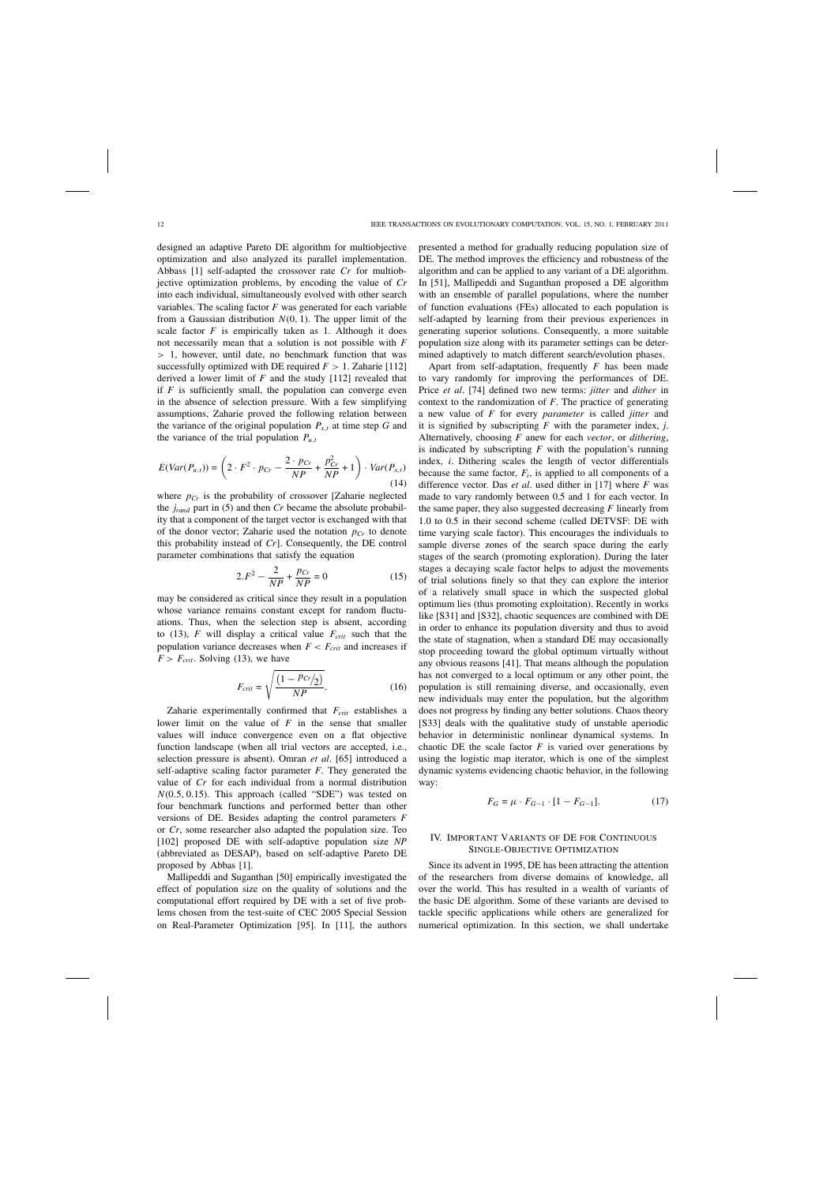designed an adaptive Pareto DE algorithm for multiobjective optimization and also analyzed its parallel implementation. Abbass [1] self-adapted the crossover rate *Cr* for multiobjective optimization problems, by encoding the value of *Cr* into each individual, simultaneously evolved with other search variables. The scaling factor *F* was generated for each variable from a Gaussian distribution *N*(0*,* 1). The upper limit of the scale factor  $F$  is empirically taken as 1. Although it does not necessarily mean that a solution is not possible with *F >* 1, however, until date, no benchmark function that was successfully optimized with DE required  $F > 1$ . Zaharie [112] derived a lower limit of *F* and the study [112] revealed that if *F* is sufficiently small, the population can converge even in the absence of selection pressure. With a few simplifying assumptions, Zaharie proved the following relation between the variance of the original population  $P_{x,t}$  at time step  $G$  and the variance of the trial population  $P_{u,t}$ 

$$
E(Var(P_{u,t})) = \left(2 \cdot F^2 \cdot p_{Cr} - \frac{2 \cdot p_{Cr}}{NP} + \frac{p_{Cr}^2}{NP} + 1\right) \cdot Var(P_{x,t})
$$
\n(14)

where  $p_{Cr}$  is the probability of crossover [Zaharie neglected the *jrand* part in (5) and then *Cr* became the absolute probability that a component of the target vector is exchanged with that of the donor vector; Zaharie used the notation  $p_{Cr}$  to denote this probability instead of *Cr*]. Consequently, the DE control parameter combinations that satisfy the equation

$$
2.F^2 - \frac{2}{NP} + \frac{p_{Cr}}{NP} = 0
$$
 (15)

may be considered as critical since they result in a population whose variance remains constant except for random fluctuations. Thus, when the selection step is absent, according to (13),  $F$  will display a critical value  $F_{crit}$  such that the population variance decreases when  $F < F<sub>crit</sub>$  and increases if  $F > F_{crit}$ . Solving (13), we have

$$
F_{crit} = \sqrt{\frac{\left(1 - \frac{Pcr}{2}\right)}{NP}}.\tag{16}
$$

Zaharie experimentally confirmed that  $F_{crit}$  establishes a lower limit on the value of *F* in the sense that smaller values will induce convergence even on a flat objective function landscape (when all trial vectors are accepted, i.e., selection pressure is absent). Omran *et al*. [65] introduced a self-adaptive scaling factor parameter *F*. They generated the value of *Cr* for each individual from a normal distribution *N*(0*.*5*,* 0*.*15). This approach (called "SDE") was tested on four benchmark functions and performed better than other versions of DE. Besides adapting the control parameters *F* or *Cr*, some researcher also adapted the population size. Teo [102] proposed DE with self-adaptive population size *NP* (abbreviated as DESAP), based on self-adaptive Pareto DE proposed by Abbas [1].

Mallipeddi and Suganthan [50] empirically investigated the effect of population size on the quality of solutions and the computational effort required by DE with a set of five problems chosen from the test-suite of CEC 2005 Special Session on Real-Parameter Optimization [95]. In [11], the authors presented a method for gradually reducing population size of DE. The method improves the efficiency and robustness of the algorithm and can be applied to any variant of a DE algorithm. In [51], Mallipeddi and Suganthan proposed a DE algorithm with an ensemble of parallel populations, where the number of function evaluations (FEs) allocated to each population is self-adapted by learning from their previous experiences in generating superior solutions. Consequently, a more suitable population size along with its parameter settings can be determined adaptively to match different search/evolution phases.

Apart from self-adaptation, frequently *F* has been made to vary randomly for improving the performances of DE. Price *et al*. [74] defined two new terms: *jitter* and *dither* in context to the randomization of *F*. The practice of generating a new value of *F* for every *parameter* is called *jitter* and it is signified by subscripting *F* with the parameter index, *j*. Alternatively, choosing *F* anew for each *vector*, or *dithering*, is indicated by subscripting *F* with the population's running index, *i*. Dithering scales the length of vector differentials because the same factor,  $F_i$ , is applied to all components of a difference vector. Das *et al*. used dither in [17] where *F* was made to vary randomly between 0.5 and 1 for each vector. In the same paper, they also suggested decreasing *F* linearly from 1.0 to 0.5 in their second scheme (called DETVSF: DE with time varying scale factor). This encourages the individuals to sample diverse zones of the search space during the early stages of the search (promoting exploration). During the later stages a decaying scale factor helps to adjust the movements of trial solutions finely so that they can explore the interior of a relatively small space in which the suspected global optimum lies (thus promoting exploitation). Recently in works like [S31] and [S32], chaotic sequences are combined with DE in order to enhance its population diversity and thus to avoid the state of stagnation, when a standard DE may occasionally stop proceeding toward the global optimum virtually without any obvious reasons [41]. That means although the population has not converged to a local optimum or any other point, the population is still remaining diverse, and occasionally, even new individuals may enter the population, but the algorithm does not progress by finding any better solutions. Chaos theory [S33] deals with the qualitative study of unstable aperiodic behavior in deterministic nonlinear dynamical systems. In chaotic DE the scale factor  $F$  is varied over generations by using the logistic map iterator, which is one of the simplest dynamic systems evidencing chaotic behavior, in the following way:

$$
F_G = \mu \cdot F_{G-1} \cdot [1 - F_{G-1}]. \tag{17}
$$

# IV. Important Variants of DE for Continuous Single-Objective Optimization

Since its advent in 1995, DE has been attracting the attention of the researchers from diverse domains of knowledge, all over the world. This has resulted in a wealth of variants of the basic DE algorithm. Some of these variants are devised to tackle specific applications while others are generalized for numerical optimization. In this section, we shall undertake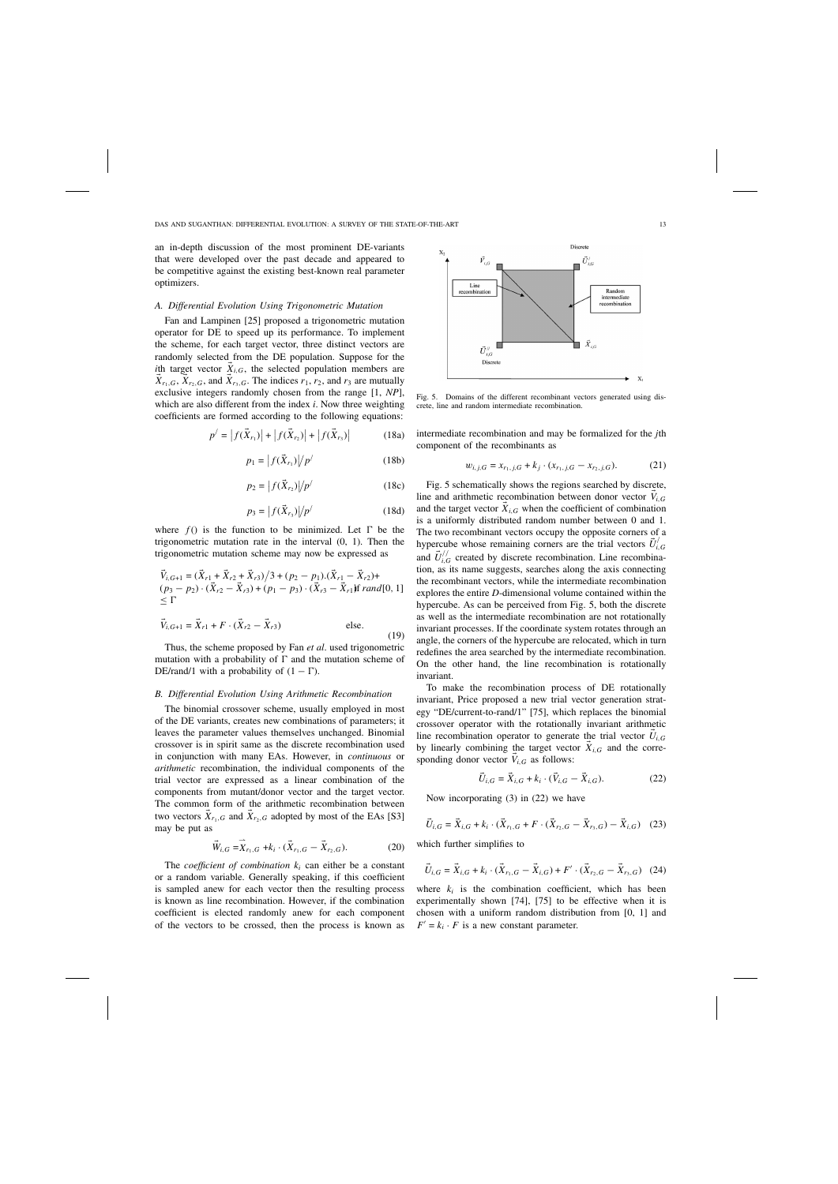an in-depth discussion of the most prominent DE-variants that were developed over the past decade and appeared to be competitive against the existing best-known real parameter optimizers.

# *A. Differential Evolution Using Trigonometric Mutation*

Fan and Lampinen [25] proposed a trigonometric mutation operator for DE to speed up its performance. To implement the scheme, for each target vector, three distinct vectors are randomly selected from the DE population. Suppose for the *i*th target vector  $\vec{X}_{i,G}$ , the selected population members are  $\vec{X}_{r_1,G}, \vec{X}_{r_2,G},$  and  $\vec{X}_{r_3,G}$ . The indices  $r_1, r_2$ , and  $r_3$  are mutually exclusive integers randomly chosen from the range [1, *NP*], which are also different from the index *i*. Now three weighting coefficients are formed according to the following equations:

$$
p' = |f(\vec{X}_{r_1})| + |f(\vec{X}_{r_2})| + |f(\vec{X}_{r_3})|
$$
 (18a)

$$
p_1 = \left| f(\vec{X}_{r_1}) \right| / p' \tag{18b}
$$

$$
p_2 = \left| f(\vec{X}_{r_2}) \right| / p' \tag{18c}
$$

$$
p_3 = |f(\vec{X}_{r_3})|/p'
$$
 (18d)

where  $f()$  is the function to be minimized. Let  $\Gamma$  be the trigonometric mutation rate in the interval (0, 1). Then the trigonometric mutation scheme may now be expressed as

$$
\vec{V}_{i,G+1} = (\vec{X}_{r1} + \vec{X}_{r2} + \vec{X}_{r3})/3 + (p_2 - p_1).(\vec{X}_{r1} - \vec{X}_{r2}) + (p_3 - p_2) \cdot (\vec{X}_{r2} - \vec{X}_{r3}) + (p_1 - p_3) \cdot (\vec{X}_{r3} - \vec{X}_{r1}) \text{ if } rand[0, 1] \leq \Gamma
$$

$$
\vec{V}_{i,G+1} = \vec{X}_{r1} + F \cdot (\vec{X}_{r2} - \vec{X}_{r3}) \qquad \text{else.} \tag{19}
$$

Thus, the scheme proposed by Fan *et al*. used trigonometric mutation with a probability of  $\Gamma$  and the mutation scheme of DE/rand/1 with a probability of  $(1 - \Gamma)$ .

#### *B. Differential Evolution Using Arithmetic Recombination*

The binomial crossover scheme, usually employed in most of the DE variants, creates new combinations of parameters; it leaves the parameter values themselves unchanged. Binomial crossover is in spirit same as the discrete recombination used in conjunction with many EAs. However, in *continuous* or *arithmetic* recombination, the individual components of the trial vector are expressed as a linear combination of the components from mutant/donor vector and the target vector. The common form of the arithmetic recombination between two vectors  $\vec{X}_{r_1,G}$  and  $\vec{X}_{r_2,G}$  adopted by most of the EAs [S3] may be put as

$$
\vec{W}_{i,G} = \vec{X}_{r_1,G} + k_i \cdot (\vec{X}_{r_1,G} - \vec{X}_{r_2,G}).
$$
 (20)

The *coefficient of combination*  $k_i$  can either be a constant or a random variable. Generally speaking, if this coefficient is sampled anew for each vector then the resulting process is known as line recombination. However, if the combination coefficient is elected randomly anew for each component of the vectors to be crossed, then the process is known as



Fig. 5. Domains of the different recombinant vectors generated using discrete, line and random intermediate recombination.

intermediate recombination and may be formalized for the *j*th component of the recombinants as

$$
w_{i,j,G} = x_{r_1,j,G} + k_j \cdot (x_{r_1,j,G} - x_{r_2,j,G}). \tag{21}
$$

Fig. 5 schematically shows the regions searched by discrete, line and arithmetic recombination between donor vector  $\vec{V}_{i,G}$ and the target vector  $\vec{X}_{i,G}$  when the coefficient of combination is a uniformly distributed random number between 0 and 1. The two recombinant vectors occupy the opposite corners of a hypercube whose remaining corners are the trial vectors  $\vec{U}_{i,G}^/$ and  $\vec{U}_{i,G}^{//}$  created by discrete recombination. Line recombination, as its name suggests, searches along the axis connecting the recombinant vectors, while the intermediate recombination explores the entire *D*-dimensional volume contained within the hypercube. As can be perceived from Fig. 5, both the discrete as well as the intermediate recombination are not rotationally invariant processes. If the coordinate system rotates through an angle, the corners of the hypercube are relocated, which in turn redefines the area searched by the intermediate recombination. On the other hand, the line recombination is rotationally invariant.

To make the recombination process of DE rotationally invariant, Price proposed a new trial vector generation strategy "DE/current-to-rand/1" [75], which replaces the binomial crossover operator with the rotationally invariant arithmetic line recombination operator to generate the trial vector  $\vec{U}_{i,G}$ by linearly combining the target vector  $\vec{X}_{i,G}$  and the corresponding donor vector  $\vec{V}_{i,G}$  as follows:

$$
\vec{U}_{i,G} = \vec{X}_{i,G} + k_i \cdot (\vec{V}_{i,G} - \vec{X}_{i,G}).
$$
 (22)

Now incorporating (3) in (22) we have

$$
\vec{U}_{i,G} = \vec{X}_{i,G} + k_i \cdot (\vec{X}_{r_1,G} + F \cdot (\vec{X}_{r_2,G} - \vec{X}_{r_3,G}) - \vec{X}_{i,G}) \tag{23}
$$

which further simplifies to

$$
\vec{U}_{i,G} = \vec{X}_{i,G} + k_i \cdot (\vec{X}_{r_1,G} - \vec{X}_{i,G}) + F' \cdot (\vec{X}_{r_2,G} - \vec{X}_{r_3,G}) \quad (24)
$$

where  $k_i$  is the combination coefficient, which has been experimentally shown [74], [75] to be effective when it is chosen with a uniform random distribution from [0, 1] and  $F' = k_i \cdot F$  is a new constant parameter.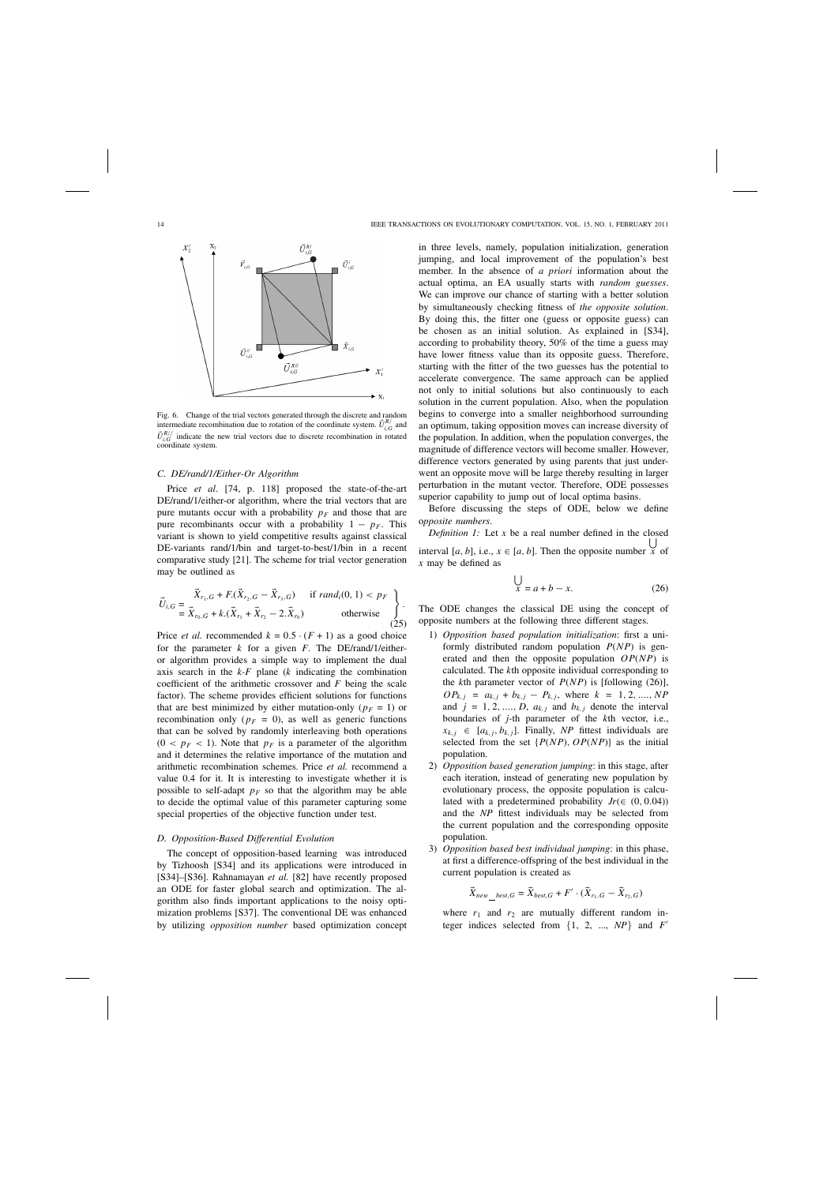

Fig. 6. Change of the trial vectors generated through the discrete and random intermediate recombination due to rotation of the coordinate system.  $\vec{U}_{i,G}^{R/}$  and  $\vec{U}_{i,G}^{R//}$  indicate the new trial vectors due to discrete recombination in rotated coordinate system.

#### *C. DE/rand/1/Either-Or Algorithm*

Price *et al*. [74, p. 118] proposed the state-of-the-art DE/rand/1/either-or algorithm, where the trial vectors that are pure mutants occur with a probability  $p_F$  and those that are pure recombinants occur with a probability  $1 - p_F$ . This variant is shown to yield competitive results against classical DE-variants rand/1/bin and target-to-best/1/bin in a recent comparative study [21]. The scheme for trial vector generation may be outlined as

$$
\vec{U}_{i,G} = \vec{X}_{r_1,G} + F.(\vec{X}_{r_2,G} - \vec{X}_{r_3,G}) \quad \text{if } rand_i(0,1) < p_F \\
= \vec{X}_{r_0,G} + k.(\vec{X}_{r_1} + \vec{X}_{r_2} - 2.\vec{X}_{r_0}) \quad \text{otherwise} \quad (25)
$$

Price *et al.* recommended  $k = 0.5 \cdot (F + 1)$  as a good choice for the parameter *k* for a given *F*. The DE/rand/1/eitheror algorithm provides a simple way to implement the dual axis search in the *k-F* plane (*k* indicating the combination coefficient of the arithmetic crossover and *F* being the scale factor). The scheme provides efficient solutions for functions that are best minimized by either mutation-only ( $p_F = 1$ ) or recombination only ( $p_F = 0$ ), as well as generic functions that can be solved by randomly interleaving both operations  $(0 < p_F < 1)$ . Note that  $p_F$  is a parameter of the algorithm and it determines the relative importance of the mutation and arithmetic recombination schemes. Price *et al.* recommend a value 0.4 for it. It is interesting to investigate whether it is possible to self-adapt  $p_F$  so that the algorithm may be able to decide the optimal value of this parameter capturing some special properties of the objective function under test.

#### *D. Opposition-Based Differential Evolution*

The concept of opposition-based learning was introduced by Tizhoosh [S34] and its applications were introduced in [S34]–[S36]. Rahnamayan *et al.* [82] have recently proposed an ODE for faster global search and optimization. The algorithm also finds important applications to the noisy optimization problems [S37]. The conventional DE was enhanced by utilizing *opposition number* based optimization concept

in three levels, namely, population initialization, generation jumping, and local improvement of the population's best member. In the absence of *a priori* information about the actual optima, an EA usually starts with *random guesses*. We can improve our chance of starting with a better solution by simultaneously checking fitness of *the opposite solution*. By doing this, the fitter one (guess or opposite guess) can be chosen as an initial solution. As explained in [S34], according to probability theory, 50% of the time a guess may have lower fitness value than its opposite guess. Therefore, starting with the fitter of the two guesses has the potential to accelerate convergence. The same approach can be applied not only to initial solutions but also continuously to each solution in the current population. Also, when the population begins to converge into a smaller neighborhood surrounding an optimum, taking opposition moves can increase diversity of the population. In addition, when the population converges, the magnitude of difference vectors will become smaller. However, difference vectors generated by using parents that just underwent an opposite move will be large thereby resulting in larger perturbation in the mutant vector. Therefore, ODE possesses superior capability to jump out of local optima basins.

Before discussing the steps of ODE, below we define o*pposite numbers*.

*Definition 1:* Let *x* be a real number defined in the closed interval [a, b], i.e.,  $x \in [a, b]$ . Then the opposite number x of *x* may be defined as

$$
\bigcup_{x = a + b - x} (26)
$$

The ODE changes the classical DE using the concept of opposite numbers at the following three different stages.

- 1) *Opposition based population initialization*: first a uniformly distributed random population *P*(*NP*) is generated and then the opposite population *OP*(*NP*) is calculated. The *k*th opposite individual corresponding to the *k*th parameter vector of *P*(*NP*) is [following (26)],  $OP_{k,j} = a_{k,j} + b_{k,j} - P_{k,j}$ , where  $k = 1, 2, ..., NP$ and  $j = 1, 2, \dots, D$ ,  $a_{k,i}$  and  $b_{k,i}$  denote the interval boundaries of *j-*th parameter of the *k*th vector, i.e.,  $x_{k,j} \in [a_{k,j}, b_{k,j}]$ . Finally, *NP* fittest individuals are selected from the set {*P*(*NP*)*, OP*(*NP*)} as the initial population.
- 2) *Opposition based generation jumping*: in this stage, after each iteration, instead of generating new population by evolutionary process, the opposite population is calculated with a predetermined probability  $Jr(\in (0, 0.04))$ and the *NP* fittest individuals may be selected from the current population and the corresponding opposite population.
- 3) *Opposition based best individual jumping*: in this phase, at first a difference-offspring of the best individual in the current population is created as

$$
\vec{X}_{new\_best,G} = \vec{X}_{best,G} + F' \cdot (\vec{X}_{r_1,G} - \vec{X}_{r_2,G})
$$

where  $r_1$  and  $r_2$  are mutually different random integer indices selected from {1, 2, ..., *NP*} and *F*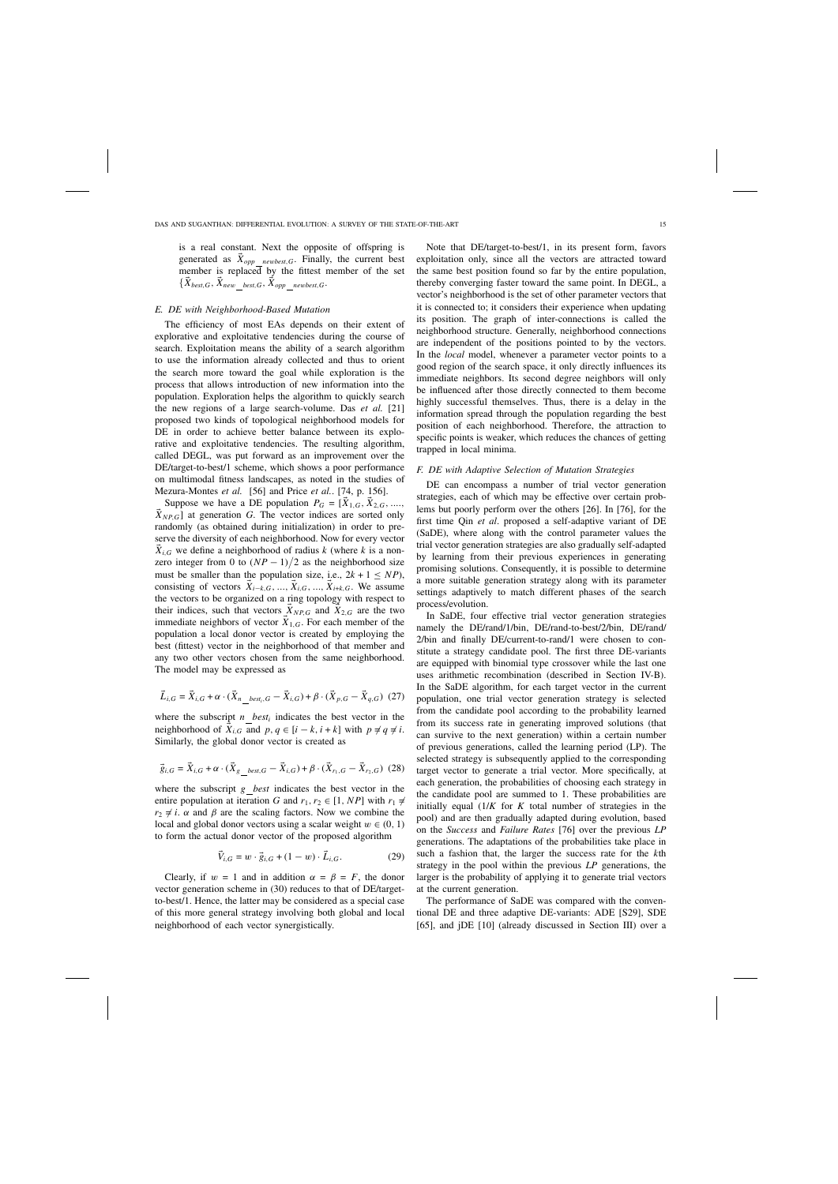is a real constant. Next the opposite of offspring is generated as  $\vec{X}_{opp}$  *newbest,G*. Finally, the current best member is replaced by the fittest member of the set  $\{\vec{X}_{best,G}, \vec{X}_{new} \}$  *best,G,*  $\vec{X}_{opp}$  *newbest,G.* 

# *E. DE with Neighborhood-Based Mutation*

The efficiency of most EAs depends on their extent of explorative and exploitative tendencies during the course of search. Exploitation means the ability of a search algorithm to use the information already collected and thus to orient the search more toward the goal while exploration is the process that allows introduction of new information into the population. Exploration helps the algorithm to quickly search the new regions of a large search-volume. Das *et al.* [21] proposed two kinds of topological neighborhood models for DE in order to achieve better balance between its explorative and exploitative tendencies. The resulting algorithm, called DEGL, was put forward as an improvement over the DE/target-to-best/1 scheme, which shows a poor performance on multimodal fitness landscapes, as noted in the studies of Mezura-Montes *et al.* [56] and Price *et al.*. [74, p. 156].

Suppose we have a DE population  $P_G = [\vec{X}_{1,G}, \vec{X}_{2,G}, \dots]$  $\vec{X}_{NP,G}$  at generation *G*. The vector indices are sorted only randomly (as obtained during initialization) in order to preserve the diversity of each neighborhood. Now for every vector  $\vec{X}_{i,G}$  we define a neighborhood of radius *k* (where *k* is a nonzero integer from 0 to  $(NP-1)/2$  as the neighborhood size must be smaller than the population size, i.e.,  $2k + 1 \le NP$ ), consisting of vectors  $\vec{X}_{i-k,G}, \dots, \vec{X}_{i,G}, \dots, \vec{X}_{i+k,G}$ . We assume the vectors to be organized on a ring topology with respect to their indices, such that vectors  $\vec{X}_{NP,G}$  and  $\vec{X}_{2,G}$  are the two immediate neighbors of vector  $\vec{X}_{1,G}$ . For each member of the population a local donor vector is created by employing the best (fittest) vector in the neighborhood of that member and any two other vectors chosen from the same neighborhood. The model may be expressed as

$$
\vec{L}_{i,G} = \vec{X}_{i,G} + \alpha \cdot (\vec{X}_{n\_best_i,G} - \vec{X}_{i,G}) + \beta \cdot (\vec{X}_{p,G} - \vec{X}_{q,G}) \tag{27}
$$

where the subscript  $n_{best_i}$  indicates the best vector in the neighborhood of  $\overline{X}_{i,G}$  and  $p, q \in [i-k, i+k]$  with  $p \neq q \neq i$ . Similarly, the global donor vector is created as

$$
\vec{g}_{i,G} = \vec{X}_{i,G} + \alpha \cdot (\vec{X}_{g\_{best,G}} - \vec{X}_{i,G}) + \beta \cdot (\vec{X}_{r_1,G} - \vec{X}_{r_2,G})
$$
(28)

where the subscript *g best* indicates the best vector in the entire population at iteration *G* and  $r_1, r_2 \in [1, NP]$  with  $r_1 \neq$  $r_2 \neq i$ .  $\alpha$  and  $\beta$  are the scaling factors. Now we combine the local and global donor vectors using a scalar weight  $w \in (0, 1)$ to form the actual donor vector of the proposed algorithm

$$
\vec{V}_{i,G} = w \cdot \vec{g}_{i,G} + (1 - w) \cdot \vec{L}_{i,G}.
$$
 (29)

Clearly, if  $w = 1$  and in addition  $\alpha = \beta = F$ , the donor vector generation scheme in (30) reduces to that of DE/targetto-best/1. Hence, the latter may be considered as a special case of this more general strategy involving both global and local neighborhood of each vector synergistically.

Note that DE/target-to-best/1, in its present form, favors exploitation only, since all the vectors are attracted toward the same best position found so far by the entire population, thereby converging faster toward the same point. In DEGL, a vector's neighborhood is the set of other parameter vectors that it is connected to; it considers their experience when updating its position. The graph of inter-connections is called the neighborhood structure. Generally, neighborhood connections are independent of the positions pointed to by the vectors. In the *local* model, whenever a parameter vector points to a good region of the search space, it only directly influences its immediate neighbors. Its second degree neighbors will only be influenced after those directly connected to them become highly successful themselves. Thus, there is a delay in the information spread through the population regarding the best position of each neighborhood. Therefore, the attraction to specific points is weaker, which reduces the chances of getting trapped in local minima.

#### *F. DE with Adaptive Selection of Mutation Strategies*

DE can encompass a number of trial vector generation strategies, each of which may be effective over certain problems but poorly perform over the others [26]. In [76], for the first time Qin *et al*. proposed a self-adaptive variant of DE (SaDE), where along with the control parameter values the trial vector generation strategies are also gradually self-adapted by learning from their previous experiences in generating promising solutions. Consequently, it is possible to determine a more suitable generation strategy along with its parameter settings adaptively to match different phases of the search process/evolution.

In SaDE, four effective trial vector generation strategies namely the DE/rand/1/bin, DE/rand-to-best/2/bin, DE/rand/ 2/bin and finally DE/current-to-rand/1 were chosen to constitute a strategy candidate pool. The first three DE-variants are equipped with binomial type crossover while the last one uses arithmetic recombination (described in Section IV-B). In the SaDE algorithm, for each target vector in the current population, one trial vector generation strategy is selected from the candidate pool according to the probability learned from its success rate in generating improved solutions (that can survive to the next generation) within a certain number of previous generations, called the learning period (LP). The selected strategy is subsequently applied to the corresponding target vector to generate a trial vector. More specifically, at each generation, the probabilities of choosing each strategy in the candidate pool are summed to 1. These probabilities are initially equal  $(1/K$  for  $K$  total number of strategies in the pool) and are then gradually adapted during evolution, based on the *Success* and *Failure Rates* [76] over the previous *LP* generations. The adaptations of the probabilities take place in such a fashion that, the larger the success rate for the *k*th strategy in the pool within the previous *LP* generations, the larger is the probability of applying it to generate trial vectors at the current generation.

The performance of SaDE was compared with the conventional DE and three adaptive DE-variants: ADE [S29], SDE [65], and jDE [10] (already discussed in Section III) over a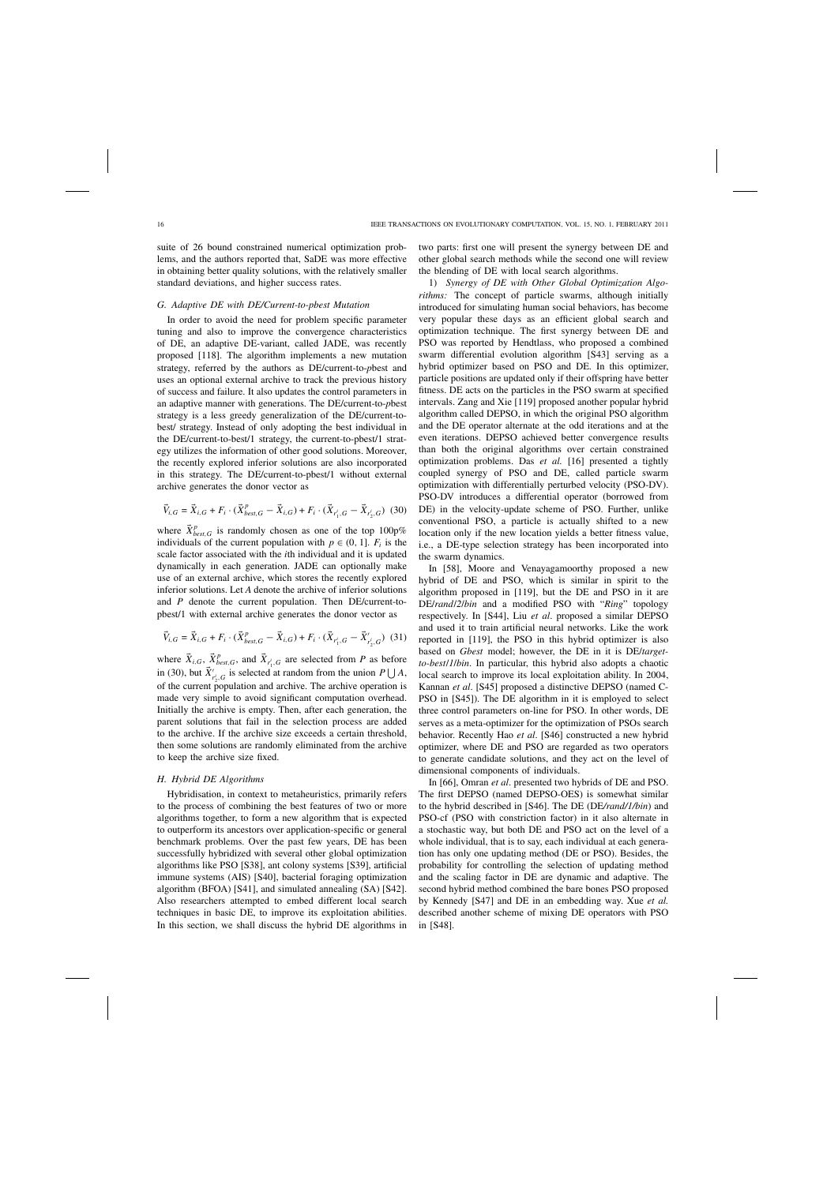suite of 26 bound constrained numerical optimization problems, and the authors reported that, SaDE was more effective in obtaining better quality solutions, with the relatively smaller standard deviations, and higher success rates.

#### *G. Adaptive DE with DE/Current-to-pbest Mutation*

In order to avoid the need for problem specific parameter tuning and also to improve the convergence characteristics of DE, an adaptive DE-variant, called JADE, was recently proposed [118]. The algorithm implements a new mutation strategy, referred by the authors as DE/current-to-*p*best and uses an optional external archive to track the previous history of success and failure. It also updates the control parameters in an adaptive manner with generations. The DE/current-to-*p*best strategy is a less greedy generalization of the DE/current-tobest/ strategy. Instead of only adopting the best individual in the DE/current-to-best/1 strategy, the current-to-pbest/1 strategy utilizes the information of other good solutions. Moreover, the recently explored inferior solutions are also incorporated in this strategy. The DE/current-to-pbest/1 without external archive generates the donor vector as

$$
\vec{V}_{i,G} = \vec{X}_{i,G} + F_i \cdot (\vec{X}_{best,G}^p - \vec{X}_{i,G}) + F_i \cdot (\vec{X}_{r_1',G} - \vec{X}_{r_2',G})
$$
 (30)

where  $\vec{X}_{best,G}^p$  is randomly chosen as one of the top 100p% individuals of the current population with  $p \in (0, 1]$ .  $F_i$  is the scale factor associated with the *i*th individual and it is updated dynamically in each generation. JADE can optionally make use of an external archive, which stores the recently explored inferior solutions. Let *A* denote the archive of inferior solutions and *P* denote the current population. Then DE/current-topbest/1 with external archive generates the donor vector as

$$
\vec{V}_{i,G} = \vec{X}_{i,G} + F_i \cdot (\vec{X}_{best,G}^p - \vec{X}_{i,G}) + F_i \cdot (\vec{X}_{r_1',G} - \vec{X}_{r_2',G}') \tag{31}
$$

where  $\vec{X}_{i,G}, \vec{X}_{best,G}^p$ , and  $\vec{X}_{r_i,G}$  are selected from *P* as before in (30), but  $\vec{X}'_{r_2, G}$  is selected at random from the union  $P \bigcup A$ , of the current population and archive. The archive operation is made very simple to avoid significant computation overhead. Initially the archive is empty. Then, after each generation, the parent solutions that fail in the selection process are added to the archive. If the archive size exceeds a certain threshold, then some solutions are randomly eliminated from the archive to keep the archive size fixed.

# *H. Hybrid DE Algorithms*

Hybridisation, in context to metaheuristics, primarily refers to the process of combining the best features of two or more algorithms together, to form a new algorithm that is expected to outperform its ancestors over application-specific or general benchmark problems. Over the past few years, DE has been successfully hybridized with several other global optimization algorithms like PSO [S38], ant colony systems [S39], artificial immune systems (AIS) [S40], bacterial foraging optimization algorithm (BFOA) [S41], and simulated annealing (SA) [S42]. Also researchers attempted to embed different local search techniques in basic DE, to improve its exploitation abilities. In this section, we shall discuss the hybrid DE algorithms in two parts: first one will present the synergy between DE and other global search methods while the second one will review the blending of DE with local search algorithms.

1) *Synergy of DE with Other Global Optimization Algorithms:* The concept of particle swarms, although initially introduced for simulating human social behaviors, has become very popular these days as an efficient global search and optimization technique. The first synergy between DE and PSO was reported by Hendtlass, who proposed a combined swarm differential evolution algorithm [S43] serving as a hybrid optimizer based on PSO and DE. In this optimizer, particle positions are updated only if their offspring have better fitness. DE acts on the particles in the PSO swarm at specified intervals. Zang and Xie [119] proposed another popular hybrid algorithm called DEPSO, in which the original PSO algorithm and the DE operator alternate at the odd iterations and at the even iterations. DEPSO achieved better convergence results than both the original algorithms over certain constrained optimization problems. Das *et al.* [16] presented a tightly coupled synergy of PSO and DE, called particle swarm optimization with differentially perturbed velocity (PSO-DV). PSO-DV introduces a differential operator (borrowed from DE) in the velocity-update scheme of PSO. Further, unlike conventional PSO, a particle is actually shifted to a new location only if the new location yields a better fitness value, i.e., a DE-type selection strategy has been incorporated into the swarm dynamics.

In [58], Moore and Venayagamoorthy proposed a new hybrid of DE and PSO, which is similar in spirit to the algorithm proposed in [119], but the DE and PSO in it are DE/*rand*/*2*/*bin* and a modified PSO with "*Ring*" topology respectively. In [S44], Liu *et al*. proposed a similar DEPSO and used it to train artificial neural networks. Like the work reported in [119], the PSO in this hybrid optimizer is also based on *Gbest* model; however, the DE in it is DE/*targetto-best*/*1*/*bin*. In particular, this hybrid also adopts a chaotic local search to improve its local exploitation ability. In 2004, Kannan *et al*. [S45] proposed a distinctive DEPSO (named C-PSO in [S45]). The DE algorithm in it is employed to select three control parameters on-line for PSO. In other words, DE serves as a meta-optimizer for the optimization of PSOs search behavior. Recently Hao *et al*. [S46] constructed a new hybrid optimizer, where DE and PSO are regarded as two operators to generate candidate solutions, and they act on the level of dimensional components of individuals.

In [66], Omran *et al*. presented two hybrids of DE and PSO. The first DEPSO (named DEPSO-OES) is somewhat similar to the hybrid described in [S46]. The DE (DE*/rand/1/bin*) and PSO-cf (PSO with constriction factor) in it also alternate in a stochastic way, but both DE and PSO act on the level of a whole individual, that is to say, each individual at each generation has only one updating method (DE or PSO). Besides, the probability for controlling the selection of updating method and the scaling factor in DE are dynamic and adaptive. The second hybrid method combined the bare bones PSO proposed by Kennedy [S47] and DE in an embedding way. Xue *et al.* described another scheme of mixing DE operators with PSO in [S48].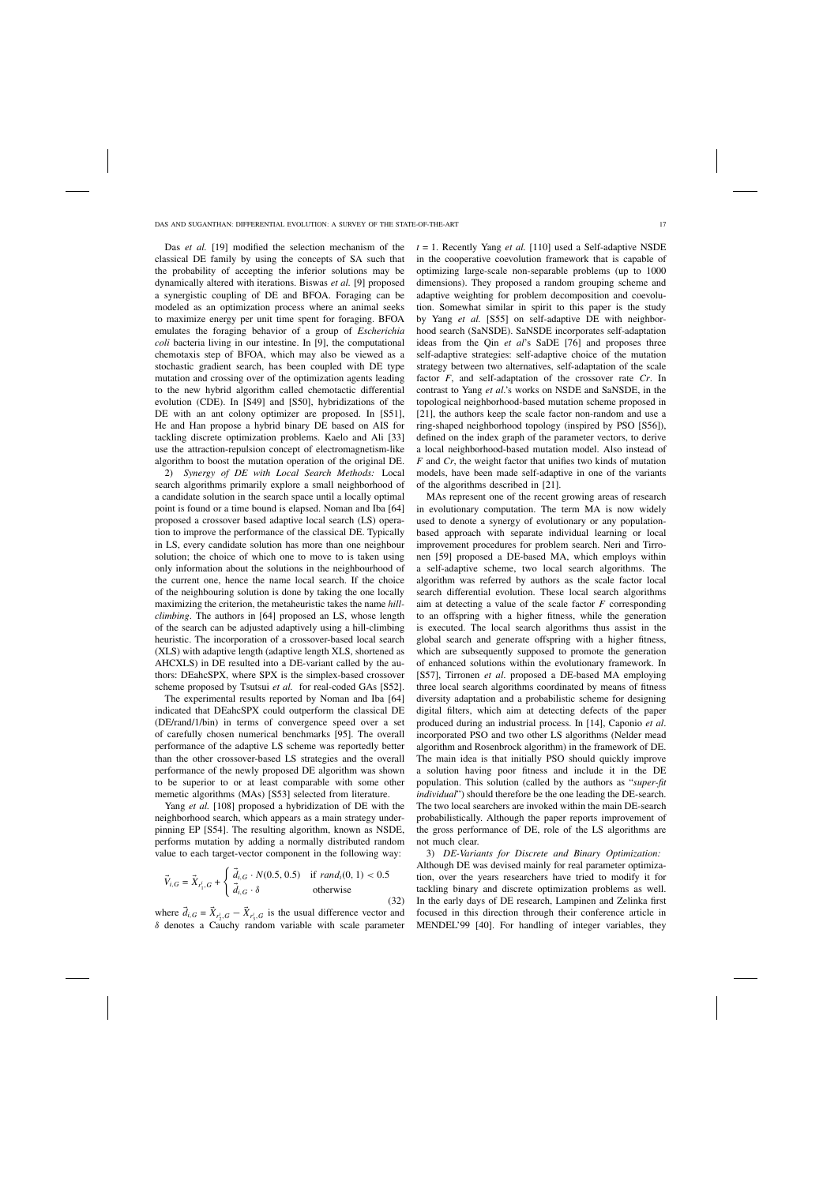Das *et al.* [19] modified the selection mechanism of the classical DE family by using the concepts of SA such that the probability of accepting the inferior solutions may be dynamically altered with iterations. Biswas *et al.* [9] proposed a synergistic coupling of DE and BFOA. Foraging can be modeled as an optimization process where an animal seeks to maximize energy per unit time spent for foraging. BFOA emulates the foraging behavior of a group of *Escherichia coli* bacteria living in our intestine. In [9], the computational chemotaxis step of BFOA, which may also be viewed as a stochastic gradient search, has been coupled with DE type mutation and crossing over of the optimization agents leading to the new hybrid algorithm called chemotactic differential evolution (CDE). In [S49] and [S50], hybridizations of the DE with an ant colony optimizer are proposed. In [S51], He and Han propose a hybrid binary DE based on AIS for tackling discrete optimization problems. Kaelo and Ali [33] use the attraction-repulsion concept of electromagnetism-like algorithm to boost the mutation operation of the original DE.

2) *Synergy of DE with Local Search Methods:* Local search algorithms primarily explore a small neighborhood of a candidate solution in the search space until a locally optimal point is found or a time bound is elapsed. Noman and Iba [64] proposed a crossover based adaptive local search (LS) operation to improve the performance of the classical DE. Typically in LS, every candidate solution has more than one neighbour solution; the choice of which one to move to is taken using only information about the solutions in the neighbourhood of the current one, hence the name local search. If the choice of the neighbouring solution is done by taking the one locally maximizing the criterion, the metaheuristic takes the name *hillclimbing*. The authors in [64] proposed an LS, whose length of the search can be adjusted adaptively using a hill-climbing heuristic. The incorporation of a crossover-based local search (XLS) with adaptive length (adaptive length XLS, shortened as AHCXLS) in DE resulted into a DE-variant called by the authors: DEahcSPX, where SPX is the simplex-based crossover scheme proposed by Tsutsui *et al.* for real-coded GAs [S52].

The experimental results reported by Noman and Iba [64] indicated that DEahcSPX could outperform the classical DE (DE/rand/1/bin) in terms of convergence speed over a set of carefully chosen numerical benchmarks [95]. The overall performance of the adaptive LS scheme was reportedly better than the other crossover-based LS strategies and the overall performance of the newly proposed DE algorithm was shown to be superior to or at least comparable with some other memetic algorithms (MAs) [S53] selected from literature.

Yang *et al.* [108] proposed a hybridization of DE with the neighborhood search, which appears as a main strategy underpinning EP [S54]. The resulting algorithm, known as NSDE, performs mutation by adding a normally distributed random value to each target-vector component in the following way:

$$
\vec{V}_{i,G} = \vec{X}_{r_i, G} + \begin{cases} \vec{d}_{i,G} \cdot N(0.5, 0.5) & \text{if } rand_i(0, 1) < 0.5\\ \vec{d}_{i,G} \cdot \delta & \text{otherwise} \end{cases}
$$
\n(32)

where  $\vec{d}_{i,G} = \vec{X}_{r_2^i,G} - \vec{X}_{r_3^i,G}$  is the usual difference vector and *δ* denotes a Cauchy random variable with scale parameter *t* = 1. Recently Yang *et al.* [110] used a Self-adaptive NSDE in the cooperative coevolution framework that is capable of optimizing large-scale non-separable problems (up to 1000 dimensions). They proposed a random grouping scheme and adaptive weighting for problem decomposition and coevolution. Somewhat similar in spirit to this paper is the study by Yang *et al.* [S55] on self-adaptive DE with neighborhood search (SaNSDE). SaNSDE incorporates self-adaptation ideas from the Qin *et al*'s SaDE [76] and proposes three self-adaptive strategies: self-adaptive choice of the mutation strategy between two alternatives, self-adaptation of the scale factor *F*, and self-adaptation of the crossover rate *Cr*. In contrast to Yang *et al*.'s works on NSDE and SaNSDE, in the topological neighborhood-based mutation scheme proposed in [21], the authors keep the scale factor non-random and use a ring-shaped neighborhood topology (inspired by PSO [S56]), defined on the index graph of the parameter vectors, to derive a local neighborhood-based mutation model. Also instead of *F* and *Cr*, the weight factor that unifies two kinds of mutation models, have been made self-adaptive in one of the variants of the algorithms described in [21].

MAs represent one of the recent growing areas of research in evolutionary computation. The term MA is now widely used to denote a synergy of evolutionary or any populationbased approach with separate individual learning or local improvement procedures for problem search. Neri and Tirronen [59] proposed a DE-based MA, which employs within a self-adaptive scheme, two local search algorithms. The algorithm was referred by authors as the scale factor local search differential evolution. These local search algorithms aim at detecting a value of the scale factor *F* corresponding to an offspring with a higher fitness, while the generation is executed. The local search algorithms thus assist in the global search and generate offspring with a higher fitness, which are subsequently supposed to promote the generation of enhanced solutions within the evolutionary framework. In [S57], Tirronen *et al*. proposed a DE-based MA employing three local search algorithms coordinated by means of fitness diversity adaptation and a probabilistic scheme for designing digital filters, which aim at detecting defects of the paper produced during an industrial process. In [14], Caponio *et al*. incorporated PSO and two other LS algorithms (Nelder mead algorithm and Rosenbrock algorithm) in the framework of DE. The main idea is that initially PSO should quickly improve a solution having poor fitness and include it in the DE population. This solution (called by the authors as "*super-fit individual*") should therefore be the one leading the DE-search. The two local searchers are invoked within the main DE-search probabilistically. Although the paper reports improvement of the gross performance of DE, role of the LS algorithms are not much clear.

3) *DE-Variants for Discrete and Binary Optimization:* Although DE was devised mainly for real parameter optimization, over the years researchers have tried to modify it for tackling binary and discrete optimization problems as well. In the early days of DE research, Lampinen and Zelinka first focused in this direction through their conference article in MENDEL'99 [40]. For handling of integer variables, they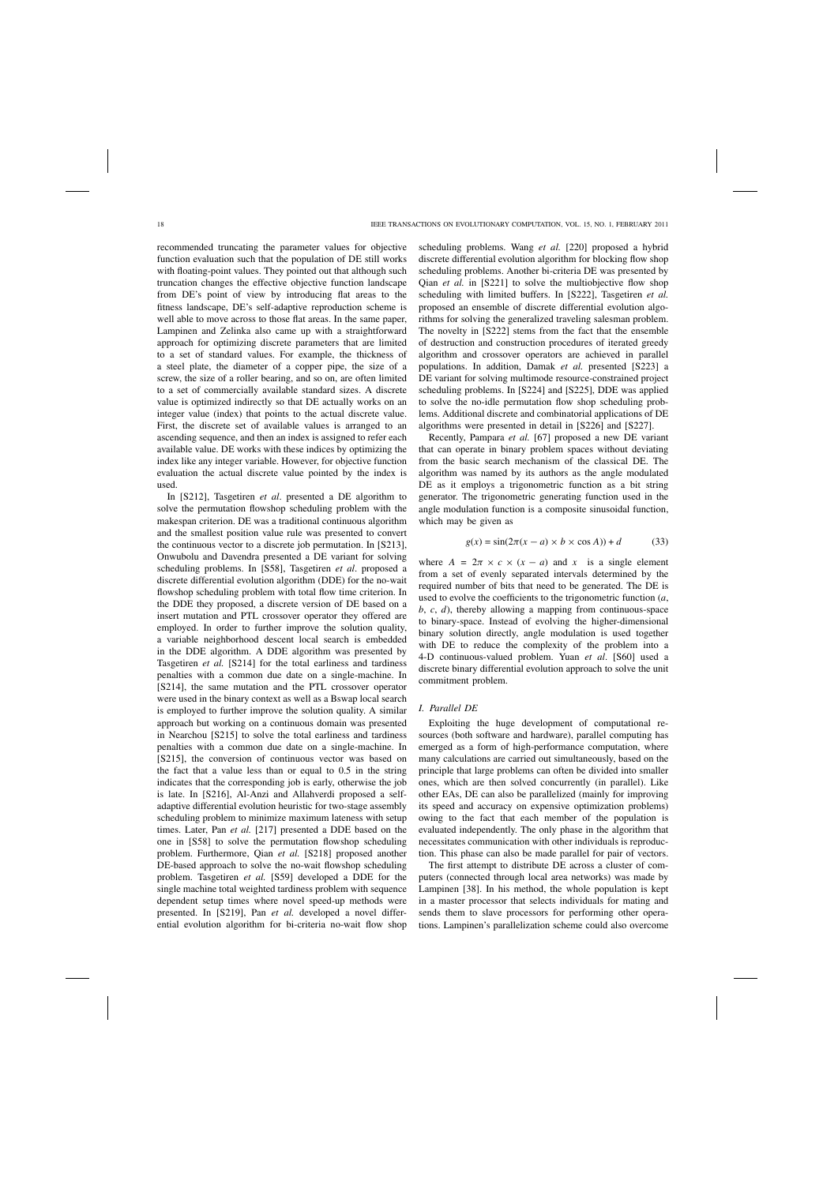recommended truncating the parameter values for objective function evaluation such that the population of DE still works with floating-point values. They pointed out that although such truncation changes the effective objective function landscape from DE's point of view by introducing flat areas to the fitness landscape, DE's self-adaptive reproduction scheme is well able to move across to those flat areas. In the same paper, Lampinen and Zelinka also came up with a straightforward approach for optimizing discrete parameters that are limited to a set of standard values. For example, the thickness of a steel plate, the diameter of a copper pipe, the size of a screw, the size of a roller bearing, and so on, are often limited to a set of commercially available standard sizes. A discrete value is optimized indirectly so that DE actually works on an integer value (index) that points to the actual discrete value. First, the discrete set of available values is arranged to an ascending sequence, and then an index is assigned to refer each available value. DE works with these indices by optimizing the index like any integer variable. However, for objective function evaluation the actual discrete value pointed by the index is used.

In [S212], Tasgetiren *et al*. presented a DE algorithm to solve the permutation flowshop scheduling problem with the makespan criterion. DE was a traditional continuous algorithm and the smallest position value rule was presented to convert the continuous vector to a discrete job permutation. In [S213], Onwubolu and Davendra presented a DE variant for solving scheduling problems. In [S58], Tasgetiren *et al*. proposed a discrete differential evolution algorithm (DDE) for the no-wait flowshop scheduling problem with total flow time criterion. In the DDE they proposed, a discrete version of DE based on a insert mutation and PTL crossover operator they offered are employed. In order to further improve the solution quality, a variable neighborhood descent local search is embedded in the DDE algorithm. A DDE algorithm was presented by Tasgetiren *et al.* [S214] for the total earliness and tardiness penalties with a common due date on a single-machine. In [S214], the same mutation and the PTL crossover operator were used in the binary context as well as a Bswap local search is employed to further improve the solution quality. A similar approach but working on a continuous domain was presented in Nearchou [S215] to solve the total earliness and tardiness penalties with a common due date on a single-machine. In [S215], the conversion of continuous vector was based on the fact that a value less than or equal to 0.5 in the string indicates that the corresponding job is early, otherwise the job is late. In [S216], Al-Anzi and Allahverdi proposed a selfadaptive differential evolution heuristic for two-stage assembly scheduling problem to minimize maximum lateness with setup times. Later, Pan *et al.* [217] presented a DDE based on the one in [S58] to solve the permutation flowshop scheduling problem. Furthermore, Qian *et al.* [S218] proposed another DE-based approach to solve the no-wait flowshop scheduling problem. Tasgetiren *et al.* [S59] developed a DDE for the single machine total weighted tardiness problem with sequence dependent setup times where novel speed-up methods were presented. In [S219], Pan *et al.* developed a novel differential evolution algorithm for bi-criteria no-wait flow shop scheduling problems. Wang *et al.* [220] proposed a hybrid discrete differential evolution algorithm for blocking flow shop scheduling problems. Another bi-criteria DE was presented by Qian *et al.* in [S221] to solve the multiobjective flow shop scheduling with limited buffers. In [S222], Tasgetiren *et al.* proposed an ensemble of discrete differential evolution algorithms for solving the generalized traveling salesman problem. The novelty in [S222] stems from the fact that the ensemble of destruction and construction procedures of iterated greedy algorithm and crossover operators are achieved in parallel populations. In addition, Damak *et al.* presented [S223] a DE variant for solving multimode resource-constrained project scheduling problems. In [S224] and [S225], DDE was applied to solve the no-idle permutation flow shop scheduling problems. Additional discrete and combinatorial applications of DE algorithms were presented in detail in [S226] and [S227].

Recently, Pampara *et al.* [67] proposed a new DE variant that can operate in binary problem spaces without deviating from the basic search mechanism of the classical DE. The algorithm was named by its authors as the angle modulated DE as it employs a trigonometric function as a bit string generator. The trigonometric generating function used in the angle modulation function is a composite sinusoidal function, which may be given as

$$
g(x) = \sin(2\pi(x - a) \times b \times \cos A)) + d \tag{33}
$$

where  $A = 2\pi \times c \times (x - a)$  and x is a single element from a set of evenly separated intervals determined by the required number of bits that need to be generated. The DE is used to evolve the coefficients to the trigonometric function (*a*, *b*, *c*, *d*), thereby allowing a mapping from continuous-space to binary-space. Instead of evolving the higher-dimensional binary solution directly, angle modulation is used together with DE to reduce the complexity of the problem into a 4-D continuous-valued problem. Yuan *et al*. [S60] used a discrete binary differential evolution approach to solve the unit commitment problem.

#### *I. Parallel DE*

Exploiting the huge development of computational resources (both software and hardware), parallel computing has emerged as a form of high-performance computation, where many calculations are carried out simultaneously, based on the principle that large problems can often be divided into smaller ones, which are then solved concurrently (in parallel). Like other EAs, DE can also be parallelized (mainly for improving its speed and accuracy on expensive optimization problems) owing to the fact that each member of the population is evaluated independently. The only phase in the algorithm that necessitates communication with other individuals is reproduction. This phase can also be made parallel for pair of vectors.

The first attempt to distribute DE across a cluster of computers (connected through local area networks) was made by Lampinen [38]. In his method, the whole population is kept in a master processor that selects individuals for mating and sends them to slave processors for performing other operations. Lampinen's parallelization scheme could also overcome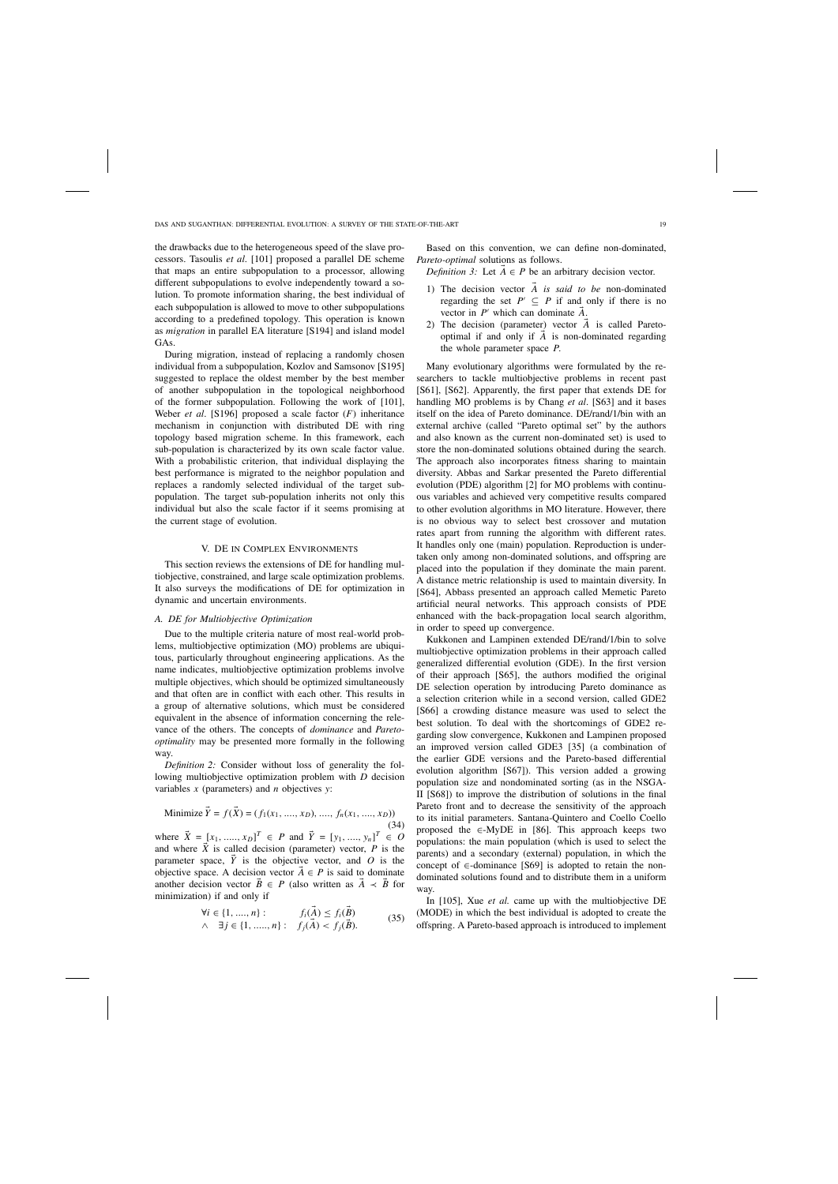the drawbacks due to the heterogeneous speed of the slave processors. Tasoulis *et al*. [101] proposed a parallel DE scheme that maps an entire subpopulation to a processor, allowing different subpopulations to evolve independently toward a solution. To promote information sharing, the best individual of each subpopulation is allowed to move to other subpopulations according to a predefined topology. This operation is known as *migration* in parallel EA literature [S194] and island model GAs.

During migration, instead of replacing a randomly chosen individual from a subpopulation, Kozlov and Samsonov [S195] suggested to replace the oldest member by the best member of another subpopulation in the topological neighborhood of the former subpopulation. Following the work of [101], Weber *et al*. [S196] proposed a scale factor (*F*) inheritance mechanism in conjunction with distributed DE with ring topology based migration scheme. In this framework, each sub-population is characterized by its own scale factor value. With a probabilistic criterion, that individual displaying the best performance is migrated to the neighbor population and replaces a randomly selected individual of the target subpopulation. The target sub-population inherits not only this individual but also the scale factor if it seems promising at the current stage of evolution.

#### V. DE in Complex Environments

This section reviews the extensions of DE for handling multiobjective, constrained, and large scale optimization problems. It also surveys the modifications of DE for optimization in dynamic and uncertain environments.

#### *A. DE for Multiobjective Optimization*

Due to the multiple criteria nature of most real-world problems, multiobjective optimization (MO) problems are ubiquitous, particularly throughout engineering applications. As the name indicates, multiobjective optimization problems involve multiple objectives, which should be optimized simultaneously and that often are in conflict with each other. This results in a group of alternative solutions, which must be considered equivalent in the absence of information concerning the relevance of the others. The concepts of *dominance* and *Paretooptimality* may be presented more formally in the following way.

*Definition 2:* Consider without loss of generality the following multiobjective optimization problem with *D* decision variables *x* (parameters) and *n* objectives *y*:

Minimize 
$$
\vec{Y} = f(\vec{X}) = (f_1(x_1, ..., x_D), ..., f_n(x_1, ..., x_D))
$$
 (34)

where  $\vec{X} = [x_1, \dots, x_D]^T \in P$  and  $\vec{Y} = [y_1, \dots, y_n]^T \in O$ and where  $\vec{X}$  is called decision (parameter) vector, *P* is the parameter space,  $\vec{Y}$  is the objective vector, and *O* is the objective space. A decision vector  $\vec{A} \in P$  is said to dominate another decision vector  $\vec{B} \in P$  (also written as  $\vec{A} \prec \vec{B}$  for minimization) if and only if

$$
\forall i \in \{1, ..., n\} : f_i(\vec{A}) \le f_i(\vec{B}) \land \exists j \in \{1, ..., n\} : f_j(\vec{A}) < f_j(\vec{B}).
$$
\n(35)

Based on this convention, we can define non-dominated, *Pareto-optimal* solutions as follows.

*Definition 3:* Let  $\vec{A} \in P$  be an arbitrary decision vector.

- 1) The decision vector  $\vec{A}$  is said to be non-dominated regarding the set  $P' \subseteq P$  if and only if there is no vector in  $P'$  which can dominate  $\vec{A}$ .
- 2) The decision (parameter) vector  $\vec{A}$  is called Paretooptimal if and only if  $\vec{A}$  is non-dominated regarding the whole parameter space *P.*

Many evolutionary algorithms were formulated by the researchers to tackle multiobjective problems in recent past [S61], [S62]. Apparently, the first paper that extends DE for handling MO problems is by Chang *et al*. [S63] and it bases itself on the idea of Pareto dominance. DE/rand/1/bin with an external archive (called "Pareto optimal set" by the authors and also known as the current non-dominated set) is used to store the non-dominated solutions obtained during the search. The approach also incorporates fitness sharing to maintain diversity. Abbas and Sarkar presented the Pareto differential evolution (PDE) algorithm [2] for MO problems with continuous variables and achieved very competitive results compared to other evolution algorithms in MO literature. However, there is no obvious way to select best crossover and mutation rates apart from running the algorithm with different rates. It handles only one (main) population. Reproduction is undertaken only among non-dominated solutions, and offspring are placed into the population if they dominate the main parent. A distance metric relationship is used to maintain diversity. In [S64], Abbass presented an approach called Memetic Pareto artificial neural networks. This approach consists of PDE enhanced with the back-propagation local search algorithm, in order to speed up convergence.

Kukkonen and Lampinen extended DE/rand/1/bin to solve multiobjective optimization problems in their approach called generalized differential evolution (GDE). In the first version of their approach [S65], the authors modified the original DE selection operation by introducing Pareto dominance as a selection criterion while in a second version, called GDE2 [S66] a crowding distance measure was used to select the best solution. To deal with the shortcomings of GDE2 regarding slow convergence, Kukkonen and Lampinen proposed an improved version called GDE3 [35] (a combination of the earlier GDE versions and the Pareto-based differential evolution algorithm [S67]). This version added a growing population size and nondominated sorting (as in the NSGA-II [S68]) to improve the distribution of solutions in the final Pareto front and to decrease the sensitivity of the approach to its initial parameters. Santana-Quintero and Coello Coello proposed the  $\in$ -MyDE in [86]. This approach keeps two populations: the main population (which is used to select the parents) and a secondary (external) population, in which the concept of ∈-dominance [S69] is adopted to retain the nondominated solutions found and to distribute them in a uniform way.

In [105], Xue *et al.* came up with the multiobjective DE (MODE) in which the best individual is adopted to create the offspring. A Pareto-based approach is introduced to implement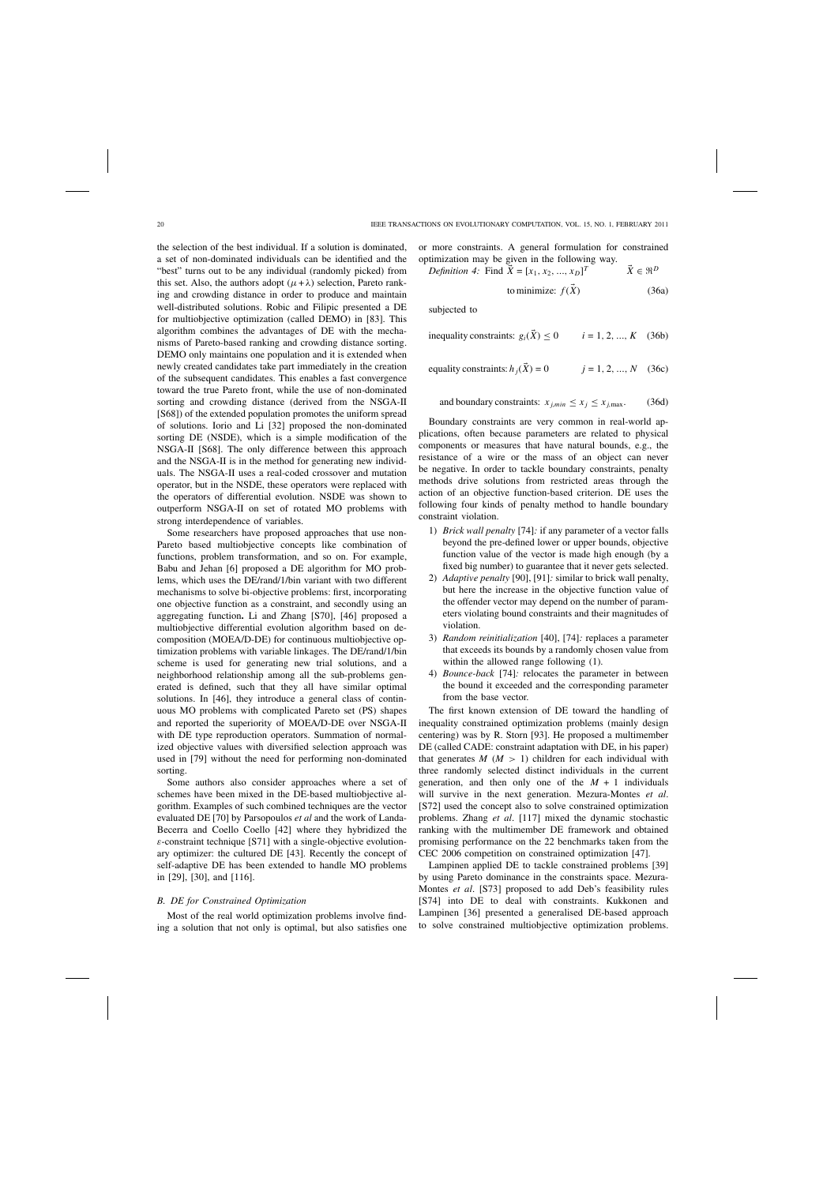the selection of the best individual. If a solution is dominated, a set of non-dominated individuals can be identified and the "best" turns out to be any individual (randomly picked) from this set. Also, the authors adopt  $(\mu + \lambda)$  selection, Pareto ranking and crowding distance in order to produce and maintain well-distributed solutions. Robic and Filipic presented a DE for multiobjective optimization (called DEMO) in [83]. This algorithm combines the advantages of DE with the mechanisms of Pareto-based ranking and crowding distance sorting. DEMO only maintains one population and it is extended when newly created candidates take part immediately in the creation of the subsequent candidates. This enables a fast convergence toward the true Pareto front, while the use of non-dominated sorting and crowding distance (derived from the NSGA-II [S68]) of the extended population promotes the uniform spread of solutions. Iorio and Li [32] proposed the non-dominated sorting DE (NSDE), which is a simple modification of the NSGA-II [S68]. The only difference between this approach and the NSGA-II is in the method for generating new individuals. The NSGA-II uses a real-coded crossover and mutation operator, but in the NSDE, these operators were replaced with the operators of differential evolution. NSDE was shown to outperform NSGA-II on set of rotated MO problems with strong interdependence of variables.

Some researchers have proposed approaches that use non-Pareto based multiobjective concepts like combination of functions, problem transformation, and so on. For example, Babu and Jehan [6] proposed a DE algorithm for MO problems, which uses the DE/rand/1/bin variant with two different mechanisms to solve bi-objective problems: first, incorporating one objective function as a constraint, and secondly using an aggregating function**.** Li and Zhang [S70], [46] proposed a multiobjective differential evolution algorithm based on decomposition (MOEA/D-DE) for continuous multiobjective optimization problems with variable linkages. The DE/rand/1/bin scheme is used for generating new trial solutions, and a neighborhood relationship among all the sub-problems generated is defined, such that they all have similar optimal solutions. In [46], they introduce a general class of continuous MO problems with complicated Pareto set (PS) shapes and reported the superiority of MOEA/D-DE over NSGA-II with DE type reproduction operators. Summation of normalized objective values with diversified selection approach was used in [79] without the need for performing non-dominated sorting.

Some authors also consider approaches where a set of schemes have been mixed in the DE-based multiobjective algorithm. Examples of such combined techniques are the vector evaluated DE [70] by Parsopoulos *et al* and the work of Landa-Becerra and Coello Coello [42] where they hybridized the *ε*-constraint technique [S71] with a single-objective evolutionary optimizer: the cultured DE [43]. Recently the concept of self-adaptive DE has been extended to handle MO problems in [29], [30], and [116].

#### *B. DE for Constrained Optimization*

Most of the real world optimization problems involve finding a solution that not only is optimal, but also satisfies one or more constraints. A general formulation for constrained optimization may be given in the following way.

*Definition 4:* Find 
$$
\vec{X} = [x_1, x_2, ..., x_D]^T
$$
  $\vec{X} \in \mathbb{R}^D$   
to minimize:  $f(\vec{X})$  (36a)

subjected to

inequality constraints: 
$$
g_i(\vec{X}) \le 0
$$
  $i = 1, 2, ..., K$  (36b)

equality constraints: 
$$
h_j(\vec{X}) = 0
$$
  $j = 1, 2, ..., N$  (36c)

and boundary constraints: 
$$
x_{j,min} \le x_j \le x_{j,max}
$$
. (36d)

Boundary constraints are very common in real-world applications, often because parameters are related to physical components or measures that have natural bounds, e.g., the resistance of a wire or the mass of an object can never be negative. In order to tackle boundary constraints, penalty methods drive solutions from restricted areas through the action of an objective function-based criterion. DE uses the following four kinds of penalty method to handle boundary constraint violation.

- 1) *Brick wall penalty* [74]*:* if any parameter of a vector falls beyond the pre-defined lower or upper bounds, objective function value of the vector is made high enough (by a fixed big number) to guarantee that it never gets selected.
- 2) *Adaptive penalty* [90], [91]*:* similar to brick wall penalty, but here the increase in the objective function value of the offender vector may depend on the number of parameters violating bound constraints and their magnitudes of violation.
- 3) *Random reinitialization* [40], [74]*:* replaces a parameter that exceeds its bounds by a randomly chosen value from within the allowed range following (1).
- 4) *Bounce-back* [74]*:* relocates the parameter in between the bound it exceeded and the corresponding parameter from the base vector.

The first known extension of DE toward the handling of inequality constrained optimization problems (mainly design centering) was by R. Storn [93]. He proposed a multimember DE (called CADE: constraint adaptation with DE, in his paper) that generates  $M$  ( $M > 1$ ) children for each individual with three randomly selected distinct individuals in the current generation, and then only one of the  $M + 1$  individuals will survive in the next generation. Mezura-Montes *et al*. [S72] used the concept also to solve constrained optimization problems. Zhang *et al*. [117] mixed the dynamic stochastic ranking with the multimember DE framework and obtained promising performance on the 22 benchmarks taken from the CEC 2006 competition on constrained optimization [47].

Lampinen applied DE to tackle constrained problems [39] by using Pareto dominance in the constraints space. Mezura-Montes *et al*. [S73] proposed to add Deb's feasibility rules [S74] into DE to deal with constraints. Kukkonen and Lampinen [36] presented a generalised DE-based approach to solve constrained multiobjective optimization problems.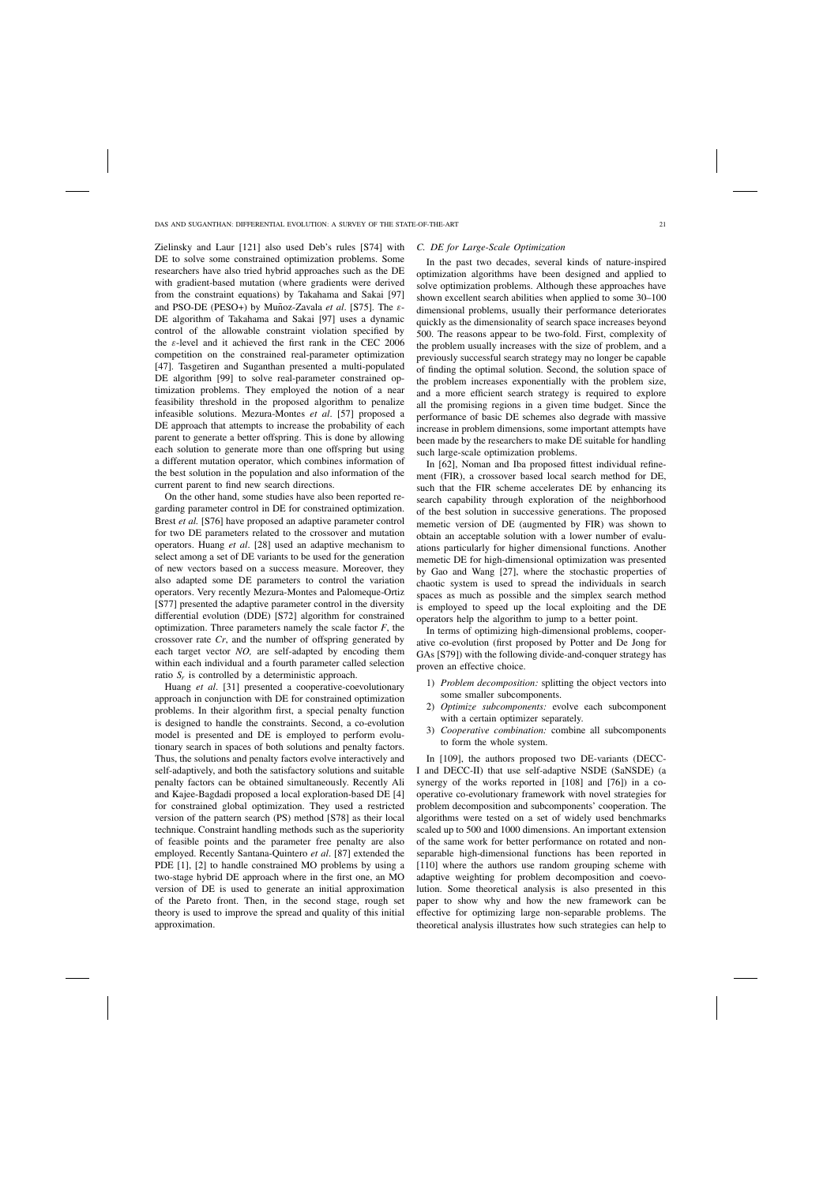Zielinsky and Laur [121] also used Deb's rules [S74] with DE to solve some constrained optimization problems. Some researchers have also tried hybrid approaches such as the DE with gradient-based mutation (where gradients were derived from the constraint equations) by Takahama and Sakai [97] and PSO-DE (PESO+) by Muñoz-Zavala *et al.* [S75]. The *ε*-DE algorithm of Takahama and Sakai [97] uses a dynamic control of the allowable constraint violation specified by the *ε*-level and it achieved the first rank in the CEC 2006 competition on the constrained real-parameter optimization [47]. Tasgetiren and Suganthan presented a multi-populated DE algorithm [99] to solve real-parameter constrained optimization problems. They employed the notion of a near feasibility threshold in the proposed algorithm to penalize infeasible solutions. Mezura-Montes *et al*. [57] proposed a DE approach that attempts to increase the probability of each parent to generate a better offspring. This is done by allowing each solution to generate more than one offspring but using a different mutation operator, which combines information of the best solution in the population and also information of the current parent to find new search directions.

On the other hand, some studies have also been reported regarding parameter control in DE for constrained optimization. Brest *et al.* [S76] have proposed an adaptive parameter control for two DE parameters related to the crossover and mutation operators. Huang *et al*. [28] used an adaptive mechanism to select among a set of DE variants to be used for the generation of new vectors based on a success measure. Moreover, they also adapted some DE parameters to control the variation operators. Very recently Mezura-Montes and Palomeque-Ortiz [S77] presented the adaptive parameter control in the diversity differential evolution (DDE) [S72] algorithm for constrained optimization. Three parameters namely the scale factor *F*, the crossover rate *Cr*, and the number of offspring generated by each target vector *NO,* are self-adapted by encoding them within each individual and a fourth parameter called selection ratio  $S_r$  is controlled by a deterministic approach.

Huang *et al*. [31] presented a cooperative-coevolutionary approach in conjunction with DE for constrained optimization problems. In their algorithm first, a special penalty function is designed to handle the constraints. Second, a co-evolution model is presented and DE is employed to perform evolutionary search in spaces of both solutions and penalty factors. Thus, the solutions and penalty factors evolve interactively and self-adaptively, and both the satisfactory solutions and suitable penalty factors can be obtained simultaneously. Recently Ali and Kajee-Bagdadi proposed a local exploration-based DE [4] for constrained global optimization. They used a restricted version of the pattern search (PS) method [S78] as their local technique. Constraint handling methods such as the superiority of feasible points and the parameter free penalty are also employed. Recently Santana-Quintero *et al*. [87] extended the PDE [1], [2] to handle constrained MO problems by using a two-stage hybrid DE approach where in the first one, an MO version of DE is used to generate an initial approximation of the Pareto front. Then, in the second stage, rough set theory is used to improve the spread and quality of this initial approximation.

#### *C. DE for Large-Scale Optimization*

In the past two decades, several kinds of nature-inspired optimization algorithms have been designed and applied to solve optimization problems. Although these approaches have shown excellent search abilities when applied to some 30–100 dimensional problems, usually their performance deteriorates quickly as the dimensionality of search space increases beyond 500. The reasons appear to be two-fold. First, complexity of the problem usually increases with the size of problem, and a previously successful search strategy may no longer be capable of finding the optimal solution. Second, the solution space of the problem increases exponentially with the problem size, and a more efficient search strategy is required to explore all the promising regions in a given time budget. Since the performance of basic DE schemes also degrade with massive increase in problem dimensions, some important attempts have been made by the researchers to make DE suitable for handling such large-scale optimization problems.

In [62], Noman and Iba proposed fittest individual refinement (FIR), a crossover based local search method for DE, such that the FIR scheme accelerates DE by enhancing its search capability through exploration of the neighborhood of the best solution in successive generations. The proposed memetic version of DE (augmented by FIR) was shown to obtain an acceptable solution with a lower number of evaluations particularly for higher dimensional functions. Another memetic DE for high-dimensional optimization was presented by Gao and Wang [27], where the stochastic properties of chaotic system is used to spread the individuals in search spaces as much as possible and the simplex search method is employed to speed up the local exploiting and the DE operators help the algorithm to jump to a better point.

In terms of optimizing high-dimensional problems, cooperative co-evolution (first proposed by Potter and De Jong for GAs [S79]) with the following divide-and-conquer strategy has proven an effective choice.

- 1) *Problem decomposition:* splitting the object vectors into some smaller subcomponents.
- 2) *Optimize subcomponents:* evolve each subcomponent with a certain optimizer separately.
- 3) *Cooperative combination:* combine all subcomponents to form the whole system.

In [109], the authors proposed two DE-variants (DECC-I and DECC-II) that use self-adaptive NSDE (SaNSDE) (a synergy of the works reported in [108] and [76]) in a cooperative co-evolutionary framework with novel strategies for problem decomposition and subcomponents' cooperation. The algorithms were tested on a set of widely used benchmarks scaled up to 500 and 1000 dimensions. An important extension of the same work for better performance on rotated and nonseparable high-dimensional functions has been reported in [110] where the authors use random grouping scheme with adaptive weighting for problem decomposition and coevolution. Some theoretical analysis is also presented in this paper to show why and how the new framework can be effective for optimizing large non-separable problems. The theoretical analysis illustrates how such strategies can help to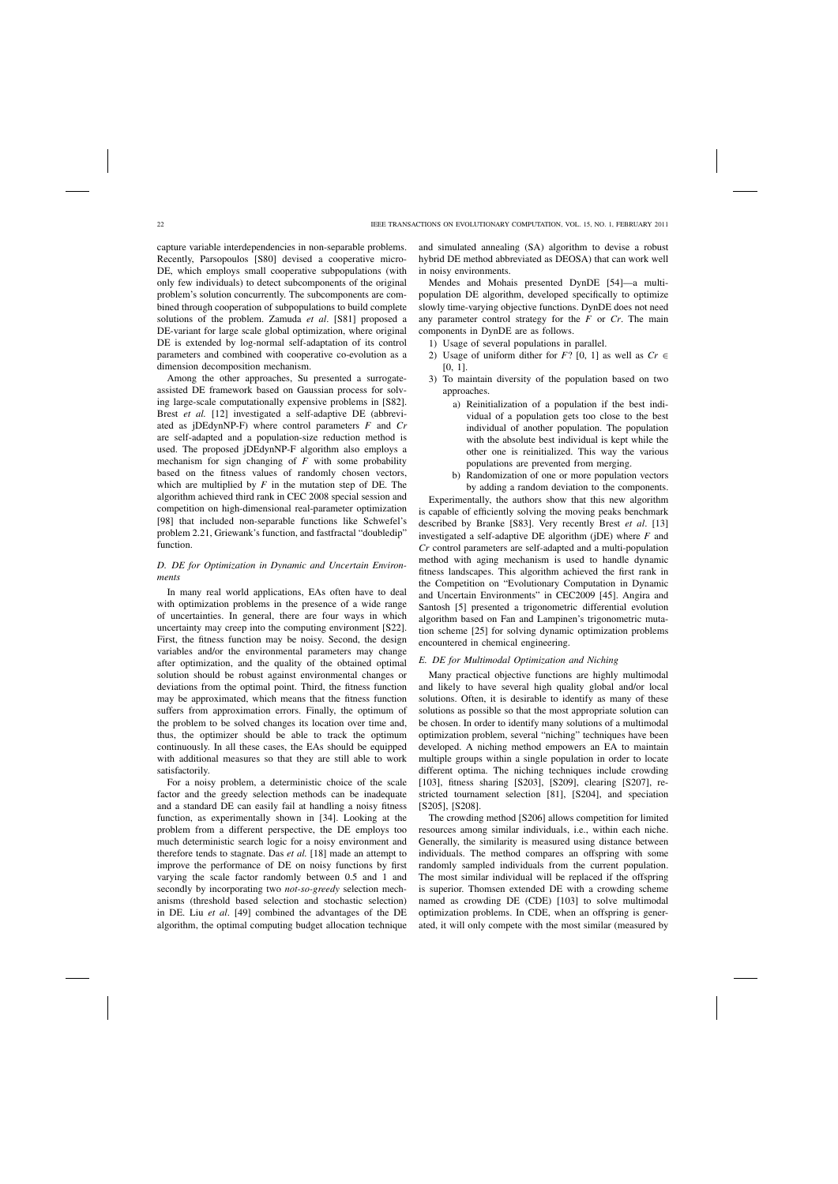capture variable interdependencies in non-separable problems. Recently, Parsopoulos [S80] devised a cooperative micro-DE, which employs small cooperative subpopulations (with only few individuals) to detect subcomponents of the original problem's solution concurrently. The subcomponents are combined through cooperation of subpopulations to build complete solutions of the problem. Zamuda *et al*. [S81] proposed a DE-variant for large scale global optimization, where original DE is extended by log-normal self-adaptation of its control parameters and combined with cooperative co-evolution as a dimension decomposition mechanism.

Among the other approaches, Su presented a surrogateassisted DE framework based on Gaussian process for solving large-scale computationally expensive problems in [S82]. Brest *et al.* [12] investigated a self-adaptive DE (abbreviated as jDEdynNP-F) where control parameters *F* and *Cr* are self-adapted and a population-size reduction method is used. The proposed jDEdynNP-F algorithm also employs a mechanism for sign changing of *F* with some probability based on the fitness values of randomly chosen vectors, which are multiplied by  $F$  in the mutation step of DE. The algorithm achieved third rank in CEC 2008 special session and competition on high-dimensional real-parameter optimization [98] that included non-separable functions like Schwefel's problem 2.21, Griewank's function, and fastfractal "doubledip" function.

# *D. DE for Optimization in Dynamic and Uncertain Environments*

In many real world applications, EAs often have to deal with optimization problems in the presence of a wide range of uncertainties. In general, there are four ways in which uncertainty may creep into the computing environment [S22]. First, the fitness function may be noisy. Second, the design variables and/or the environmental parameters may change after optimization, and the quality of the obtained optimal solution should be robust against environmental changes or deviations from the optimal point. Third, the fitness function may be approximated, which means that the fitness function suffers from approximation errors. Finally, the optimum of the problem to be solved changes its location over time and, thus, the optimizer should be able to track the optimum continuously. In all these cases, the EAs should be equipped with additional measures so that they are still able to work satisfactorily.

For a noisy problem, a deterministic choice of the scale factor and the greedy selection methods can be inadequate and a standard DE can easily fail at handling a noisy fitness function, as experimentally shown in [34]. Looking at the problem from a different perspective, the DE employs too much deterministic search logic for a noisy environment and therefore tends to stagnate. Das *et al.* [18] made an attempt to improve the performance of DE on noisy functions by first varying the scale factor randomly between 0.5 and 1 and secondly by incorporating two *not-so-greedy* selection mechanisms (threshold based selection and stochastic selection) in DE. Liu *et al*. [49] combined the advantages of the DE algorithm, the optimal computing budget allocation technique and simulated annealing (SA) algorithm to devise a robust hybrid DE method abbreviated as DEOSA) that can work well in noisy environments.

Mendes and Mohais presented DynDE [54]—a multipopulation DE algorithm, developed specifically to optimize slowly time-varying objective functions. DynDE does not need any parameter control strategy for the *F* or *Cr*. The main components in DynDE are as follows.

- 1) Usage of several populations in parallel.
- 2) Usage of uniform dither for  $F$ ? [0, 1] as well as  $Cr \in$ [0, 1].
- 3) To maintain diversity of the population based on two approaches.
	- a) Reinitialization of a population if the best individual of a population gets too close to the best individual of another population. The population with the absolute best individual is kept while the other one is reinitialized. This way the various populations are prevented from merging.
	- b) Randomization of one or more population vectors by adding a random deviation to the components.

Experimentally, the authors show that this new algorithm is capable of efficiently solving the moving peaks benchmark described by Branke [S83]. Very recently Brest *et al*. [13] investigated a self-adaptive DE algorithm (jDE) where *F* and *Cr* control parameters are self-adapted and a multi-population method with aging mechanism is used to handle dynamic fitness landscapes. This algorithm achieved the first rank in the Competition on "Evolutionary Computation in Dynamic and Uncertain Environments" in CEC2009 [45]. Angira and Santosh [5] presented a trigonometric differential evolution algorithm based on Fan and Lampinen's trigonometric mutation scheme [25] for solving dynamic optimization problems encountered in chemical engineering.

# *E. DE for Multimodal Optimization and Niching*

Many practical objective functions are highly multimodal and likely to have several high quality global and/or local solutions. Often, it is desirable to identify as many of these solutions as possible so that the most appropriate solution can be chosen. In order to identify many solutions of a multimodal optimization problem, several "niching" techniques have been developed. A niching method empowers an EA to maintain multiple groups within a single population in order to locate different optima. The niching techniques include crowding [103], fitness sharing [S203], [S209], clearing [S207], restricted tournament selection [81], [S204], and speciation [S205], [S208].

The crowding method [S206] allows competition for limited resources among similar individuals, i.e., within each niche. Generally, the similarity is measured using distance between individuals. The method compares an offspring with some randomly sampled individuals from the current population. The most similar individual will be replaced if the offspring is superior. Thomsen extended DE with a crowding scheme named as crowding DE (CDE) [103] to solve multimodal optimization problems. In CDE, when an offspring is generated, it will only compete with the most similar (measured by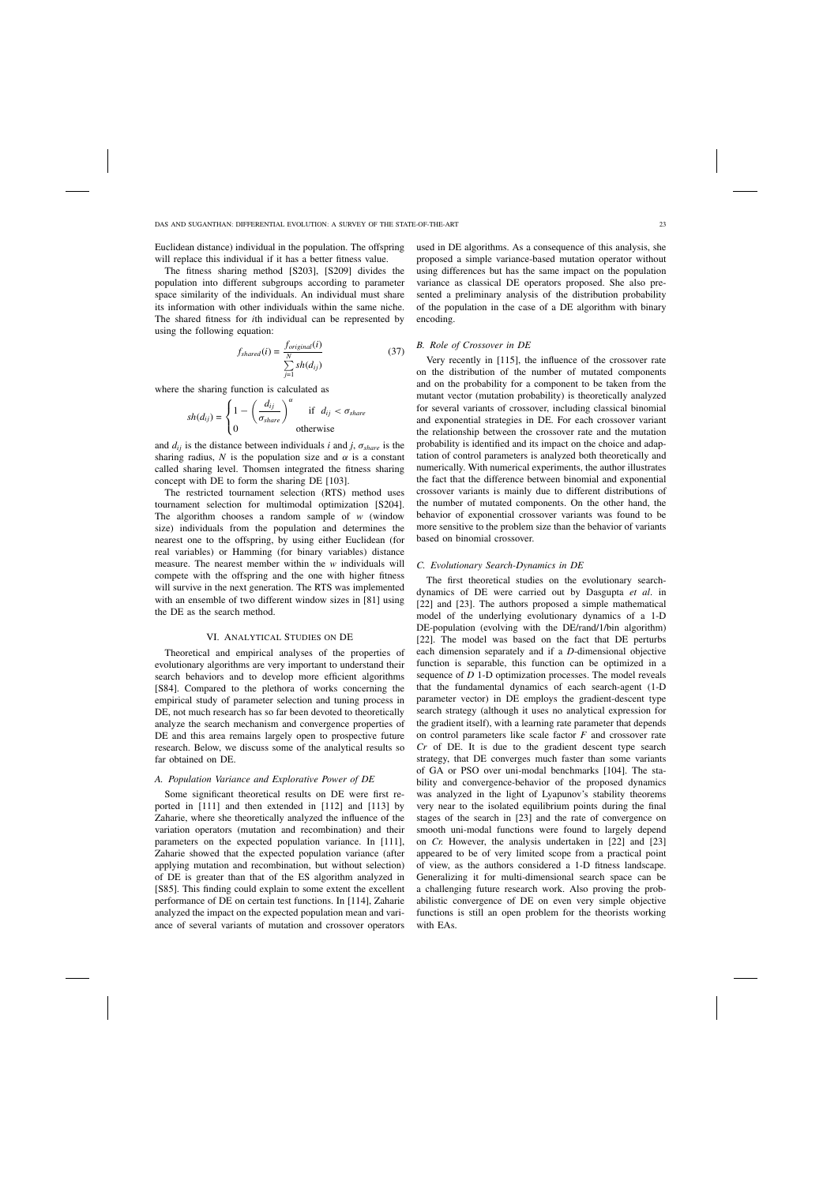Euclidean distance) individual in the population. The offspring will replace this individual if it has a better fitness value.

The fitness sharing method [S203], [S209] divides the population into different subgroups according to parameter space similarity of the individuals. An individual must share its information with other individuals within the same niche. The shared fitness for *i*th individual can be represented by using the following equation:

$$
f_{shared}(i) = \frac{f_{original}(i)}{\sum_{j=1}^{N} sh(d_{ij})}
$$
(37)

where the sharing function is calculated as

$$
sh(d_{ij}) = \begin{cases} 1 - \left(\frac{d_{ij}}{\sigma_{share}}\right)^{\alpha} & \text{if } d_{ij} < \sigma_{share} \\ 0 & \text{otherwise} \end{cases}
$$

and  $d_{ij}$  is the distance between individuals *i* and *j*,  $\sigma_{share}$  is the sharing radius,  $N$  is the population size and  $\alpha$  is a constant called sharing level. Thomsen integrated the fitness sharing concept with DE to form the sharing DE [103].

The restricted tournament selection (RTS) method uses tournament selection for multimodal optimization [S204]. The algorithm chooses a random sample of *w* (window size) individuals from the population and determines the nearest one to the offspring, by using either Euclidean (for real variables) or Hamming (for binary variables) distance measure. The nearest member within the *w* individuals will compete with the offspring and the one with higher fitness will survive in the next generation. The RTS was implemented with an ensemble of two different window sizes in [81] using the DE as the search method.

# VI. Analytical Studies on DE

Theoretical and empirical analyses of the properties of evolutionary algorithms are very important to understand their search behaviors and to develop more efficient algorithms [S84]. Compared to the plethora of works concerning the empirical study of parameter selection and tuning process in DE, not much research has so far been devoted to theoretically analyze the search mechanism and convergence properties of DE and this area remains largely open to prospective future research. Below, we discuss some of the analytical results so far obtained on DE.

# *A. Population Variance and Explorative Power of DE*

Some significant theoretical results on DE were first reported in [111] and then extended in [112] and [113] by Zaharie, where she theoretically analyzed the influence of the variation operators (mutation and recombination) and their parameters on the expected population variance. In [111], Zaharie showed that the expected population variance (after applying mutation and recombination, but without selection) of DE is greater than that of the ES algorithm analyzed in [S85]. This finding could explain to some extent the excellent performance of DE on certain test functions. In [114], Zaharie analyzed the impact on the expected population mean and variance of several variants of mutation and crossover operators used in DE algorithms. As a consequence of this analysis, she proposed a simple variance-based mutation operator without using differences but has the same impact on the population variance as classical DE operators proposed. She also presented a preliminary analysis of the distribution probability of the population in the case of a DE algorithm with binary encoding.

# *B. Role of Crossover in DE*

Very recently in [115], the influence of the crossover rate on the distribution of the number of mutated components and on the probability for a component to be taken from the mutant vector (mutation probability) is theoretically analyzed for several variants of crossover, including classical binomial and exponential strategies in DE. For each crossover variant the relationship between the crossover rate and the mutation probability is identified and its impact on the choice and adaptation of control parameters is analyzed both theoretically and numerically. With numerical experiments, the author illustrates the fact that the difference between binomial and exponential crossover variants is mainly due to different distributions of the number of mutated components. On the other hand, the behavior of exponential crossover variants was found to be more sensitive to the problem size than the behavior of variants based on binomial crossover.

#### *C. Evolutionary Search-Dynamics in DE*

The first theoretical studies on the evolutionary searchdynamics of DE were carried out by Dasgupta *et al*. in [22] and [23]. The authors proposed a simple mathematical model of the underlying evolutionary dynamics of a 1-D DE-population (evolving with the DE/rand/1/bin algorithm) [22]. The model was based on the fact that DE perturbs each dimension separately and if a *D*-dimensional objective function is separable, this function can be optimized in a sequence of *D* 1-D optimization processes. The model reveals that the fundamental dynamics of each search-agent (1-D parameter vector) in DE employs the gradient-descent type search strategy (although it uses no analytical expression for the gradient itself), with a learning rate parameter that depends on control parameters like scale factor *F* and crossover rate *Cr* of DE. It is due to the gradient descent type search strategy, that DE converges much faster than some variants of GA or PSO over uni-modal benchmarks [104]. The stability and convergence-behavior of the proposed dynamics was analyzed in the light of Lyapunov's stability theorems very near to the isolated equilibrium points during the final stages of the search in [23] and the rate of convergence on smooth uni-modal functions were found to largely depend on *Cr.* However, the analysis undertaken in [22] and [23] appeared to be of very limited scope from a practical point of view, as the authors considered a 1-D fitness landscape. Generalizing it for multi-dimensional search space can be a challenging future research work. Also proving the probabilistic convergence of DE on even very simple objective functions is still an open problem for the theorists working with EAs.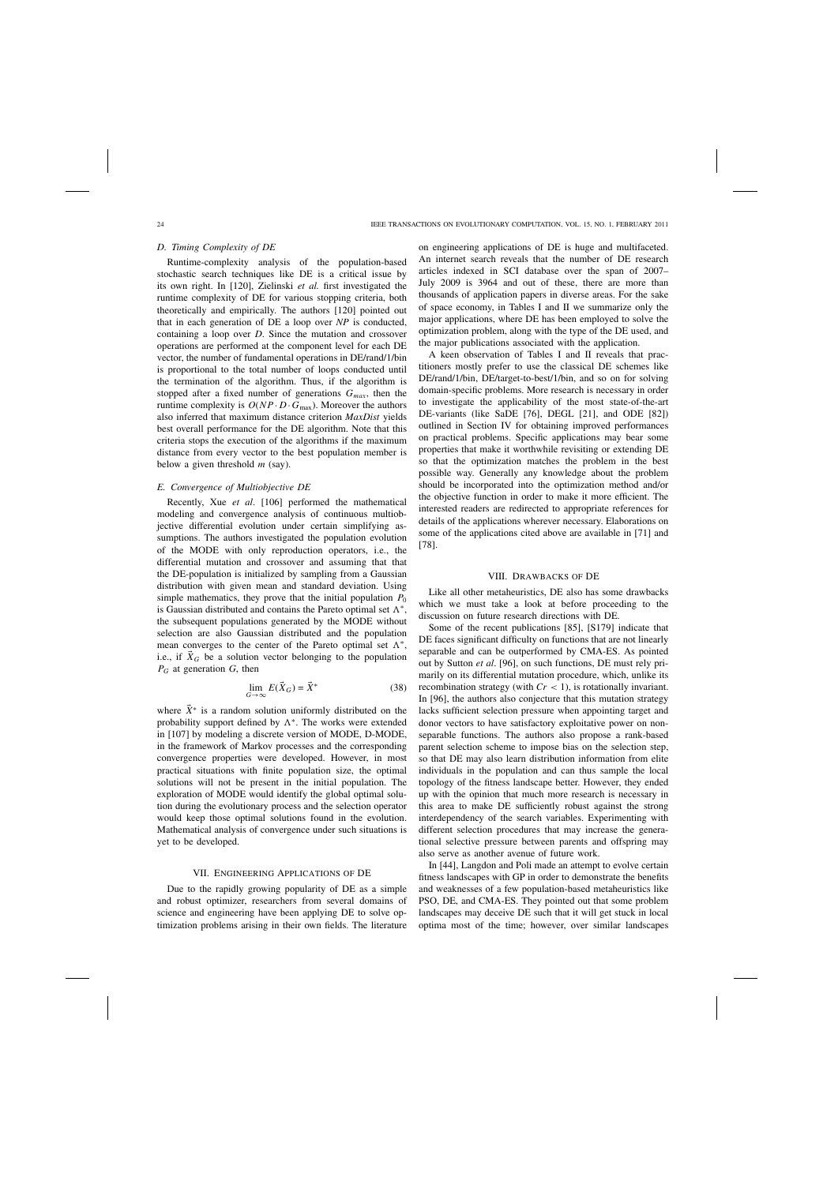#### *D. Timing Complexity of DE*

Runtime-complexity analysis of the population-based stochastic search techniques like DE is a critical issue by its own right. In [120], Zielinski *et al.* first investigated the runtime complexity of DE for various stopping criteria, both theoretically and empirically. The authors [120] pointed out that in each generation of DE a loop over *NP* is conducted, containing a loop over *D*. Since the mutation and crossover operations are performed at the component level for each DE vector, the number of fundamental operations in DE/rand/1/bin is proportional to the total number of loops conducted until the termination of the algorithm. Thus, if the algorithm is stopped after a fixed number of generations  $G_{max}$ , then the runtime complexity is  $O(NP \cdot D \cdot G_{\text{max}})$ . Moreover the authors also inferred that maximum distance criterion *MaxDist* yields best overall performance for the DE algorithm. Note that this criteria stops the execution of the algorithms if the maximum distance from every vector to the best population member is below a given threshold *m* (say).

#### *E. Convergence of Multiobjective DE*

Recently, Xue *et al*. [106] performed the mathematical modeling and convergence analysis of continuous multiobjective differential evolution under certain simplifying assumptions. The authors investigated the population evolution of the MODE with only reproduction operators, i.e., the differential mutation and crossover and assuming that that the DE-population is initialized by sampling from a Gaussian distribution with given mean and standard deviation. Using simple mathematics, they prove that the initial population  $P_0$ is Gaussian distributed and contains the Pareto optimal set  $\Lambda^*$ , the subsequent populations generated by the MODE without selection are also Gaussian distributed and the population mean converges to the center of the Pareto optimal set  $\Lambda^*$ , i.e., if  $\vec{X}_G$  be a solution vector belonging to the population *PG* at generation *G*, then

$$
\lim_{G \to \infty} E(\vec{X}_G) = \vec{X}^*
$$
\n(38)

where  $\vec{X}^*$  is a random solution uniformly distributed on the probability support defined by  $\Lambda^*$ . The works were extended in [107] by modeling a discrete version of MODE, D-MODE, in the framework of Markov processes and the corresponding convergence properties were developed. However, in most practical situations with finite population size, the optimal solutions will not be present in the initial population. The exploration of MODE would identify the global optimal solution during the evolutionary process and the selection operator would keep those optimal solutions found in the evolution. Mathematical analysis of convergence under such situations is yet to be developed.

#### VII. Engineering Applications of DE

Due to the rapidly growing popularity of DE as a simple and robust optimizer, researchers from several domains of science and engineering have been applying DE to solve optimization problems arising in their own fields. The literature on engineering applications of DE is huge and multifaceted. An internet search reveals that the number of DE research articles indexed in SCI database over the span of 2007– July 2009 is 3964 and out of these, there are more than thousands of application papers in diverse areas. For the sake of space economy, in Tables I and II we summarize only the major applications, where DE has been employed to solve the optimization problem, along with the type of the DE used, and the major publications associated with the application.

A keen observation of Tables I and II reveals that practitioners mostly prefer to use the classical DE schemes like DE/rand/1/bin, DE/target-to-best/1/bin, and so on for solving domain-specific problems. More research is necessary in order to investigate the applicability of the most state-of-the-art DE-variants (like SaDE [76], DEGL [21], and ODE [82]) outlined in Section IV for obtaining improved performances on practical problems. Specific applications may bear some properties that make it worthwhile revisiting or extending DE so that the optimization matches the problem in the best possible way. Generally any knowledge about the problem should be incorporated into the optimization method and/or the objective function in order to make it more efficient. The interested readers are redirected to appropriate references for details of the applications wherever necessary. Elaborations on some of the applications cited above are available in [71] and [78].

#### VIII. Drawbacks of DE

Like all other metaheuristics, DE also has some drawbacks which we must take a look at before proceeding to the discussion on future research directions with DE.

Some of the recent publications [85], [S179] indicate that DE faces significant difficulty on functions that are not linearly separable and can be outperformed by CMA-ES. As pointed out by Sutton *et al*. [96], on such functions, DE must rely primarily on its differential mutation procedure, which, unlike its recombination strategy (with  $Cr < 1$ ), is rotationally invariant. In [96], the authors also conjecture that this mutation strategy lacks sufficient selection pressure when appointing target and donor vectors to have satisfactory exploitative power on nonseparable functions. The authors also propose a rank-based parent selection scheme to impose bias on the selection step, so that DE may also learn distribution information from elite individuals in the population and can thus sample the local topology of the fitness landscape better. However, they ended up with the opinion that much more research is necessary in this area to make DE sufficiently robust against the strong interdependency of the search variables. Experimenting with different selection procedures that may increase the generational selective pressure between parents and offspring may also serve as another avenue of future work.

In [44], Langdon and Poli made an attempt to evolve certain fitness landscapes with GP in order to demonstrate the benefits and weaknesses of a few population-based metaheuristics like PSO, DE, and CMA-ES. They pointed out that some problem landscapes may deceive DE such that it will get stuck in local optima most of the time; however, over similar landscapes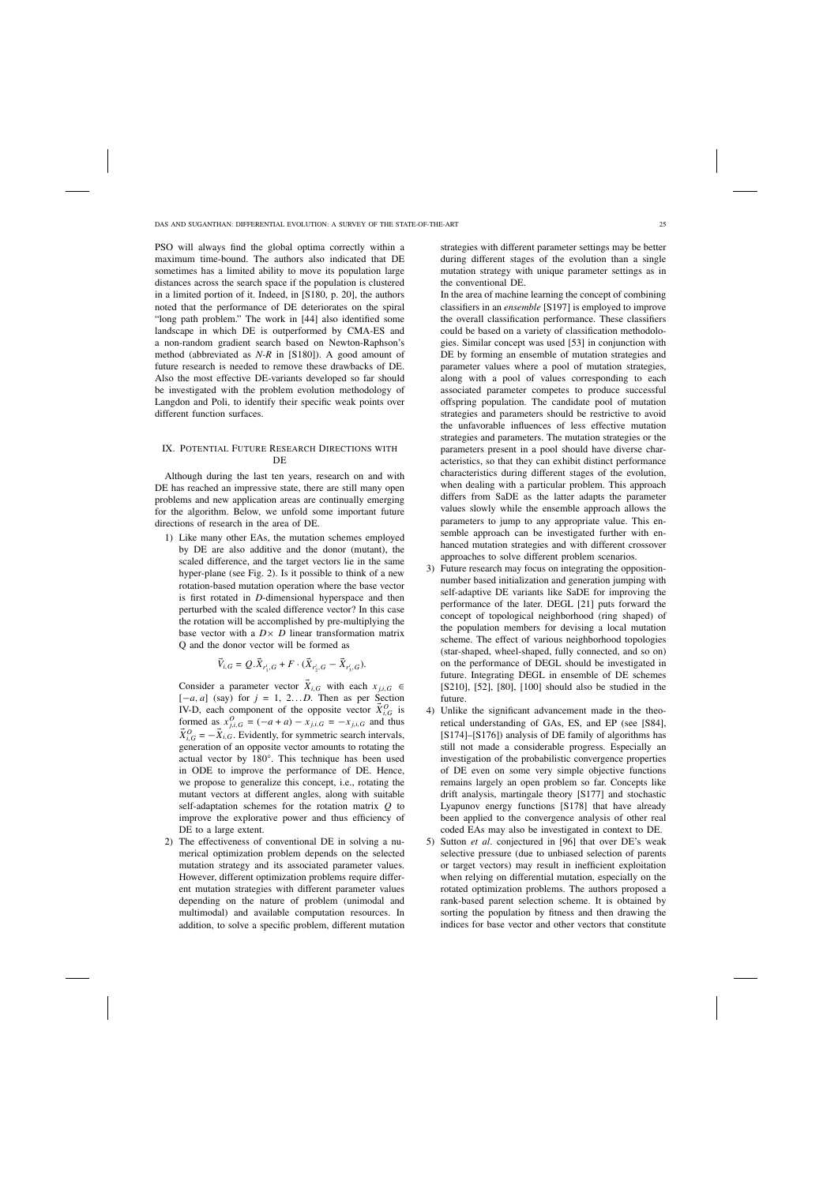PSO will always find the global optima correctly within a maximum time-bound. The authors also indicated that DE sometimes has a limited ability to move its population large distances across the search space if the population is clustered in a limited portion of it. Indeed, in [S180, p. 20], the authors noted that the performance of DE deteriorates on the spiral "long path problem." The work in [44] also identified some landscape in which DE is outperformed by CMA-ES and a non-random gradient search based on Newton-Raphson's method (abbreviated as *N-R* in [S180]). A good amount of future research is needed to remove these drawbacks of DE. Also the most effective DE-variants developed so far should be investigated with the problem evolution methodology of Langdon and Poli, to identify their specific weak points over different function surfaces.

# IX. Potential Future Research Directions with DE

Although during the last ten years, research on and with DE has reached an impressive state, there are still many open problems and new application areas are continually emerging for the algorithm. Below, we unfold some important future directions of research in the area of DE.

1) Like many other EAs, the mutation schemes employed by DE are also additive and the donor (mutant), the scaled difference, and the target vectors lie in the same hyper-plane (see Fig. 2). Is it possible to think of a new rotation-based mutation operation where the base vector is first rotated in *D*-dimensional hyperspace and then perturbed with the scaled difference vector? In this case the rotation will be accomplished by pre-multiplying the base vector with a  $D \times D$  linear transformation matrix Q and the donor vector will be formed as

$$
\vec{V}_{i,G} = Q.\vec{X}_{r_1^i,G} + F \cdot (\vec{X}_{r_2^i,G} - \vec{X}_{r_3^i,G}).
$$

Consider a parameter vector  $\vec{X}_{i,G}$  with each  $x_{j,i,G}$   $\in$ [−*a*, *a*] (say) for *j* = 1, 2...D. Then as per Section IV-D, each component of the opposite vector  $\vec{X}_{i,G}^O$  is formed as  $x_{j,i,G}^O = (-a + a) - x_{j,i,G} = -x_{j,i,G}$  and thus  $\vec{X}_{i,G}^O = -\vec{X}_{i,G}$ . Evidently, for symmetric search intervals, generation of an opposite vector amounts to rotating the actual vector by 180°. This technique has been used in ODE to improve the performance of DE. Hence, we propose to generalize this concept, i.e., rotating the mutant vectors at different angles, along with suitable self-adaptation schemes for the rotation matrix *Q* to improve the explorative power and thus efficiency of DE to a large extent.

2) The effectiveness of conventional DE in solving a numerical optimization problem depends on the selected mutation strategy and its associated parameter values. However, different optimization problems require different mutation strategies with different parameter values depending on the nature of problem (unimodal and multimodal) and available computation resources. In addition, to solve a specific problem, different mutation strategies with different parameter settings may be better during different stages of the evolution than a single mutation strategy with unique parameter settings as in the conventional DE.

In the area of machine learning the concept of combining classifiers in an *ensemble* [S197] is employed to improve the overall classification performance. These classifiers could be based on a variety of classification methodologies. Similar concept was used [53] in conjunction with DE by forming an ensemble of mutation strategies and parameter values where a pool of mutation strategies, along with a pool of values corresponding to each associated parameter competes to produce successful offspring population. The candidate pool of mutation strategies and parameters should be restrictive to avoid the unfavorable influences of less effective mutation strategies and parameters. The mutation strategies or the parameters present in a pool should have diverse characteristics, so that they can exhibit distinct performance characteristics during different stages of the evolution, when dealing with a particular problem. This approach differs from SaDE as the latter adapts the parameter values slowly while the ensemble approach allows the parameters to jump to any appropriate value. This ensemble approach can be investigated further with enhanced mutation strategies and with different crossover approaches to solve different problem scenarios.

- 3) Future research may focus on integrating the oppositionnumber based initialization and generation jumping with self-adaptive DE variants like SaDE for improving the performance of the later. DEGL [21] puts forward the concept of topological neighborhood (ring shaped) of the population members for devising a local mutation scheme. The effect of various neighborhood topologies (star-shaped, wheel-shaped, fully connected, and so on) on the performance of DEGL should be investigated in future. Integrating DEGL in ensemble of DE schemes [S210], [52], [80], [100] should also be studied in the future.
- 4) Unlike the significant advancement made in the theoretical understanding of GAs, ES, and EP (see [S84], [S174]–[S176]) analysis of DE family of algorithms has still not made a considerable progress. Especially an investigation of the probabilistic convergence properties of DE even on some very simple objective functions remains largely an open problem so far. Concepts like drift analysis, martingale theory [S177] and stochastic Lyapunov energy functions [S178] that have already been applied to the convergence analysis of other real coded EAs may also be investigated in context to DE.
- 5) Sutton *et al*. conjectured in [96] that over DE's weak selective pressure (due to unbiased selection of parents or target vectors) may result in inefficient exploitation when relying on differential mutation, especially on the rotated optimization problems. The authors proposed a rank-based parent selection scheme. It is obtained by sorting the population by fitness and then drawing the indices for base vector and other vectors that constitute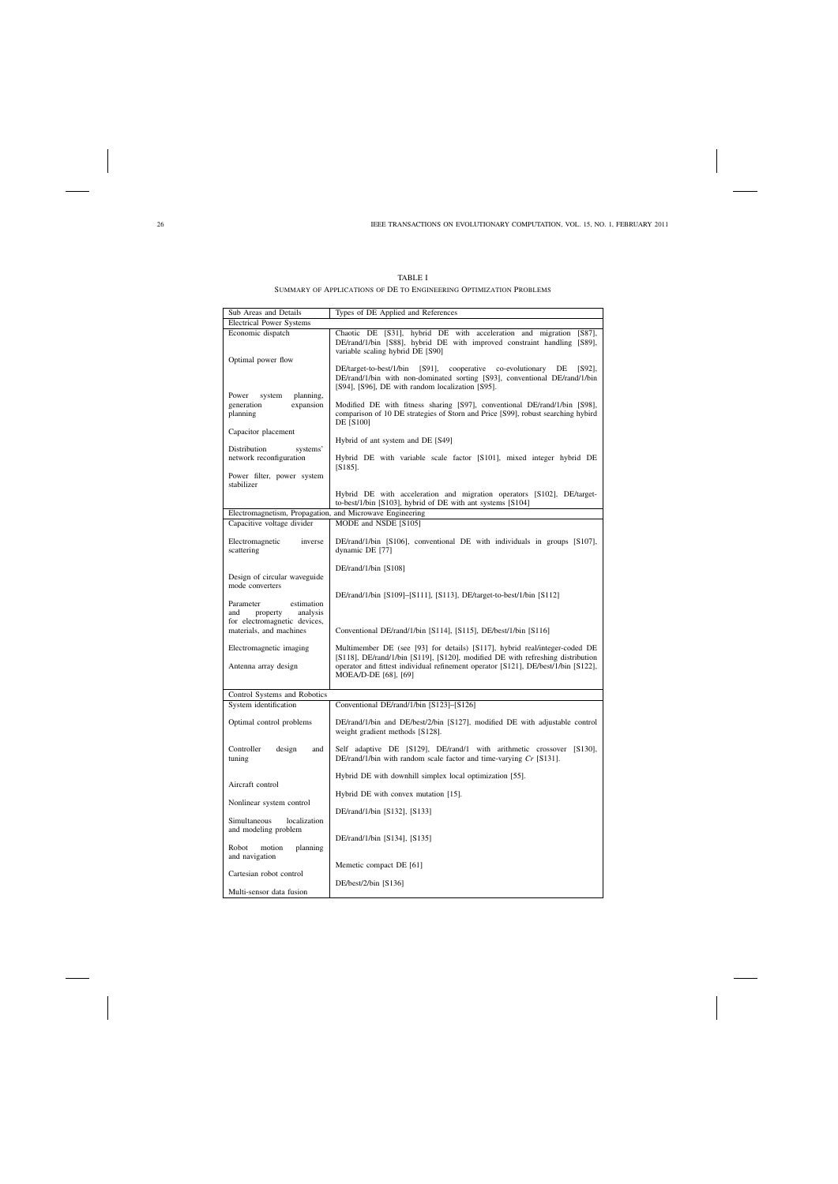# TABLE I

# Summary of Applications of DE to Engineering Optimization Problems

| Sub Areas and Details                                               | Types of DE Applied and References                                                                                                                                                                                          |
|---------------------------------------------------------------------|-----------------------------------------------------------------------------------------------------------------------------------------------------------------------------------------------------------------------------|
| <b>Electrical Power Systems</b>                                     |                                                                                                                                                                                                                             |
| Economic dispatch                                                   | Chaotic DE [S31], hybrid DE with acceleration and migration [S87],<br>DE/rand/1/bin [S88], hybrid DE with improved constraint handling [S89],<br>variable scaling hybrid DE [S90]                                           |
| Optimal power flow                                                  | cooperative<br>DE/target-to-best/1/bin<br>$[$ S91],<br>co-evolutionary<br>DE<br>$[$ S92],<br>DE/rand/1/bin with non-dominated sorting [S93], conventional DE/rand/1/bin<br>[S94], [S96], DE with random localization [S95]. |
| Power<br>planning,<br>system<br>expansion<br>generation<br>planning | Modified DE with fitness sharing [S97], conventional DE/rand/1/bin [S98],<br>comparison of 10 DE strategies of Storn and Price [S99], robust searching hybird<br>DE [S100]                                                  |
| Capacitor placement                                                 | Hybrid of ant system and DE [S49]                                                                                                                                                                                           |
| Distribution<br>systems'<br>network reconfiguration                 | Hybrid DE with variable scale factor [S101], mixed integer hybrid DE<br>$[S185]$ .                                                                                                                                          |
| Power filter, power system<br>stabilizer                            |                                                                                                                                                                                                                             |
|                                                                     | Hybrid DE with acceleration and migration operators [S102], DE/target-<br>to-best/1/bin [S103], hybrid of DE with ant systems [S104]                                                                                        |
| Electromagnetism, Propagation, and Microwave Engineering            |                                                                                                                                                                                                                             |
| Capacitive voltage divider                                          | MODE and NSDE [S105]                                                                                                                                                                                                        |
| Electromagnetic<br>inverse<br>scattering                            | $DE/rand/1/b$ [S106], conventional DE with individuals in groups [S107],<br>dynamic DE [77]                                                                                                                                 |
| Design of circular waveguide<br>mode converters                     | $DE/rand/1/bin$ [S108]                                                                                                                                                                                                      |
| Parameter<br>estimation                                             | DE/rand/1/bin [S109]–[S111], [S113], DE/target-to-best/1/bin [S112]                                                                                                                                                         |
| analysis<br>and<br>property                                         |                                                                                                                                                                                                                             |
| for electromagnetic devices,                                        |                                                                                                                                                                                                                             |
| materials, and machines                                             | Conventional DE/rand/1/bin [S114], [S115], DE/best/1/bin [S116]                                                                                                                                                             |
| Electromagnetic imaging                                             | Multimember DE (see [93] for details) [S117], hybrid real/integer-coded DE<br>[S118], DE/rand/1/bin [S119], [S120], modified DE with refreshing distribution                                                                |
| Antenna array design                                                | operator and fittest individual refinement operator [S121], DE/best/1/bin [S122],<br>MOEA/D-DE [68], [69]                                                                                                                   |
| Control Systems and Robotics                                        |                                                                                                                                                                                                                             |
| System identification                                               | Conventional DE/rand/1/bin [S123]-[S126]                                                                                                                                                                                    |
| Optimal control problems                                            | DE/rand/1/bin and DE/best/2/bin [S127], modified DE with adjustable control<br>weight gradient methods [S128].                                                                                                              |
| Controller<br>design<br>and<br>tuning                               | Self adaptive DE [S129], DE/rand/1 with arithmetic crossover [S130],<br>DE/rand/1/bin with random scale factor and time-varying Cr [S131].                                                                                  |
| Aircraft control                                                    | Hybrid DE with downhill simplex local optimization [55].                                                                                                                                                                    |
| Nonlinear system control                                            | Hybrid DE with convex mutation [15].                                                                                                                                                                                        |
| Simultaneous<br>localization<br>and modeling problem                | DE/rand/1/bin [S132], [S133]                                                                                                                                                                                                |
| Robot<br>motion<br>planning<br>and navigation                       | DE/rand/1/bin [S134], [S135]                                                                                                                                                                                                |
| Cartesian robot control                                             | Memetic compact DE [61]                                                                                                                                                                                                     |
| Multi-sensor data fusion                                            | DE/best/2/bin $[S136]$                                                                                                                                                                                                      |
|                                                                     |                                                                                                                                                                                                                             |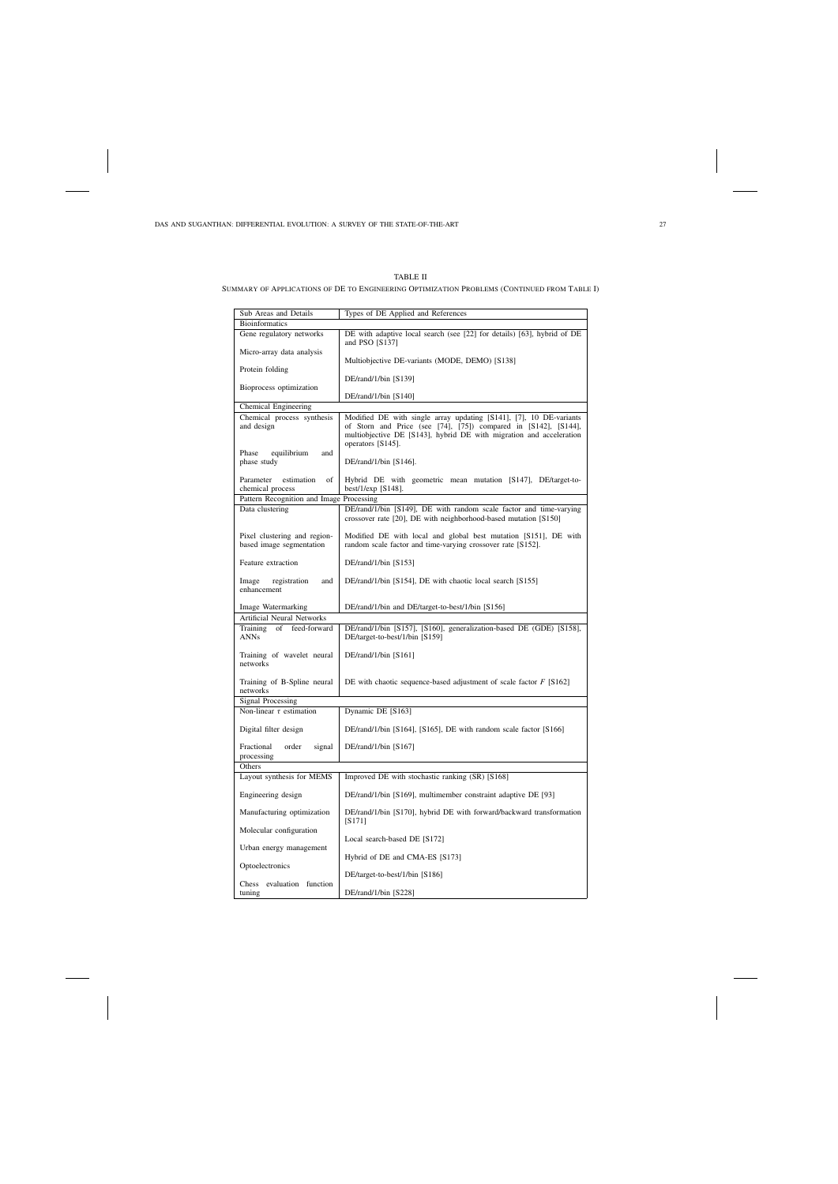# TABLE II

# Summary of Applications of DE to Engineering Optimization Problems (Continued from Table I)

| Sub Areas and Details                                    | Types of DE Applied and References                                                                                                                                                                                                |  |
|----------------------------------------------------------|-----------------------------------------------------------------------------------------------------------------------------------------------------------------------------------------------------------------------------------|--|
| <b>Bioinformatics</b>                                    |                                                                                                                                                                                                                                   |  |
| Gene regulatory networks                                 | DE with adaptive local search (see [22] for details) [63], hybrid of DE<br>and PSO [S137]                                                                                                                                         |  |
| Micro-array data analysis                                | Multiobjective DE-variants (MODE, DEMO) [S138]                                                                                                                                                                                    |  |
| Protein folding                                          | $DE/rand/1/bin$ [S139]                                                                                                                                                                                                            |  |
| Bioprocess optimization                                  | $DE/rand/1/bin$ [S140]                                                                                                                                                                                                            |  |
| Chemical Engineering                                     |                                                                                                                                                                                                                                   |  |
| Chemical process synthesis<br>and design                 | Modified DE with single array updating [S141], [7], 10 DE-variants<br>of Storn and Price (see [74], [75]) compared in [S142], [S144],<br>multiobjective DE [S143], hybrid DE with migration and acceleration<br>operators [S145]. |  |
| Phase<br>equilibrium<br>and<br>phase study               | DE/rand/1/bin [S146].                                                                                                                                                                                                             |  |
| Parameter estimation<br>of<br>chemical process           | Hybrid DE with geometric mean mutation [S147], DE/target-to-<br>best/1/exp $[S148]$ .                                                                                                                                             |  |
| Pattern Recognition and Image Processing                 |                                                                                                                                                                                                                                   |  |
| Data clustering                                          | DE/rand/1/bin [S149], DE with random scale factor and time-varying<br>crossover rate [20], DE with neighborhood-based mutation [S150]                                                                                             |  |
| Pixel clustering and region-<br>based image segmentation | Modified DE with local and global best mutation [S151], DE with<br>random scale factor and time-varying crossover rate [S152].                                                                                                    |  |
| Feature extraction                                       | $DE/rand/1/bin$ [S153]                                                                                                                                                                                                            |  |
| Image<br>registration<br>and<br>enhancement              | DE/rand/1/bin [S154], DE with chaotic local search [S155]                                                                                                                                                                         |  |
| Image Watermarking                                       | DE/rand/1/bin and DE/target-to-best/1/bin [S156]                                                                                                                                                                                  |  |
| Artificial Neural Networks                               |                                                                                                                                                                                                                                   |  |
| Training<br>of feed-forward<br><b>ANNs</b>               | DE/rand/1/bin [S157], [S160], generalization-based DE (GDE) [S158],<br>DE/target-to-best/1/bin [S159]                                                                                                                             |  |
| Training of wavelet neural<br>networks                   | $DE/rand/1/bin$ [S161]                                                                                                                                                                                                            |  |
| Training of B-Spline neural<br>networks                  | DE with chaotic sequence-based adjustment of scale factor $F$ [S162]                                                                                                                                                              |  |
| <b>Signal Processing</b>                                 |                                                                                                                                                                                                                                   |  |
| Non-linear $\tau$ estimation                             | Dynamic DE [S163]                                                                                                                                                                                                                 |  |
| Digital filter design                                    | $DE/rand/1/b$ in [S164], [S165], DE with random scale factor [S166]                                                                                                                                                               |  |
| Fractional<br>order<br>signal<br>processing              | $DE/rand/1/bin$ [S167]                                                                                                                                                                                                            |  |
| Others                                                   |                                                                                                                                                                                                                                   |  |
| Layout synthesis for MEMS                                | Improved DE with stochastic ranking (SR) [S168]                                                                                                                                                                                   |  |
| Engineering design                                       | DE/rand/1/bin [S169], multimember constraint adaptive DE [93]                                                                                                                                                                     |  |
| Manufacturing optimization                               | DE/rand/1/bin [S170], hybrid DE with forward/backward transformation<br>[S171]                                                                                                                                                    |  |
| Molecular configuration                                  | Local search-based DE [S172]                                                                                                                                                                                                      |  |
| Urban energy management                                  | Hybrid of DE and CMA-ES [S173]                                                                                                                                                                                                    |  |
| Optoelectronics<br>evaluation<br>function<br>Chess       | DE/target-to-best/1/bin [S186]                                                                                                                                                                                                    |  |
| tuning                                                   | DE/rand/1/bin [S228]                                                                                                                                                                                                              |  |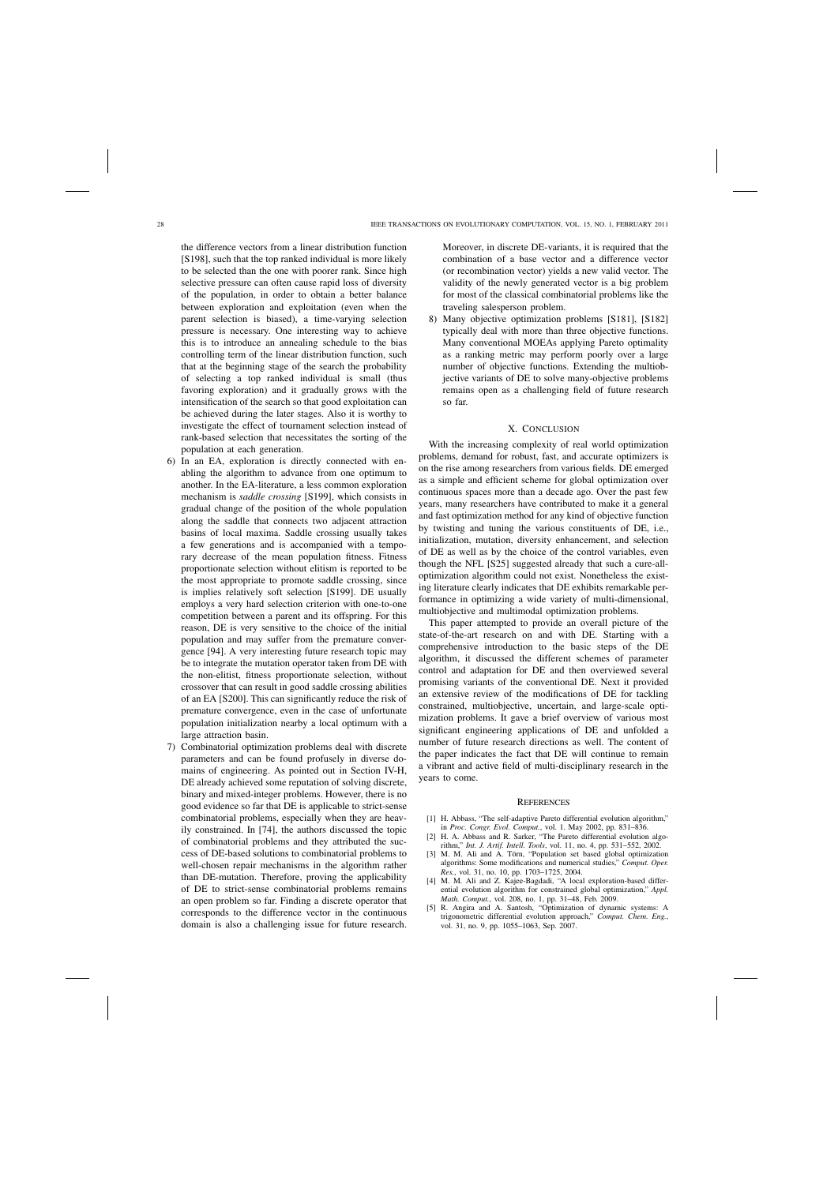the difference vectors from a linear distribution function [S198], such that the top ranked individual is more likely to be selected than the one with poorer rank. Since high selective pressure can often cause rapid loss of diversity of the population, in order to obtain a better balance between exploration and exploitation (even when the parent selection is biased), a time-varying selection pressure is necessary. One interesting way to achieve this is to introduce an annealing schedule to the bias controlling term of the linear distribution function, such that at the beginning stage of the search the probability of selecting a top ranked individual is small (thus favoring exploration) and it gradually grows with the intensification of the search so that good exploitation can be achieved during the later stages. Also it is worthy to investigate the effect of tournament selection instead of rank-based selection that necessitates the sorting of the population at each generation.

- 6) In an EA, exploration is directly connected with enabling the algorithm to advance from one optimum to another. In the EA-literature, a less common exploration mechanism is *saddle crossing* [S199], which consists in gradual change of the position of the whole population along the saddle that connects two adjacent attraction basins of local maxima. Saddle crossing usually takes a few generations and is accompanied with a temporary decrease of the mean population fitness. Fitness proportionate selection without elitism is reported to be the most appropriate to promote saddle crossing, since is implies relatively soft selection [S199]. DE usually employs a very hard selection criterion with one-to-one competition between a parent and its offspring. For this reason, DE is very sensitive to the choice of the initial population and may suffer from the premature convergence [94]. A very interesting future research topic may be to integrate the mutation operator taken from DE with the non-elitist, fitness proportionate selection, without crossover that can result in good saddle crossing abilities of an EA [S200]. This can significantly reduce the risk of premature convergence, even in the case of unfortunate population initialization nearby a local optimum with a large attraction basin.
- 7) Combinatorial optimization problems deal with discrete parameters and can be found profusely in diverse domains of engineering. As pointed out in Section IV-H, DE already achieved some reputation of solving discrete, binary and mixed-integer problems. However, there is no good evidence so far that DE is applicable to strict-sense combinatorial problems, especially when they are heavily constrained. In [74], the authors discussed the topic of combinatorial problems and they attributed the success of DE-based solutions to combinatorial problems to well-chosen repair mechanisms in the algorithm rather than DE-mutation. Therefore, proving the applicability of DE to strict-sense combinatorial problems remains an open problem so far. Finding a discrete operator that corresponds to the difference vector in the continuous domain is also a challenging issue for future research.

Moreover, in discrete DE-variants, it is required that the combination of a base vector and a difference vector (or recombination vector) yields a new valid vector. The validity of the newly generated vector is a big problem for most of the classical combinatorial problems like the traveling salesperson problem.

8) Many objective optimization problems [S181], [S182] typically deal with more than three objective functions. Many conventional MOEAs applying Pareto optimality as a ranking metric may perform poorly over a large number of objective functions. Extending the multiobjective variants of DE to solve many-objective problems remains open as a challenging field of future research so far.

#### X. Conclusion

With the increasing complexity of real world optimization problems, demand for robust, fast, and accurate optimizers is on the rise among researchers from various fields. DE emerged as a simple and efficient scheme for global optimization over continuous spaces more than a decade ago. Over the past few years, many researchers have contributed to make it a general and fast optimization method for any kind of objective function by twisting and tuning the various constituents of DE, i.e., initialization, mutation, diversity enhancement, and selection of DE as well as by the choice of the control variables, even though the NFL [S25] suggested already that such a cure-alloptimization algorithm could not exist. Nonetheless the existing literature clearly indicates that DE exhibits remarkable performance in optimizing a wide variety of multi-dimensional, multiobjective and multimodal optimization problems.

This paper attempted to provide an overall picture of the state-of-the-art research on and with DE. Starting with a comprehensive introduction to the basic steps of the DE algorithm, it discussed the different schemes of parameter control and adaptation for DE and then overviewed several promising variants of the conventional DE. Next it provided an extensive review of the modifications of DE for tackling constrained, multiobjective, uncertain, and large-scale optimization problems. It gave a brief overview of various most significant engineering applications of DE and unfolded a number of future research directions as well. The content of the paper indicates the fact that DE will continue to remain a vibrant and active field of multi-disciplinary research in the years to come.

#### **REFERENCES**

- [1] H. Abbass, "The self-adaptive Pareto differential evolution algorithm," in *Proc. Congr. Evol. Comput.*, vol. 1. May 2002, pp. 831–836.
- [2] H. A. Abbass and R. Sarker, "The Pareto differential evolution algorithm," *Int. J. Artif. Intell. Tools*, vol. 11, no. 4, pp. 531–552, 2002.
- [3] M. M. Ali and A. Törn, "Population set based global optimization algorithms: Some modifications and numerical studies," *Comput. Oper. Res.*, vol. 31, no. 10, pp. 1703–1725, 2004.
- [4] M. M. Ali and Z. Kajee-Bagdadi, "A local exploration-based differential evolution algorithm for constrained global optimization," *Appl. Math. Comput.*, vol. 208, no. 1, pp. 31–48, Feb. 2009.
- [5] R. Angira and A. Santosh, "Optimization of dynamic systems: A trigonometric differential evolution approach," *Comput. Chem. Eng.*, vol. 31, no. 9, pp. 1055–1063, Sep. 2007.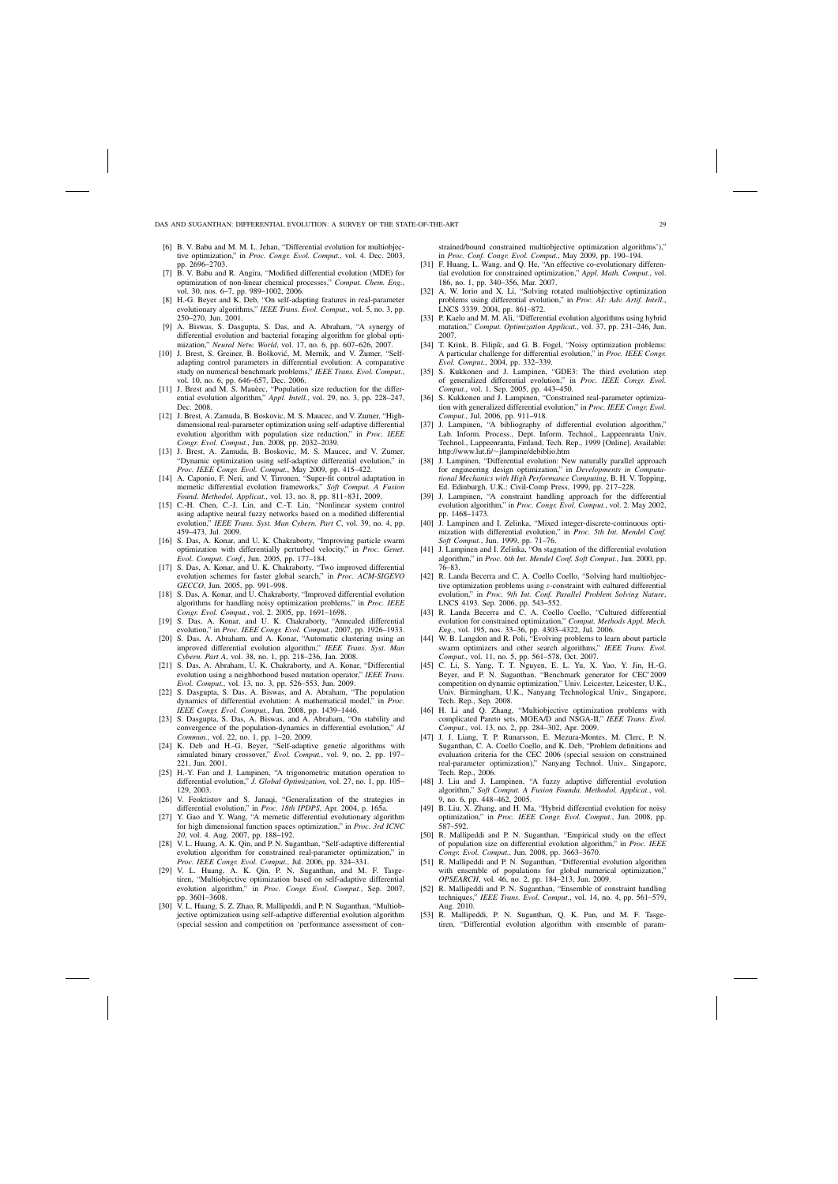- [6] B. V. Babu and M. M. L. Jehan, "Differential evolution for multiobjective optimization," in *Proc. Congr. Evol. Comput.*, vol. 4. Dec. 2003, pp. 2696–2703.
- [7] B. V. Babu and R. Angira, "Modified differential evolution (MDE) for optimization of non-linear chemical processes," *Comput. Chem. Eng.*, vol. 30, nos. 6-7, pp. 989-1002, 2006.
- [8] H.-G. Beyer and K. Deb, "On self-adapting features in real-parameter evolutionary algorithms," *IEEE Trans. Evol. Comput.*, vol. 5, no. 3, pp. 250–270, Jun. 2001.
- [9] A. Biswas, S. Dasgupta, S. Das, and A. Abraham, "A synergy of differential evolution and bacterial foraging algorithm for global optimization," *Neural Netw. World*, vol. 17, no. 6, pp. 607–626, 2007.
- [10] J. Brest, S. Greiner, B. Bošković, M. Mernik, and V. Žumer, "Selfadapting control parameters in differential evolution: A comparative study on numerical benchmark problems," *IEEE Trans. Evol. Comput.*, vol. 10, no. 6, pp. 646–657, Dec. 2006.
- [11] J. Brest and M. S. Mauèec, "Population size reduction for the differential evolution algorithm," *Appl. Intell.*, vol. 29, no. 3, pp. 228–247, Dec. 2008.
- [12] J. Brest, A. Zamuda, B. Boskovic, M. S. Maucec, and V. Zumer, "Highdimensional real-parameter optimization using self-adaptive differential evolution algorithm with population size reduction," in *Proc. IEEE Congr. Evol. Comput.*, Jun. 2008, pp. 2032–2039.
- [13] J. Brest, A. Zamuda, B. Boskovic, M. S. Maucec, and V. Zumer, "Dynamic optimization using self-adaptive differential evolution," in *Proc. IEEE Congr. Evol. Comput.*, May 2009, pp. 415–422.
- [14] A. Caponio, F. Neri, and V. Tirronen, "Super-fit control adaptation in memetic differential evolution frameworks," *Soft Comput. A Fusion Found. Methodol. Applicat.*, vol. 13, no. 8, pp. 811–831, 2009.
- [15] C.-H. Chen, C.-J. Lin, and C.-T. Lin, "Nonlinear system control using adaptive neural fuzzy networks based on a modified differential evolution," *IEEE Trans. Syst. Man Cybern. Part C*, vol. 39, no. 4, pp. 459–473, Jul. 2009.
- [16] S. Das, A. Konar, and U. K. Chakraborty, "Improving particle swarm optimization with differentially perturbed velocity," in *Proc. Genet. Evol. Comput. Conf.*, Jun. 2005, pp. 177–184.
- [17] S. Das, A. Konar, and U. K. Chakraborty, "Two improved differential evolution schemes for faster global search," in *Proc. ACM-SIGEVO GECCO*, Jun. 2005, pp. 991–998.
- [18] S. Das, A. Konar, and U. Chakraborty, "Improved differential evolution algorithms for handling noisy optimization problems," in *Proc. IEEE Congr. Evol. Comput.*, vol. 2. 2005, pp. 1691–1698.
- [19] S. Das, A. Konar, and U. K. Chakraborty, "Annealed differential evolution," in *Proc. IEEE Congr. Evol. Comput.*, 2007, pp. 1926–1933.
- [20] S. Das, A. Abraham, and A. Konar, "Automatic clustering using an improved differential evolution algorithm," *IEEE Trans. Syst. Man Cybern. Part A*, vol. 38, no. 1, pp. 218–236, Jan. 2008.
- [21] S. Das, A. Abraham, U. K. Chakraborty, and A. Konar, "Differential evolution using a neighborhood based mutation operator," *IEEE Trans. Evol. Comput.*, vol. 13, no. 3, pp. 526–553, Jun. 2009.
- [22] S. Dasgupta, S. Das, A. Biswas, and A. Abraham, "The population dynamics of differential evolution: A mathematical model," in *Proc. IEEE Congr. Evol. Comput.*, Jun. 2008, pp. 1439–1446.
- [23] S. Dasgupta, S. Das, A. Biswas, and A. Abraham, "On stability and convergence of the population-dynamics in differential evolution," *AI Commun.*, vol. 22, no. 1, pp. 1–20, 2009.
- [24] K. Deb and H.-G. Beyer, "Self-adaptive genetic algorithms with simulated binary crossover," *Evol. Comput.*, vol. 9, no. 2, pp. 197– 221, Jun. 2001.
- [25] H.-Y. Fan and J. Lampinen, "A trigonometric mutation operation to differential evolution," *J. Global Optimization*, vol. 27, no. 1, pp. 105– 129, 2003.
- [26] V. Feoktistov and S. Janaqi, "Generalization of the strategies in differential evolution," in *Proc. 18th IPDPS*, Apr. 2004, p. 165a.
- [27] Y. Gao and Y. Wang, "A memetic differential evolutionary algorithm for high dimensional function spaces optimization," in *Proc. 3rd ICNC 20*, vol. 4. Aug. 2007, pp. 188–192.
- [28] V. L. Huang, A. K. Qin, and P. N. Suganthan, "Self-adaptive differential evolution algorithm for constrained real-parameter optimization," in *Proc. IEEE Congr. Evol. Comput.*, Jul. 2006, pp. 324–331.
- [29] V. L. Huang, A. K. Qin, P. N. Suganthan, and M. F. Tasgetiren, "Multiobjective optimization based on self-adaptive differential evolution algorithm," in *Proc. Congr. Evol. Comput.*, Sep. 2007, pp. 3601–3608.
- [30] V. L. Huang, S. Z. Zhao, R. Mallipeddi, and P. N. Suganthan, "Multiobjective optimization using self-adaptive differential evolution algorithm (special session and competition on 'performance assessment of con-

strained/bound constrained multiobjective optimization algorithms')," in *Proc. Conf. Congr. Evol. Comput.*, May 2009, pp. 190–194.

- [31] F. Huang, L. Wang, and Q. He, "An effective co-evolutionary differential evolution for constrained optimization," *Appl. Math. Comput.*, vol. 186, no. 1, pp. 340–356, Mar. 2007.
- [32] A. W. Iorio and X. Li, "Solving rotated multiobjective optimization problems using differential evolution," in *Proc. AI: Adv. Artif. Intell.*, LNCS 3339. 2004, pp. 861–872.
- [33] P. Kaelo and M. M. Ali, "Differential evolution algorithms using hybrid mutation," *Comput. Optimization Applicat.*, vol. 37, pp. 231–246, Jun. 2007.
- [34] T. Krink, B. Filipic, and G. B. Fogel, "Noisy optimization problems: A particular challenge for differential evolution," in *Proc. IEEE Congr. Evol. Comput.*, 2004, pp. 332–339.
- [35] S. Kukkonen and J. Lampinen, "GDE3: The third evolution step of generalized differential evolution," in *Proc. IEEE Congr. Evol. Comput.*, vol. 1. Sep. 2005, pp. 443–450.
- [36] S. Kukkonen and J. Lampinen, "Constrained real-parameter optimization with generalized differential evolution," in *Proc. IEEE Congr. Evol. Comput.*, Jul. 2006, pp. 911–918.
- [37] J. Lampinen, "A bibliography of differential evolution algorithm," Lab. Inform. Process., Dept. Inform. Technol., Lappeenranta Univ. Technol., Lappeenranta, Finland, Tech. Rep., 1999 [Online]. Available: http://www.lut.fi/∼jlampine/debiblio.htm
- [38] J. Lampinen, "Differential evolution: New naturally parallel approach for engineering design optimization," in *Developments in Computational Mechanics with High Performance Computing*, B. H. V. Topping, Ed. Edinburgh, U.K.: Civil-Comp Press, 1999, pp. 217–228.
- [39] J. Lampinen, "A constraint handling approach for the differential evolution algorithm," in *Proc. Congr. Evol. Comput.*, vol. 2. May 2002, pp. 1468–1473.
- [40] J. Lampinen and I. Zelinka, "Mixed integer-discrete-continuous optimization with differential evolution," in *Proc. 5th Int. Mendel Conf. Soft Comput.*, Jun. 1999, pp. 71–76.
- [41] J. Lampinen and I. Zelinka, "On stagnation of the differential evolution algorithm," in *Proc. 6th Int. Mendel Conf. Soft Comput.*, Jun. 2000, pp. 76–83.
- [42] R. Landa Becerra and C. A. Coello Coello, "Solving hard multiobjective optimization problems using *ε*-constraint with cultured differential evolution," in *Proc. 9th Int. Conf. Parallel Problem Solving Nature*, LNCS 4193. Sep. 2006, pp. 543–552.
- [43] R. Landa Becerra and C. A. Coello Coello, "Cultured differential evolution for constrained optimization," *Comput. Methods Appl. Mech. Eng.*, vol. 195, nos. 33–36, pp. 4303–4322, Jul. 2006.
- [44] W. B. Langdon and R. Poli, "Evolving problems to learn about particle swarm optimizers and other search algorithms," *IEEE Trans. Evol. Comput.*, vol. 11, no. 5, pp. 561–578, Oct. 2007.
- [45] C. Li, S. Yang, T. T. Nguyen, E. L. Yu, X. Yao, Y. Jin, H.-G. Beyer, and P. N. Suganthan, "Benchmark generator for CEC'2009 competition on dynamic optimization," Univ. Leicester, Leicester, U.K., Univ. Birmingham, U.K., Nanyang Technological Univ., Singapore, Tech. Rep., Sep. 2008.
- [46] H. Li and Q. Zhang, "Multiobjective optimization problems with complicated Pareto sets, MOEA/D and NSGA-II," *IEEE Trans. Evol. Comput.*, vol. 13, no. 2, pp. 284–302, Apr. 2009.
- [47] J. J. Liang, T. P. Runarsson, E. Mezura-Montes, M. Clerc, P. N. Suganthan, C. A. Coello Coello, and K. Deb, "Problem definitions and evaluation criteria for the CEC 2006 (special session on constrained real-parameter optimization)," Nanyang Technol. Univ., Singapore, Tech. Rep., 2006.
- [48] J. Liu and J. Lampinen, "A fuzzy adaptive differential evolution algorithm," *Soft Comput. A Fusion Founda. Methodol. Applicat.*, vol. 9, no. 6, pp. 448–462, 2005.
- [49] B. Liu, X. Zhang, and H. Ma, "Hybrid differential evolution for noisy optimization," in *Proc. IEEE Congr. Evol. Comput.*, Jun. 2008, pp. 587–592.
- [50] R. Mallipeddi and P. N. Suganthan, "Empirical study on the effect of population size on differential evolution algorithm," in *Proc. IEEE Congr. Evol. Comput.*, Jun. 2008, pp. 3663–3670.
- [51] R. Mallipeddi and P. N. Suganthan, "Differential evolution algorithm with ensemble of populations for global numerical optimization," *OPSEARCH*, vol. 46, no. 2, pp. 184–213, Jun. 2009.
- [52] R. Mallipeddi and P. N. Suganthan, "Ensemble of constraint handling techniques," *IEEE Trans. Evol. Comput.*, vol. 14, no. 4, pp. 561–579, Aug. 2010.
- [53] R. Mallipeddi, P. N. Suganthan, Q. K. Pan, and M. F. Tasgetiren, "Differential evolution algorithm with ensemble of param-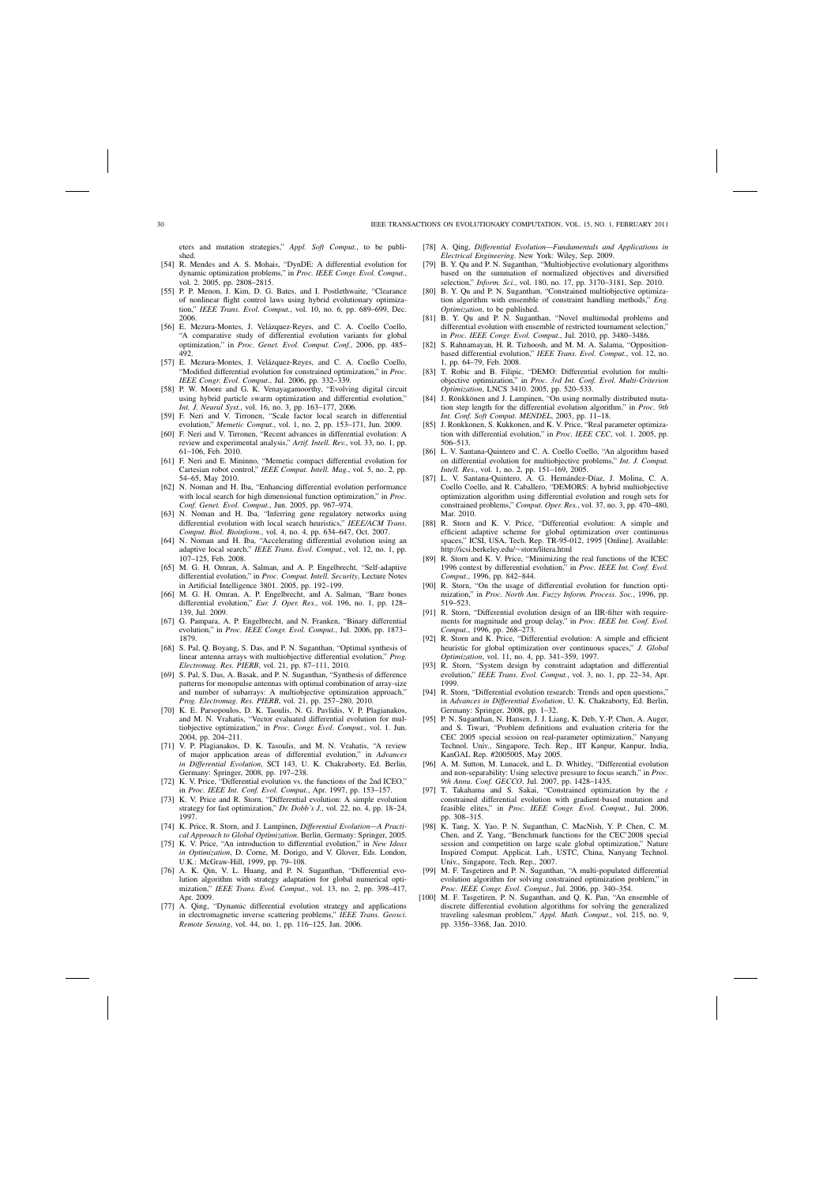eters and mutation strategies," *Appl. Soft Comput.*, to be published.

- [54] R. Mendes and A. S. Mohais, "DynDE: A differential evolution for dynamic optimization problems," in *Proc. IEEE Congr. Evol. Comput.*, vol. 2. 2005, pp. 2808–2815.
- [55] P. P. Menon, J. Kim, D. G. Bates, and I. Postlethwaite, "Clearance of nonlinear flight control laws using hybrid evolutionary optimization," *IEEE Trans. Evol. Comput.*, vol. 10, no. 6, pp. 689–699, Dec. 2006.
- [56] E. Mezura-Montes, J. Velázquez-Reyes, and C. A. Coello Coello, "A comparative study of differential evolution variants for global optimization," in *Proc. Genet. Evol. Comput. Conf.*, 2006, pp. 485– 492.
- [57] E. Mezura-Montes, J. Velázquez-Reyes, and C. A. Coello Coello, "Modified differential evolution for constrained optimization," in *Proc. IEEE Congr. Evol. Comput.*, Jul. 2006, pp. 332–339.
- [58] P. W. Moore and G. K. Venayagamoorthy, "Evolving digital circuit using hybrid particle swarm optimization and differential evolution," *Int. J. Neural Syst.*, vol. 16, no. 3, pp. 163–177, 2006.
- [59] F. Neri and V. Tirronen, "Scale factor local search in differential evolution," *Memetic Comput.*, vol. 1, no. 2, pp. 153–171, Jun. 2009.
- [60] F. Neri and V. Tirronen, "Recent advances in differential evolution: A review and experimental analysis," *Artif. Intell. Rev.*, vol. 33, no. 1, pp. 61–106, Feb. 2010.
- [61] F. Neri and E. Mininno, "Memetic compact differential evolution for Cartesian robot control," *IEEE Comput. Intell. Mag.*, vol. 5, no. 2, pp. 54–65, May 2010.
- [62] N. Noman and H. Iba, "Enhancing differential evolution performance with local search for high dimensional function optimization," in *Proc. Conf. Genet. Evol. Comput.*, Jun. 2005, pp. 967–974.
- [63] N. Noman and H. Iba, "Inferring gene regulatory networks using differential evolution with local search heuristics," *IEEE/ACM Trans. Comput. Biol. Bioinform.*, vol. 4, no. 4, pp. 634–647, Oct. 2007.
- [64] N. Noman and H. Iba, "Accelerating differential evolution using an adaptive local search," *IEEE Trans. Evol. Comput.*, vol. 12, no. 1, pp. 107–125, Feb. 2008.
- [65] M. G. H. Omran, A. Salman, and A. P. Engelbrecht, "Self-adaptive differential evolution," in *Proc. Comput. Intell. Security*, Lecture Notes in Artificial Intelligence 3801. 2005, pp. 192–199.
- [66] M. G. H. Omran, A. P. Engelbrecht, and A. Salman, "Bare bones differential evolution," *Eur. J. Oper. Res.*, vol. 196, no. 1, pp. 128– 139, Jul. 2009.
- [67] G. Pampara, A. P. Engelbrecht, and N. Franken, "Binary differential evolution," in *Proc. IEEE Congr. Evol. Comput.*, Jul. 2006, pp. 1873– 1879.
- [68] S. Pal, Q. Boyang, S. Das, and P. N. Suganthan, "Optimal synthesis of linear antenna arrays with multiobjective differential evolution," *Prog. Electromag. Res. PIERB*, vol. 21, pp. 87–111, 2010.
- [69] S. Pal, S. Das, A. Basak, and P. N. Suganthan, "Synthesis of difference patterns for monopulse antennas with optimal combination of array-size and number of subarrays: A multiobjective optimization approach," *Prog. Electromag. Res. PIERB*, vol. 21, pp. 257–280, 2010.
- [70] K. E. Parsopoulos, D. K. Taoulis, N. G. Pavlidis, V. P. Plagianakos, and M. N. Vrahatis, "Vector evaluated differential evolution for multiobjective optimization," in *Proc. Congr. Evol. Comput.*, vol. 1. Jun. 2004, pp. 204–211.
- [71] V. P. Plagianakos, D. K. Tasoulis, and M. N. Vrahatis, "A review of major application areas of differential evolution," in *Advances in Differential Evolution*, SCI 143, U. K. Chakraborty, Ed. Berlin, Germany: Springer, 2008, pp. 197–238.
- [72] K. V. Price, "Differential evolution vs. the functions of the 2nd ICEO," in *Proc. IEEE Int. Conf. Evol. Comput.*, Apr. 1997, pp. 153–157.
- [73] K. V. Price and R. Storn, "Differential evolution: A simple evolution strategy for fast optimization," *Dr. Dobb's J.*, vol. 22, no. 4, pp. 18–24, 1997.
- [74] K. Price, R. Storn, and J. Lampinen, *Differential Evolution—A Practical Approach to Global Optimization*. Berlin, Germany: Springer, 2005.
- [75] K. V. Price, "An introduction to differential evolution," in *New Ideas in Optimization*, D. Corne, M. Dorigo, and V. Glover, Eds. London, U.K.: McGraw-Hill, 1999, pp. 79–108.
- [76] A. K. Qin, V. L. Huang, and P. N. Suganthan, "Differential evolution algorithm with strategy adaptation for global numerical optimization," *IEEE Trans. Evol. Comput.*, vol. 13, no. 2, pp. 398–417, Apr. 2009.
- [77] A. Qing, "Dynamic differential evolution strategy and applications in electromagnetic inverse scattering problems," *IEEE Trans. Geosci. Remote Sensing*, vol. 44, no. 1, pp. 116–125, Jan. 2006.
- [78] A. Qing, *Differential Evolution—Fundamentals and Applications in Electrical Engineering*. New York: Wiley, Sep. 2009.
- [79] B. Y. Qu and P. N. Suganthan, "Multiobjective evolutionary algorithms based on the summation of normalized objectives and diversified selection," *Inform. Sci.*, vol. 180, no. 17, pp. 3170–3181, Sep. 2010.
- [80] B. Y. Qu and P. N. Suganthan, "Constrained multiobjective optimization algorithm with ensemble of constraint handling methods," *Eng. Optimization*, to be published.
- [81] B. Y. Qu and P. N. Suganthan, "Novel multimodal problems and differential evolution with ensemble of restricted tournament selection," in *Proc. IEEE Congr. Evol. Comput.*, Jul. 2010, pp. 3480–3486.
- [82] S. Rahnamayan, H. R. Tizhoosh, and M. M. A. Salama, "Oppositionbased differential evolution," *IEEE Trans. Evol. Comput.*, vol. 12, no. 1, pp. 64–79, Feb. 2008.
- [83] T. Robic and B. Filipic, "DEMO: Differential evolution for multiobjective optimization," in *Proc. 3rd Int. Conf. Evol. Multi-Criterion Optimization*, LNCS 3410. 2005, pp. 520–533.
- [84] J. Rönkkönen and J. Lampinen, "On using normally distributed mutation step length for the differential evolution algorithm," in *Proc. 9th Int. Conf. Soft Comput. MENDEL*, 2003, pp. 11–18.
- [85] J. Ronkkonen, S. Kukkonen, and K. V. Price, "Real parameter optimization with differential evolution," in *Proc. IEEE CEC*, vol. 1. 2005, pp. 506–513.
- [86] L. V. Santana-Quintero and C. A. Coello Coello, "An algorithm based on differential evolution for multiobjective problems," *Int. J. Comput. Intell. Res.*, vol. 1, no. 2, pp. 151–169, 2005.
- [87] L. V. Santana-Quintero, A. G. Hernández-Díaz, J. Molina, C. A. Coello Coello, and R. Caballero, "DEMORS: A hybrid multiobjective optimization algorithm using differential evolution and rough sets for constrained problems," *Comput. Oper. Res.*, vol. 37, no. 3, pp. 470–480, Mar. 2010.
- [88] R. Storn and K. V. Price, "Differential evolution: A simple and efficient adaptive scheme for global optimization over continuous spaces," ICSI, USA, Tech. Rep. TR-95-012, 1995 [Online]. Available: http://icsi.berkeley.edu/∼storn/litera.html
- [89] R. Storn and K. V. Price, "Minimizing the real functions of the ICEC 1996 contest by differential evolution," in *Proc. IEEE Int. Conf. Evol. Comput.*, 1996, pp. 842–844.
- [90] R. Storn, "On the usage of differential evolution for function optimization," in *Proc. North Am. Fuzzy Inform. Process. Soc.*, 1996, pp. 519–523.
- [91] R. Storn, "Differential evolution design of an IIR-filter with requirements for magnitude and group delay," in *Proc. IEEE Int. Conf. Evol. Comput.*, 1996, pp. 268–273.
- [92] R. Storn and K. Price, "Differential evolution: A simple and efficient heuristic for global optimization over continuous spaces," *J. Global Optimization*, vol. 11, no. 4, pp. 341–359, 1997.
- [93] R. Storn, "System design by constraint adaptation and differential evolution," *IEEE Trans. Evol. Comput.*, vol. 3, no. 1, pp. 22–34, Apr. 1999.
- [94] R. Storn, "Differential evolution research: Trends and open questions," in *Advances in Differential Evolution*, U. K. Chakraborty, Ed. Berlin, Germany: Springer, 2008, pp. 1–32.
- [95] P. N. Suganthan, N. Hansen, J. J. Liang, K. Deb, Y.-P. Chen, A. Auger, and S. Tiwari, "Problem definitions and evaluation criteria for the CEC 2005 special session on real-parameter optimization," Nanyang Technol. Univ., Singapore, Tech. Rep., IIT Kanpur, Kanpur, India, KanGAL Rep. #2005005, May 2005.
- [96] A. M. Sutton, M. Lunacek, and L. D. Whitley, "Differential evolution and non-separability: Using selective pressure to focus search," in *Proc. 9th Annu. Conf. GECCO*, Jul. 2007, pp. 1428–1435.
- [97] T. Takahama and S. Sakai, "Constrained optimization by the *ε* constrained differential evolution with gradient-based mutation and feasible elites," in *Proc. IEEE Congr. Evol. Comput.*, Jul. 2006, pp. 308–315.
- [98] K. Tang, X. Yao, P. N. Suganthan, C. MacNish, Y. P. Chen, C. M. Chen, and Z. Yang, "Benchmark functions for the CEC'2008 special session and competition on large scale global optimization," Nature Inspired Comput. Applicat. Lab., USTC, China, Nanyang Technol. Univ., Singapore, Tech. Rep., 2007.
- [99] M. F. Tasgetiren and P. N. Suganthan, "A multi-populated differential evolution algorithm for solving constrained optimization problem," in *Proc. IEEE Congr. Evol. Comput.*, Jul. 2006, pp. 340–354.
- [100] M. F. Tasgetiren, P. N. Suganthan, and Q. K. Pan, "An ensemble of discrete differential evolution algorithms for solving the generalized traveling salesman problem," *Appl. Math. Comput.*, vol. 215, no. 9, pp. 3356–3368, Jan. 2010.